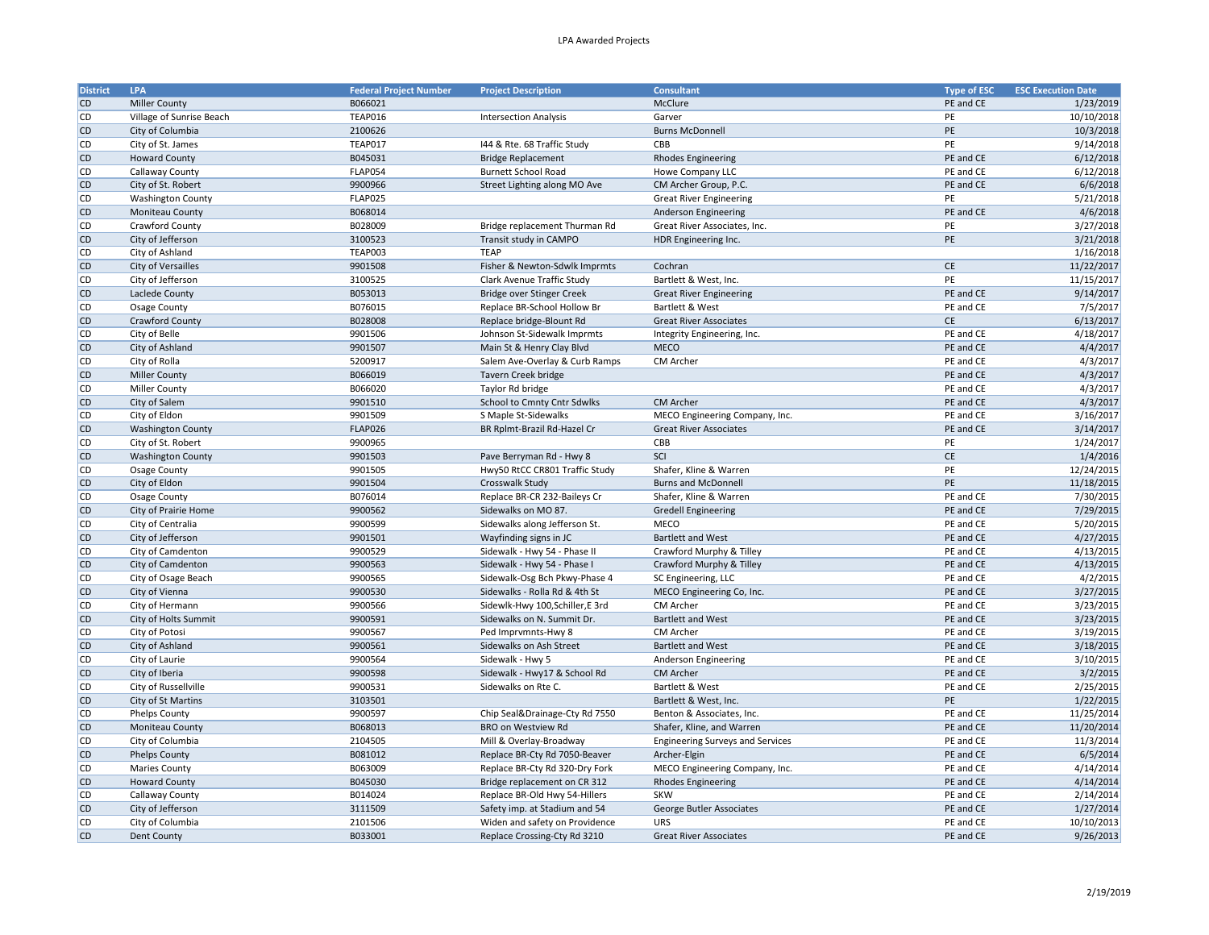## LPA Awarded Projects

| <b>District</b> | LPA                      | <b>Federal Project Number</b> | <b>Project Description</b>       | <b>Consultant</b>                       | <b>Type of ESC</b> | <b>ESC Execution Date</b> |
|-----------------|--------------------------|-------------------------------|----------------------------------|-----------------------------------------|--------------------|---------------------------|
| <b>CD</b>       | <b>Miller County</b>     | B066021                       |                                  | McClure                                 | PE and CE          | 1/23/2019                 |
| <b>CD</b>       | Village of Sunrise Beach | <b>TEAP016</b>                | <b>Intersection Analysis</b>     | Garver                                  | PE                 | 10/10/2018                |
| <b>CD</b>       | City of Columbia         | 2100626                       |                                  | <b>Burns McDonnell</b>                  | PE                 | 10/3/2018                 |
| <b>CD</b>       | City of St. James        | TEAP017                       | 144 & Rte. 68 Traffic Study      | CBB                                     | PE                 | 9/14/2018                 |
| <b>CD</b>       | <b>Howard County</b>     | B045031                       | <b>Bridge Replacement</b>        | <b>Rhodes Engineering</b>               | PE and CE          | 6/12/2018                 |
| <b>CD</b>       | Callaway County          | FLAP054                       | <b>Burnett School Road</b>       | Howe Company LLC                        | PE and CE          | 6/12/2018                 |
| <b>CD</b>       | City of St. Robert       | 9900966                       | Street Lighting along MO Ave     | CM Archer Group, P.C.                   | PE and CE          | 6/6/2018                  |
| <b>CD</b>       | <b>Washington County</b> | FLAP025                       |                                  | <b>Great River Engineering</b>          | PE                 | 5/21/2018                 |
| <b>CD</b>       | Moniteau County          | B068014                       |                                  | Anderson Engineering                    | PE and CE          | 4/6/2018                  |
| <b>CD</b>       | Crawford County          | B028009                       | Bridge replacement Thurman Rd    | Great River Associates, Inc.            | PE                 | 3/27/2018                 |
| <b>CD</b>       | City of Jefferson        | 3100523                       | Transit study in CAMPO           | HDR Engineering Inc.                    | PE                 | 3/21/2018                 |
| <b>CD</b>       | City of Ashland          | TEAP003                       | <b>TEAP</b>                      |                                         |                    | 1/16/2018                 |
| <b>CD</b>       |                          | 9901508                       |                                  |                                         | CE                 | 11/22/2017                |
|                 | City of Versailles       |                               | Fisher & Newton-Sdwlk Imprmts    | Cochran                                 |                    |                           |
| <b>CD</b>       | City of Jefferson        | 3100525                       | Clark Avenue Traffic Study       | Bartlett & West, Inc.                   | PE                 | 11/15/2017                |
| <b>CD</b>       | Laclede County           | B053013                       | Bridge over Stinger Creek        | <b>Great River Engineering</b>          | PE and CE          | 9/14/2017                 |
| <b>CD</b>       | Osage County             | B076015                       | Replace BR-School Hollow Br      | Bartlett & West                         | PE and CE          | 7/5/2017                  |
| <b>CD</b>       | Crawford County          | B028008                       | Replace bridge-Blount Rd         | <b>Great River Associates</b>           | CE                 | 6/13/2017                 |
| <b>CD</b>       | City of Belle            | 9901506                       | Johnson St-Sidewalk Imprmts      | Integrity Engineering, Inc.             | PE and CE          | 4/18/2017                 |
| <b>CD</b>       | City of Ashland          | 9901507                       | Main St & Henry Clay Blvd        | <b>MECO</b>                             | PE and CE          | 4/4/2017                  |
| <b>CD</b>       | City of Rolla            | 5200917                       | Salem Ave-Overlay & Curb Ramps   | CM Archer                               | PE and CE          | 4/3/2017                  |
| <b>CD</b>       | Miller County            | B066019                       | Tavern Creek bridge              |                                         | PE and CE          | 4/3/2017                  |
| <b>CD</b>       | <b>Miller County</b>     | B066020                       | Taylor Rd bridge                 |                                         | PE and CE          | 4/3/2017                  |
| <b>CD</b>       | City of Salem            | 9901510                       | School to Cmnty Cntr Sdwlks      | CM Archer                               | PE and CE          | 4/3/2017                  |
| <b>CD</b>       | City of Eldon            | 9901509                       | S Maple St-Sidewalks             | MECO Engineering Company, Inc.          | PE and CE          | 3/16/2017                 |
| <b>CD</b>       | <b>Washington County</b> | <b>FLAP026</b>                | BR Rplmt-Brazil Rd-Hazel Cr      | <b>Great River Associates</b>           | PE and CE          | 3/14/2017                 |
| <b>CD</b>       | City of St. Robert       | 9900965                       |                                  | CBB                                     | PE                 | 1/24/2017                 |
| <b>CD</b>       | <b>Washington County</b> | 9901503                       | Pave Berryman Rd - Hwy 8         | SCI                                     | CE                 | 1/4/2016                  |
| <b>CD</b>       | <b>Osage County</b>      | 9901505                       | Hwy50 RtCC CR801 Traffic Study   | Shafer, Kline & Warren                  | PE                 | 12/24/2015                |
| <b>CD</b>       | City of Eldon            | 9901504                       | Crosswalk Study                  | <b>Burns and McDonnell</b>              | PE                 | 11/18/2015                |
| <b>CD</b>       | Osage County             | B076014                       | Replace BR-CR 232-Baileys Cr     | Shafer, Kline & Warren                  | PE and CE          | 7/30/2015                 |
| <b>CD</b>       | City of Prairie Home     | 9900562                       | Sidewalks on MO 87.              | <b>Gredell Engineering</b>              | PE and CE          | 7/29/2015                 |
| <b>CD</b>       | City of Centralia        | 9900599                       | Sidewalks along Jefferson St.    | MECO                                    | PE and CE          | 5/20/2015                 |
| <b>CD</b>       | City of Jefferson        | 9901501                       | Wayfinding signs in JC           | <b>Bartlett and West</b>                | PE and CE          | 4/27/2015                 |
| <b>CD</b>       | City of Camdenton        | 9900529                       | Sidewalk - Hwy 54 - Phase II     | Crawford Murphy & Tilley                | PE and CE          | 4/13/2015                 |
| <b>CD</b>       | City of Camdenton        | 9900563                       | Sidewalk - Hwy 54 - Phase I      | Crawford Murphy & Tilley                | PE and CE          | 4/13/2015                 |
| <b>CD</b>       | City of Osage Beach      | 9900565                       | Sidewalk-Osg Bch Pkwy-Phase 4    | SC Engineering, LLC                     | PE and CE          | 4/2/2015                  |
| <b>CD</b>       | City of Vienna           | 9900530                       | Sidewalks - Rolla Rd & 4th St    | MECO Engineering Co, Inc.               | PE and CE          | 3/27/2015                 |
| <b>CD</b>       | City of Hermann          | 9900566                       | Sidewlk-Hwy 100, Schiller, E 3rd | CM Archer                               | PE and CE          | 3/23/2015                 |
| <b>CD</b>       | City of Holts Summit     | 9900591                       | Sidewalks on N. Summit Dr.       | <b>Bartlett and West</b>                | PE and CE          | 3/23/2015                 |
| <b>CD</b>       | City of Potosi           | 9900567                       | Ped Imprvmnts-Hwy 8              | CM Archer                               | PE and CE          | 3/19/2015                 |
| <b>CD</b>       | City of Ashland          | 9900561                       | Sidewalks on Ash Street          | <b>Bartlett and West</b>                | PE and CE          | 3/18/2015                 |
| <b>CD</b>       | City of Laurie           | 9900564                       | Sidewalk - Hwy 5                 | Anderson Engineering                    | PE and CE          | 3/10/2015                 |
|                 |                          |                               |                                  |                                         |                    |                           |
| <b>CD</b>       | City of Iberia           | 9900598                       | Sidewalk - Hwy17 & School Rd     | <b>CM Archer</b>                        | PE and CE          | 3/2/2015                  |
| <b>CD</b>       | City of Russellville     | 9900531                       | Sidewalks on Rte C.              | Bartlett & West                         | PE and CE          | 2/25/2015                 |
| <b>CD</b>       | City of St Martins       | 3103501                       |                                  | Bartlett & West, Inc.                   | PE                 | 1/22/2015                 |
| <b>CD</b>       | Phelps County            | 9900597                       | Chip Seal&Drainage-Cty Rd 7550   | Benton & Associates, Inc.               | PE and CE          | 11/25/2014                |
| <b>CD</b>       | Moniteau County          | B068013                       | <b>BRO on Westview Rd</b>        | Shafer, Kline, and Warren               | PE and CE          | 11/20/2014                |
| <b>CD</b>       | City of Columbia         | 2104505                       | Mill & Overlay-Broadway          | <b>Engineering Surveys and Services</b> | PE and CE          | 11/3/2014                 |
| <b>CD</b>       | <b>Phelps County</b>     | B081012                       | Replace BR-Cty Rd 7050-Beaver    | Archer-Elgin                            | PE and CE          | 6/5/2014                  |
| <b>CD</b>       | <b>Maries County</b>     | B063009                       | Replace BR-Cty Rd 320-Dry Fork   | MECO Engineering Company, Inc.          | PE and CE          | 4/14/2014                 |
| <b>CD</b>       | <b>Howard County</b>     | B045030                       | Bridge replacement on CR 312     | <b>Rhodes Engineering</b>               | PE and CE          | 4/14/2014                 |
| <b>CD</b>       | Callaway County          | B014024                       | Replace BR-Old Hwy 54-Hillers    | <b>SKW</b>                              | PE and CE          | 2/14/2014                 |
| <b>CD</b>       | City of Jefferson        | 3111509                       | Safety imp. at Stadium and 54    | George Butler Associates                | PE and CE          | 1/27/2014                 |
| <b>CD</b>       | City of Columbia         | 2101506                       | Widen and safety on Providence   | URS                                     | PE and CE          | 10/10/2013                |
| <b>CD</b>       | Dent County              | B033001                       | Replace Crossing-Cty Rd 3210     | <b>Great River Associates</b>           | PE and CE          | 9/26/2013                 |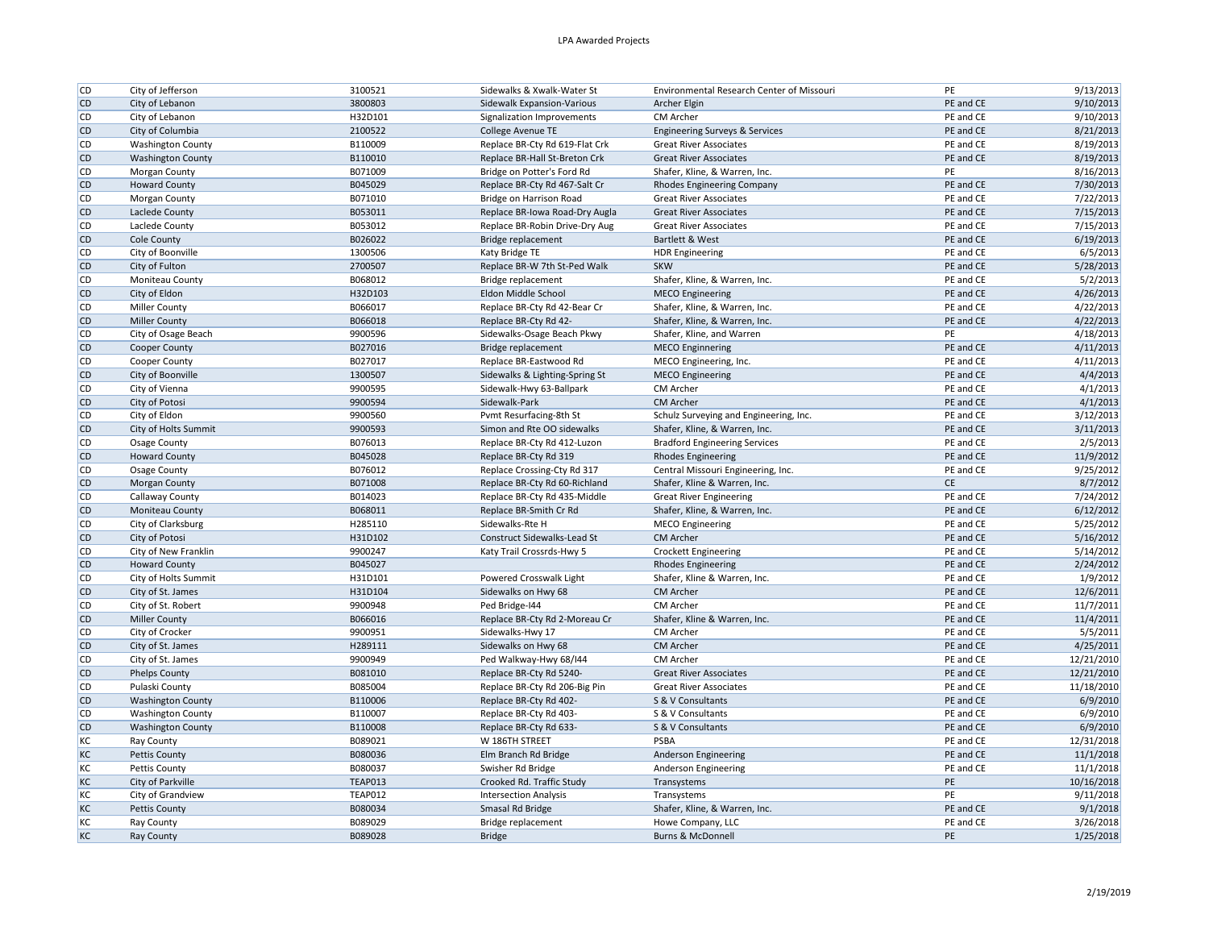| <b>CD</b><br>City of Lebanon<br>3800803<br>Sidewalk Expansion-Various<br>PE and CE<br>9/10/2013<br>Archer Elgin<br><b>CD</b><br>H32D101<br>PE and CE<br>9/10/2013<br>City of Lebanon<br>Signalization Improvements<br>CM Archer<br><b>CD</b><br>City of Columbia<br>2100522<br>PE and CE<br>8/21/2013<br>College Avenue TE<br><b>Engineering Surveys &amp; Services</b><br>PE and CE<br>8/19/2013<br><b>CD</b><br><b>Washington County</b><br>B110009<br>Replace BR-Cty Rd 619-Flat Crk<br><b>Great River Associates</b><br><b>CD</b><br>B110010<br>PE and CE<br>8/19/2013<br><b>Washington County</b><br>Replace BR-Hall St-Breton Crk<br><b>Great River Associates</b><br><b>CD</b><br>B071009<br>PE<br>8/16/2013<br>Morgan County<br>Bridge on Potter's Ford Rd<br>Shafer, Kline, & Warren, Inc.<br><b>CD</b><br><b>Howard County</b><br>B045029<br>PE and CE<br>7/30/2013<br>Replace BR-Cty Rd 467-Salt Cr<br><b>Rhodes Engineering Company</b><br><b>CD</b><br>B071010<br>PE and CE<br>7/22/2013<br>Morgan County<br>Bridge on Harrison Road<br><b>Great River Associates</b><br><b>CD</b><br>PE and CE<br>Laclede County<br>7/15/2013<br>B053011<br>Replace BR-Iowa Road-Dry Augla<br><b>Great River Associates</b><br>PE and CE<br>7/15/2013<br><b>CD</b><br>B053012<br><b>Great River Associates</b><br>Laclede County<br>Replace BR-Robin Drive-Dry Aug<br><b>CD</b><br>B026022<br>PE and CE<br>6/19/2013<br>Cole County<br>Bridge replacement<br>Bartlett & West<br>PE and CE<br><b>CD</b><br>1300506<br>6/5/2013<br>City of Boonville<br>Katy Bridge TE<br><b>HDR Engineering</b><br><b>CD</b><br>PE and CE<br>5/28/2013<br>City of Fulton<br>2700507<br>Replace BR-W 7th St-Ped Walk<br><b>SKW</b><br><b>CD</b><br>B068012<br>PE and CE<br>5/2/2013<br>Moniteau County<br>Shafer, Kline, & Warren, Inc.<br>Bridge replacement<br><b>CD</b><br>PE and CE<br>City of Eldon<br><b>MECO</b> Engineering<br>4/26/2013<br>H32D103<br>Eldon Middle School<br>PE and CE<br>4/22/2013<br><b>CD</b><br>Miller County<br>B066017<br>Shafer, Kline, & Warren, Inc.<br>Replace BR-Cty Rd 42-Bear Cr<br>PE and CE<br><b>CD</b><br>B066018<br>4/22/2013<br><b>Miller County</b><br>Replace BR-Cty Rd 42-<br>Shafer, Kline, & Warren, Inc.<br><b>CD</b><br>9900596<br>PE<br>4/18/2013<br>City of Osage Beach<br>Sidewalks-Osage Beach Pkwy<br>Shafer, Kline, and Warren<br><b>CD</b><br>PE and CE<br>4/11/2013<br>Cooper County<br>B027016<br>Bridge replacement<br><b>MECO Enginnering</b><br><b>CD</b><br>B027017<br>PE and CE<br>4/11/2013<br>Cooper County<br>Replace BR-Eastwood Rd<br>MECO Engineering, Inc.<br>PE and CE<br><b>CD</b><br>City of Boonville<br>4/4/2013<br>1300507<br>Sidewalks & Lighting-Spring St<br><b>MECO Engineering</b><br>PE and CE<br>4/1/2013<br><b>CD</b><br>City of Vienna<br>9900595<br>Sidewalk-Hwy 63-Ballpark<br>CM Archer<br><b>CD</b><br>City of Potosi<br>9900594<br>PE and CE<br>4/1/2013<br>Sidewalk-Park<br><b>CM Archer</b><br>PE and CE<br><b>CD</b><br>City of Eldon<br>9900560<br>Schulz Surveying and Engineering, Inc.<br>3/12/2013<br>Pvmt Resurfacing-8th St<br><b>CD</b><br>PE and CE<br>3/11/2013<br>City of Holts Summit<br>9900593<br>Simon and Rte OO sidewalks<br>Shafer, Kline, & Warren, Inc.<br><b>CD</b><br>PE and CE<br>2/5/2013<br>Osage County<br>B076013<br>Replace BR-Cty Rd 412-Luzon<br><b>Bradford Engineering Services</b><br><b>CD</b><br><b>Howard County</b><br>PE and CE<br>11/9/2012<br>B045028<br>Replace BR-Cty Rd 319<br><b>Rhodes Engineering</b><br>PE and CE<br>9/25/2012<br><b>CD</b><br>Osage County<br>B076012<br>Replace Crossing-Cty Rd 317<br>Central Missouri Engineering, Inc.<br><b>CD</b><br>B071008<br>CE<br>8/7/2012<br>Morgan County<br>Replace BR-Cty Rd 60-Richland<br>Shafer, Kline & Warren, Inc.<br>PE and CE<br><b>CD</b><br>B014023<br>7/24/2012<br>Callaway County<br>Replace BR-Cty Rd 435-Middle<br><b>Great River Engineering</b><br><b>CD</b><br>PE and CE<br>6/12/2012<br>Moniteau County<br>B068011<br>Replace BR-Smith Cr Rd<br>Shafer, Kline, & Warren, Inc.<br><b>CD</b><br>H285110<br>PE and CE<br>5/25/2012<br>City of Clarksburg<br>Sidewalks-Rte H<br><b>MECO Engineering</b><br><b>CD</b><br>City of Potosi<br>CM Archer<br>PE and CE<br>5/16/2012<br>H31D102<br>Construct Sidewalks-Lead St<br>PE and CE<br>5/14/2012<br><b>CD</b><br>City of New Franklin<br>9900247<br>Katy Trail Crossrds-Hwy 5<br><b>Crockett Engineering</b><br><b>CD</b><br>B045027<br>PE and CE<br>2/24/2012<br><b>Howard County</b><br><b>Rhodes Engineering</b><br>PE and CE<br><b>CD</b><br>1/9/2012<br>City of Holts Summit<br>H31D101<br>Powered Crosswalk Light<br>Shafer, Kline & Warren, Inc.<br><b>CD</b><br>PE and CE<br>12/6/2011<br>City of St. James<br>H31D104<br>Sidewalks on Hwy 68<br>CM Archer<br><b>CD</b><br>11/7/2011<br>City of St. Robert<br>9900948<br>Ped Bridge-I44<br>CM Archer<br>PE and CE<br>11/4/2011<br><b>CD</b><br><b>Miller County</b><br>PE and CE<br>B066016<br>Replace BR-Cty Rd 2-Moreau Cr<br>Shafer, Kline & Warren, Inc.<br><b>CD</b><br>PE and CE<br>5/5/2011<br>City of Crocker<br>9900951<br>Sidewalks-Hwy 17<br>CM Archer<br><b>CD</b><br>City of St. James<br>H289111<br>Sidewalks on Hwy 68<br>CM Archer<br>PE and CE<br>4/25/2011<br><b>CD</b><br>9900949<br>CM Archer<br>PE and CE<br>12/21/2010<br>City of St. James<br>Ped Walkway-Hwy 68/144<br><b>CD</b><br>PE and CE<br>12/21/2010<br><b>Phelps County</b><br>B081010<br>Replace BR-Cty Rd 5240-<br><b>Great River Associates</b><br><b>CD</b><br>PE and CE<br>11/18/2010<br>Pulaski County<br>B085004<br>Replace BR-Cty Rd 206-Big Pin<br><b>Great River Associates</b><br>6/9/2010<br><b>CD</b><br>PE and CE<br><b>Washington County</b><br>B110006<br>Replace BR-Cty Rd 402-<br>S & V Consultants<br><b>CD</b><br>PE and CE<br>6/9/2010<br><b>Washington County</b><br>B110007<br>S & V Consultants<br>Replace BR-Cty Rd 403-<br><b>CD</b><br>B110008<br>S & V Consultants<br>PE and CE<br>6/9/2010<br><b>Washington County</b><br>Replace BR-Cty Rd 633-<br>KC<br>B089021<br>PSBA<br>PE and CE<br>12/31/2018<br>Ray County<br>W 186TH STREET<br>KC<br>PE and CE<br>11/1/2018<br>Pettis County<br>B080036<br>Elm Branch Rd Bridge<br>Anderson Engineering<br>KC<br>PE and CE<br>11/1/2018<br>Pettis County<br>B080037<br>Anderson Engineering<br>Swisher Rd Bridge<br>KC<br>PE<br>10/16/2018<br>City of Parkville<br>TEAP013<br>Crooked Rd. Traffic Study<br>Transystems<br>KC<br>9/11/2018<br>City of Grandview<br><b>TEAP012</b><br>PE<br><b>Intersection Analysis</b><br>Transystems<br>KC<br>B080034<br>PE and CE<br>9/1/2018<br><b>Pettis County</b><br>Smasal Rd Bridge<br>Shafer, Kline, & Warren, Inc.<br>KC<br>B089029<br>PE and CE<br>3/26/2018<br>Ray County<br>Bridge replacement<br>Howe Company, LLC<br>KC<br>1/25/2018<br><b>Ray County</b><br>B089028<br><b>Bridge</b><br>Burns & McDonnell<br>PE | <b>CD</b> | City of Jefferson | 3100521 | Sidewalks & Xwalk-Water St | Environmental Research Center of Missouri | PE | 9/13/2013 |
|-----------------------------------------------------------------------------------------------------------------------------------------------------------------------------------------------------------------------------------------------------------------------------------------------------------------------------------------------------------------------------------------------------------------------------------------------------------------------------------------------------------------------------------------------------------------------------------------------------------------------------------------------------------------------------------------------------------------------------------------------------------------------------------------------------------------------------------------------------------------------------------------------------------------------------------------------------------------------------------------------------------------------------------------------------------------------------------------------------------------------------------------------------------------------------------------------------------------------------------------------------------------------------------------------------------------------------------------------------------------------------------------------------------------------------------------------------------------------------------------------------------------------------------------------------------------------------------------------------------------------------------------------------------------------------------------------------------------------------------------------------------------------------------------------------------------------------------------------------------------------------------------------------------------------------------------------------------------------------------------------------------------------------------------------------------------------------------------------------------------------------------------------------------------------------------------------------------------------------------------------------------------------------------------------------------------------------------------------------------------------------------------------------------------------------------------------------------------------------------------------------------------------------------------------------------------------------------------------------------------------------------------------------------------------------------------------------------------------------------------------------------------------------------------------------------------------------------------------------------------------------------------------------------------------------------------------------------------------------------------------------------------------------------------------------------------------------------------------------------------------------------------------------------------------------------------------------------------------------------------------------------------------------------------------------------------------------------------------------------------------------------------------------------------------------------------------------------------------------------------------------------------------------------------------------------------------------------------------------------------------------------------------------------------------------------------------------------------------------------------------------------------------------------------------------------------------------------------------------------------------------------------------------------------------------------------------------------------------------------------------------------------------------------------------------------------------------------------------------------------------------------------------------------------------------------------------------------------------------------------------------------------------------------------------------------------------------------------------------------------------------------------------------------------------------------------------------------------------------------------------------------------------------------------------------------------------------------------------------------------------------------------------------------------------------------------------------------------------------------------------------------------------------------------------------------------------------------------------------------------------------------------------------------------------------------------------------------------------------------------------------------------------------------------------------------------------------------------------------------------------------------------------------------------------------------------------------------------------------------------------------------------------------------------------------------------------------------------------------------------------------------------------------------------------------------------------------------------------------------------------------------------------------------------------------------------------------------------------------------------------------------------------------------------------------------------------------------------------------------------------------------------------------------------------------------------------------------------------------------------------------------------------------------------------------------------------------------------------------------------------------------------------------------------------------------------------------------------------------------------------------------------------------------------------------------------------------------------------------------------------------------------------------------------------------------------------------------------------------------------------------------------------------------------------------------------------------------------------------------------------------------------------------------------------------------------------------------------------------------------------------------------------------------------------------------------------------------------------------------------------------------------------------------------------------------------------------------------------------------------------------------------------------------------------|-----------|-------------------|---------|----------------------------|-------------------------------------------|----|-----------|
|                                                                                                                                                                                                                                                                                                                                                                                                                                                                                                                                                                                                                                                                                                                                                                                                                                                                                                                                                                                                                                                                                                                                                                                                                                                                                                                                                                                                                                                                                                                                                                                                                                                                                                                                                                                                                                                                                                                                                                                                                                                                                                                                                                                                                                                                                                                                                                                                                                                                                                                                                                                                                                                                                                                                                                                                                                                                                                                                                                                                                                                                                                                                                                                                                                                                                                                                                                                                                                                                                                                                                                                                                                                                                                                                                                                                                                                                                                                                                                                                                                                                                                                                                                                                                                                                                                                                                                                                                                                                                                                                                                                                                                                                                                                                                                                                                                                                                                                                                                                                                                                                                                                                                                                                                                                                                                                                                                                                                                                                                                                                                                                                                                                                                                                                                                                                                                                                                                                                                                                                                                                                                                                                                                                                                                                                                                                                                                                                                                                                                                                                                                                                                                                                                                                                                                                                                                                                                                                       |           |                   |         |                            |                                           |    |           |
|                                                                                                                                                                                                                                                                                                                                                                                                                                                                                                                                                                                                                                                                                                                                                                                                                                                                                                                                                                                                                                                                                                                                                                                                                                                                                                                                                                                                                                                                                                                                                                                                                                                                                                                                                                                                                                                                                                                                                                                                                                                                                                                                                                                                                                                                                                                                                                                                                                                                                                                                                                                                                                                                                                                                                                                                                                                                                                                                                                                                                                                                                                                                                                                                                                                                                                                                                                                                                                                                                                                                                                                                                                                                                                                                                                                                                                                                                                                                                                                                                                                                                                                                                                                                                                                                                                                                                                                                                                                                                                                                                                                                                                                                                                                                                                                                                                                                                                                                                                                                                                                                                                                                                                                                                                                                                                                                                                                                                                                                                                                                                                                                                                                                                                                                                                                                                                                                                                                                                                                                                                                                                                                                                                                                                                                                                                                                                                                                                                                                                                                                                                                                                                                                                                                                                                                                                                                                                                                       |           |                   |         |                            |                                           |    |           |
|                                                                                                                                                                                                                                                                                                                                                                                                                                                                                                                                                                                                                                                                                                                                                                                                                                                                                                                                                                                                                                                                                                                                                                                                                                                                                                                                                                                                                                                                                                                                                                                                                                                                                                                                                                                                                                                                                                                                                                                                                                                                                                                                                                                                                                                                                                                                                                                                                                                                                                                                                                                                                                                                                                                                                                                                                                                                                                                                                                                                                                                                                                                                                                                                                                                                                                                                                                                                                                                                                                                                                                                                                                                                                                                                                                                                                                                                                                                                                                                                                                                                                                                                                                                                                                                                                                                                                                                                                                                                                                                                                                                                                                                                                                                                                                                                                                                                                                                                                                                                                                                                                                                                                                                                                                                                                                                                                                                                                                                                                                                                                                                                                                                                                                                                                                                                                                                                                                                                                                                                                                                                                                                                                                                                                                                                                                                                                                                                                                                                                                                                                                                                                                                                                                                                                                                                                                                                                                                       |           |                   |         |                            |                                           |    |           |
|                                                                                                                                                                                                                                                                                                                                                                                                                                                                                                                                                                                                                                                                                                                                                                                                                                                                                                                                                                                                                                                                                                                                                                                                                                                                                                                                                                                                                                                                                                                                                                                                                                                                                                                                                                                                                                                                                                                                                                                                                                                                                                                                                                                                                                                                                                                                                                                                                                                                                                                                                                                                                                                                                                                                                                                                                                                                                                                                                                                                                                                                                                                                                                                                                                                                                                                                                                                                                                                                                                                                                                                                                                                                                                                                                                                                                                                                                                                                                                                                                                                                                                                                                                                                                                                                                                                                                                                                                                                                                                                                                                                                                                                                                                                                                                                                                                                                                                                                                                                                                                                                                                                                                                                                                                                                                                                                                                                                                                                                                                                                                                                                                                                                                                                                                                                                                                                                                                                                                                                                                                                                                                                                                                                                                                                                                                                                                                                                                                                                                                                                                                                                                                                                                                                                                                                                                                                                                                                       |           |                   |         |                            |                                           |    |           |
|                                                                                                                                                                                                                                                                                                                                                                                                                                                                                                                                                                                                                                                                                                                                                                                                                                                                                                                                                                                                                                                                                                                                                                                                                                                                                                                                                                                                                                                                                                                                                                                                                                                                                                                                                                                                                                                                                                                                                                                                                                                                                                                                                                                                                                                                                                                                                                                                                                                                                                                                                                                                                                                                                                                                                                                                                                                                                                                                                                                                                                                                                                                                                                                                                                                                                                                                                                                                                                                                                                                                                                                                                                                                                                                                                                                                                                                                                                                                                                                                                                                                                                                                                                                                                                                                                                                                                                                                                                                                                                                                                                                                                                                                                                                                                                                                                                                                                                                                                                                                                                                                                                                                                                                                                                                                                                                                                                                                                                                                                                                                                                                                                                                                                                                                                                                                                                                                                                                                                                                                                                                                                                                                                                                                                                                                                                                                                                                                                                                                                                                                                                                                                                                                                                                                                                                                                                                                                                                       |           |                   |         |                            |                                           |    |           |
|                                                                                                                                                                                                                                                                                                                                                                                                                                                                                                                                                                                                                                                                                                                                                                                                                                                                                                                                                                                                                                                                                                                                                                                                                                                                                                                                                                                                                                                                                                                                                                                                                                                                                                                                                                                                                                                                                                                                                                                                                                                                                                                                                                                                                                                                                                                                                                                                                                                                                                                                                                                                                                                                                                                                                                                                                                                                                                                                                                                                                                                                                                                                                                                                                                                                                                                                                                                                                                                                                                                                                                                                                                                                                                                                                                                                                                                                                                                                                                                                                                                                                                                                                                                                                                                                                                                                                                                                                                                                                                                                                                                                                                                                                                                                                                                                                                                                                                                                                                                                                                                                                                                                                                                                                                                                                                                                                                                                                                                                                                                                                                                                                                                                                                                                                                                                                                                                                                                                                                                                                                                                                                                                                                                                                                                                                                                                                                                                                                                                                                                                                                                                                                                                                                                                                                                                                                                                                                                       |           |                   |         |                            |                                           |    |           |
|                                                                                                                                                                                                                                                                                                                                                                                                                                                                                                                                                                                                                                                                                                                                                                                                                                                                                                                                                                                                                                                                                                                                                                                                                                                                                                                                                                                                                                                                                                                                                                                                                                                                                                                                                                                                                                                                                                                                                                                                                                                                                                                                                                                                                                                                                                                                                                                                                                                                                                                                                                                                                                                                                                                                                                                                                                                                                                                                                                                                                                                                                                                                                                                                                                                                                                                                                                                                                                                                                                                                                                                                                                                                                                                                                                                                                                                                                                                                                                                                                                                                                                                                                                                                                                                                                                                                                                                                                                                                                                                                                                                                                                                                                                                                                                                                                                                                                                                                                                                                                                                                                                                                                                                                                                                                                                                                                                                                                                                                                                                                                                                                                                                                                                                                                                                                                                                                                                                                                                                                                                                                                                                                                                                                                                                                                                                                                                                                                                                                                                                                                                                                                                                                                                                                                                                                                                                                                                                       |           |                   |         |                            |                                           |    |           |
|                                                                                                                                                                                                                                                                                                                                                                                                                                                                                                                                                                                                                                                                                                                                                                                                                                                                                                                                                                                                                                                                                                                                                                                                                                                                                                                                                                                                                                                                                                                                                                                                                                                                                                                                                                                                                                                                                                                                                                                                                                                                                                                                                                                                                                                                                                                                                                                                                                                                                                                                                                                                                                                                                                                                                                                                                                                                                                                                                                                                                                                                                                                                                                                                                                                                                                                                                                                                                                                                                                                                                                                                                                                                                                                                                                                                                                                                                                                                                                                                                                                                                                                                                                                                                                                                                                                                                                                                                                                                                                                                                                                                                                                                                                                                                                                                                                                                                                                                                                                                                                                                                                                                                                                                                                                                                                                                                                                                                                                                                                                                                                                                                                                                                                                                                                                                                                                                                                                                                                                                                                                                                                                                                                                                                                                                                                                                                                                                                                                                                                                                                                                                                                                                                                                                                                                                                                                                                                                       |           |                   |         |                            |                                           |    |           |
|                                                                                                                                                                                                                                                                                                                                                                                                                                                                                                                                                                                                                                                                                                                                                                                                                                                                                                                                                                                                                                                                                                                                                                                                                                                                                                                                                                                                                                                                                                                                                                                                                                                                                                                                                                                                                                                                                                                                                                                                                                                                                                                                                                                                                                                                                                                                                                                                                                                                                                                                                                                                                                                                                                                                                                                                                                                                                                                                                                                                                                                                                                                                                                                                                                                                                                                                                                                                                                                                                                                                                                                                                                                                                                                                                                                                                                                                                                                                                                                                                                                                                                                                                                                                                                                                                                                                                                                                                                                                                                                                                                                                                                                                                                                                                                                                                                                                                                                                                                                                                                                                                                                                                                                                                                                                                                                                                                                                                                                                                                                                                                                                                                                                                                                                                                                                                                                                                                                                                                                                                                                                                                                                                                                                                                                                                                                                                                                                                                                                                                                                                                                                                                                                                                                                                                                                                                                                                                                       |           |                   |         |                            |                                           |    |           |
|                                                                                                                                                                                                                                                                                                                                                                                                                                                                                                                                                                                                                                                                                                                                                                                                                                                                                                                                                                                                                                                                                                                                                                                                                                                                                                                                                                                                                                                                                                                                                                                                                                                                                                                                                                                                                                                                                                                                                                                                                                                                                                                                                                                                                                                                                                                                                                                                                                                                                                                                                                                                                                                                                                                                                                                                                                                                                                                                                                                                                                                                                                                                                                                                                                                                                                                                                                                                                                                                                                                                                                                                                                                                                                                                                                                                                                                                                                                                                                                                                                                                                                                                                                                                                                                                                                                                                                                                                                                                                                                                                                                                                                                                                                                                                                                                                                                                                                                                                                                                                                                                                                                                                                                                                                                                                                                                                                                                                                                                                                                                                                                                                                                                                                                                                                                                                                                                                                                                                                                                                                                                                                                                                                                                                                                                                                                                                                                                                                                                                                                                                                                                                                                                                                                                                                                                                                                                                                                       |           |                   |         |                            |                                           |    |           |
|                                                                                                                                                                                                                                                                                                                                                                                                                                                                                                                                                                                                                                                                                                                                                                                                                                                                                                                                                                                                                                                                                                                                                                                                                                                                                                                                                                                                                                                                                                                                                                                                                                                                                                                                                                                                                                                                                                                                                                                                                                                                                                                                                                                                                                                                                                                                                                                                                                                                                                                                                                                                                                                                                                                                                                                                                                                                                                                                                                                                                                                                                                                                                                                                                                                                                                                                                                                                                                                                                                                                                                                                                                                                                                                                                                                                                                                                                                                                                                                                                                                                                                                                                                                                                                                                                                                                                                                                                                                                                                                                                                                                                                                                                                                                                                                                                                                                                                                                                                                                                                                                                                                                                                                                                                                                                                                                                                                                                                                                                                                                                                                                                                                                                                                                                                                                                                                                                                                                                                                                                                                                                                                                                                                                                                                                                                                                                                                                                                                                                                                                                                                                                                                                                                                                                                                                                                                                                                                       |           |                   |         |                            |                                           |    |           |
|                                                                                                                                                                                                                                                                                                                                                                                                                                                                                                                                                                                                                                                                                                                                                                                                                                                                                                                                                                                                                                                                                                                                                                                                                                                                                                                                                                                                                                                                                                                                                                                                                                                                                                                                                                                                                                                                                                                                                                                                                                                                                                                                                                                                                                                                                                                                                                                                                                                                                                                                                                                                                                                                                                                                                                                                                                                                                                                                                                                                                                                                                                                                                                                                                                                                                                                                                                                                                                                                                                                                                                                                                                                                                                                                                                                                                                                                                                                                                                                                                                                                                                                                                                                                                                                                                                                                                                                                                                                                                                                                                                                                                                                                                                                                                                                                                                                                                                                                                                                                                                                                                                                                                                                                                                                                                                                                                                                                                                                                                                                                                                                                                                                                                                                                                                                                                                                                                                                                                                                                                                                                                                                                                                                                                                                                                                                                                                                                                                                                                                                                                                                                                                                                                                                                                                                                                                                                                                                       |           |                   |         |                            |                                           |    |           |
|                                                                                                                                                                                                                                                                                                                                                                                                                                                                                                                                                                                                                                                                                                                                                                                                                                                                                                                                                                                                                                                                                                                                                                                                                                                                                                                                                                                                                                                                                                                                                                                                                                                                                                                                                                                                                                                                                                                                                                                                                                                                                                                                                                                                                                                                                                                                                                                                                                                                                                                                                                                                                                                                                                                                                                                                                                                                                                                                                                                                                                                                                                                                                                                                                                                                                                                                                                                                                                                                                                                                                                                                                                                                                                                                                                                                                                                                                                                                                                                                                                                                                                                                                                                                                                                                                                                                                                                                                                                                                                                                                                                                                                                                                                                                                                                                                                                                                                                                                                                                                                                                                                                                                                                                                                                                                                                                                                                                                                                                                                                                                                                                                                                                                                                                                                                                                                                                                                                                                                                                                                                                                                                                                                                                                                                                                                                                                                                                                                                                                                                                                                                                                                                                                                                                                                                                                                                                                                                       |           |                   |         |                            |                                           |    |           |
|                                                                                                                                                                                                                                                                                                                                                                                                                                                                                                                                                                                                                                                                                                                                                                                                                                                                                                                                                                                                                                                                                                                                                                                                                                                                                                                                                                                                                                                                                                                                                                                                                                                                                                                                                                                                                                                                                                                                                                                                                                                                                                                                                                                                                                                                                                                                                                                                                                                                                                                                                                                                                                                                                                                                                                                                                                                                                                                                                                                                                                                                                                                                                                                                                                                                                                                                                                                                                                                                                                                                                                                                                                                                                                                                                                                                                                                                                                                                                                                                                                                                                                                                                                                                                                                                                                                                                                                                                                                                                                                                                                                                                                                                                                                                                                                                                                                                                                                                                                                                                                                                                                                                                                                                                                                                                                                                                                                                                                                                                                                                                                                                                                                                                                                                                                                                                                                                                                                                                                                                                                                                                                                                                                                                                                                                                                                                                                                                                                                                                                                                                                                                                                                                                                                                                                                                                                                                                                                       |           |                   |         |                            |                                           |    |           |
|                                                                                                                                                                                                                                                                                                                                                                                                                                                                                                                                                                                                                                                                                                                                                                                                                                                                                                                                                                                                                                                                                                                                                                                                                                                                                                                                                                                                                                                                                                                                                                                                                                                                                                                                                                                                                                                                                                                                                                                                                                                                                                                                                                                                                                                                                                                                                                                                                                                                                                                                                                                                                                                                                                                                                                                                                                                                                                                                                                                                                                                                                                                                                                                                                                                                                                                                                                                                                                                                                                                                                                                                                                                                                                                                                                                                                                                                                                                                                                                                                                                                                                                                                                                                                                                                                                                                                                                                                                                                                                                                                                                                                                                                                                                                                                                                                                                                                                                                                                                                                                                                                                                                                                                                                                                                                                                                                                                                                                                                                                                                                                                                                                                                                                                                                                                                                                                                                                                                                                                                                                                                                                                                                                                                                                                                                                                                                                                                                                                                                                                                                                                                                                                                                                                                                                                                                                                                                                                       |           |                   |         |                            |                                           |    |           |
|                                                                                                                                                                                                                                                                                                                                                                                                                                                                                                                                                                                                                                                                                                                                                                                                                                                                                                                                                                                                                                                                                                                                                                                                                                                                                                                                                                                                                                                                                                                                                                                                                                                                                                                                                                                                                                                                                                                                                                                                                                                                                                                                                                                                                                                                                                                                                                                                                                                                                                                                                                                                                                                                                                                                                                                                                                                                                                                                                                                                                                                                                                                                                                                                                                                                                                                                                                                                                                                                                                                                                                                                                                                                                                                                                                                                                                                                                                                                                                                                                                                                                                                                                                                                                                                                                                                                                                                                                                                                                                                                                                                                                                                                                                                                                                                                                                                                                                                                                                                                                                                                                                                                                                                                                                                                                                                                                                                                                                                                                                                                                                                                                                                                                                                                                                                                                                                                                                                                                                                                                                                                                                                                                                                                                                                                                                                                                                                                                                                                                                                                                                                                                                                                                                                                                                                                                                                                                                                       |           |                   |         |                            |                                           |    |           |
|                                                                                                                                                                                                                                                                                                                                                                                                                                                                                                                                                                                                                                                                                                                                                                                                                                                                                                                                                                                                                                                                                                                                                                                                                                                                                                                                                                                                                                                                                                                                                                                                                                                                                                                                                                                                                                                                                                                                                                                                                                                                                                                                                                                                                                                                                                                                                                                                                                                                                                                                                                                                                                                                                                                                                                                                                                                                                                                                                                                                                                                                                                                                                                                                                                                                                                                                                                                                                                                                                                                                                                                                                                                                                                                                                                                                                                                                                                                                                                                                                                                                                                                                                                                                                                                                                                                                                                                                                                                                                                                                                                                                                                                                                                                                                                                                                                                                                                                                                                                                                                                                                                                                                                                                                                                                                                                                                                                                                                                                                                                                                                                                                                                                                                                                                                                                                                                                                                                                                                                                                                                                                                                                                                                                                                                                                                                                                                                                                                                                                                                                                                                                                                                                                                                                                                                                                                                                                                                       |           |                   |         |                            |                                           |    |           |
|                                                                                                                                                                                                                                                                                                                                                                                                                                                                                                                                                                                                                                                                                                                                                                                                                                                                                                                                                                                                                                                                                                                                                                                                                                                                                                                                                                                                                                                                                                                                                                                                                                                                                                                                                                                                                                                                                                                                                                                                                                                                                                                                                                                                                                                                                                                                                                                                                                                                                                                                                                                                                                                                                                                                                                                                                                                                                                                                                                                                                                                                                                                                                                                                                                                                                                                                                                                                                                                                                                                                                                                                                                                                                                                                                                                                                                                                                                                                                                                                                                                                                                                                                                                                                                                                                                                                                                                                                                                                                                                                                                                                                                                                                                                                                                                                                                                                                                                                                                                                                                                                                                                                                                                                                                                                                                                                                                                                                                                                                                                                                                                                                                                                                                                                                                                                                                                                                                                                                                                                                                                                                                                                                                                                                                                                                                                                                                                                                                                                                                                                                                                                                                                                                                                                                                                                                                                                                                                       |           |                   |         |                            |                                           |    |           |
|                                                                                                                                                                                                                                                                                                                                                                                                                                                                                                                                                                                                                                                                                                                                                                                                                                                                                                                                                                                                                                                                                                                                                                                                                                                                                                                                                                                                                                                                                                                                                                                                                                                                                                                                                                                                                                                                                                                                                                                                                                                                                                                                                                                                                                                                                                                                                                                                                                                                                                                                                                                                                                                                                                                                                                                                                                                                                                                                                                                                                                                                                                                                                                                                                                                                                                                                                                                                                                                                                                                                                                                                                                                                                                                                                                                                                                                                                                                                                                                                                                                                                                                                                                                                                                                                                                                                                                                                                                                                                                                                                                                                                                                                                                                                                                                                                                                                                                                                                                                                                                                                                                                                                                                                                                                                                                                                                                                                                                                                                                                                                                                                                                                                                                                                                                                                                                                                                                                                                                                                                                                                                                                                                                                                                                                                                                                                                                                                                                                                                                                                                                                                                                                                                                                                                                                                                                                                                                                       |           |                   |         |                            |                                           |    |           |
|                                                                                                                                                                                                                                                                                                                                                                                                                                                                                                                                                                                                                                                                                                                                                                                                                                                                                                                                                                                                                                                                                                                                                                                                                                                                                                                                                                                                                                                                                                                                                                                                                                                                                                                                                                                                                                                                                                                                                                                                                                                                                                                                                                                                                                                                                                                                                                                                                                                                                                                                                                                                                                                                                                                                                                                                                                                                                                                                                                                                                                                                                                                                                                                                                                                                                                                                                                                                                                                                                                                                                                                                                                                                                                                                                                                                                                                                                                                                                                                                                                                                                                                                                                                                                                                                                                                                                                                                                                                                                                                                                                                                                                                                                                                                                                                                                                                                                                                                                                                                                                                                                                                                                                                                                                                                                                                                                                                                                                                                                                                                                                                                                                                                                                                                                                                                                                                                                                                                                                                                                                                                                                                                                                                                                                                                                                                                                                                                                                                                                                                                                                                                                                                                                                                                                                                                                                                                                                                       |           |                   |         |                            |                                           |    |           |
|                                                                                                                                                                                                                                                                                                                                                                                                                                                                                                                                                                                                                                                                                                                                                                                                                                                                                                                                                                                                                                                                                                                                                                                                                                                                                                                                                                                                                                                                                                                                                                                                                                                                                                                                                                                                                                                                                                                                                                                                                                                                                                                                                                                                                                                                                                                                                                                                                                                                                                                                                                                                                                                                                                                                                                                                                                                                                                                                                                                                                                                                                                                                                                                                                                                                                                                                                                                                                                                                                                                                                                                                                                                                                                                                                                                                                                                                                                                                                                                                                                                                                                                                                                                                                                                                                                                                                                                                                                                                                                                                                                                                                                                                                                                                                                                                                                                                                                                                                                                                                                                                                                                                                                                                                                                                                                                                                                                                                                                                                                                                                                                                                                                                                                                                                                                                                                                                                                                                                                                                                                                                                                                                                                                                                                                                                                                                                                                                                                                                                                                                                                                                                                                                                                                                                                                                                                                                                                                       |           |                   |         |                            |                                           |    |           |
|                                                                                                                                                                                                                                                                                                                                                                                                                                                                                                                                                                                                                                                                                                                                                                                                                                                                                                                                                                                                                                                                                                                                                                                                                                                                                                                                                                                                                                                                                                                                                                                                                                                                                                                                                                                                                                                                                                                                                                                                                                                                                                                                                                                                                                                                                                                                                                                                                                                                                                                                                                                                                                                                                                                                                                                                                                                                                                                                                                                                                                                                                                                                                                                                                                                                                                                                                                                                                                                                                                                                                                                                                                                                                                                                                                                                                                                                                                                                                                                                                                                                                                                                                                                                                                                                                                                                                                                                                                                                                                                                                                                                                                                                                                                                                                                                                                                                                                                                                                                                                                                                                                                                                                                                                                                                                                                                                                                                                                                                                                                                                                                                                                                                                                                                                                                                                                                                                                                                                                                                                                                                                                                                                                                                                                                                                                                                                                                                                                                                                                                                                                                                                                                                                                                                                                                                                                                                                                                       |           |                   |         |                            |                                           |    |           |
|                                                                                                                                                                                                                                                                                                                                                                                                                                                                                                                                                                                                                                                                                                                                                                                                                                                                                                                                                                                                                                                                                                                                                                                                                                                                                                                                                                                                                                                                                                                                                                                                                                                                                                                                                                                                                                                                                                                                                                                                                                                                                                                                                                                                                                                                                                                                                                                                                                                                                                                                                                                                                                                                                                                                                                                                                                                                                                                                                                                                                                                                                                                                                                                                                                                                                                                                                                                                                                                                                                                                                                                                                                                                                                                                                                                                                                                                                                                                                                                                                                                                                                                                                                                                                                                                                                                                                                                                                                                                                                                                                                                                                                                                                                                                                                                                                                                                                                                                                                                                                                                                                                                                                                                                                                                                                                                                                                                                                                                                                                                                                                                                                                                                                                                                                                                                                                                                                                                                                                                                                                                                                                                                                                                                                                                                                                                                                                                                                                                                                                                                                                                                                                                                                                                                                                                                                                                                                                                       |           |                   |         |                            |                                           |    |           |
|                                                                                                                                                                                                                                                                                                                                                                                                                                                                                                                                                                                                                                                                                                                                                                                                                                                                                                                                                                                                                                                                                                                                                                                                                                                                                                                                                                                                                                                                                                                                                                                                                                                                                                                                                                                                                                                                                                                                                                                                                                                                                                                                                                                                                                                                                                                                                                                                                                                                                                                                                                                                                                                                                                                                                                                                                                                                                                                                                                                                                                                                                                                                                                                                                                                                                                                                                                                                                                                                                                                                                                                                                                                                                                                                                                                                                                                                                                                                                                                                                                                                                                                                                                                                                                                                                                                                                                                                                                                                                                                                                                                                                                                                                                                                                                                                                                                                                                                                                                                                                                                                                                                                                                                                                                                                                                                                                                                                                                                                                                                                                                                                                                                                                                                                                                                                                                                                                                                                                                                                                                                                                                                                                                                                                                                                                                                                                                                                                                                                                                                                                                                                                                                                                                                                                                                                                                                                                                                       |           |                   |         |                            |                                           |    |           |
|                                                                                                                                                                                                                                                                                                                                                                                                                                                                                                                                                                                                                                                                                                                                                                                                                                                                                                                                                                                                                                                                                                                                                                                                                                                                                                                                                                                                                                                                                                                                                                                                                                                                                                                                                                                                                                                                                                                                                                                                                                                                                                                                                                                                                                                                                                                                                                                                                                                                                                                                                                                                                                                                                                                                                                                                                                                                                                                                                                                                                                                                                                                                                                                                                                                                                                                                                                                                                                                                                                                                                                                                                                                                                                                                                                                                                                                                                                                                                                                                                                                                                                                                                                                                                                                                                                                                                                                                                                                                                                                                                                                                                                                                                                                                                                                                                                                                                                                                                                                                                                                                                                                                                                                                                                                                                                                                                                                                                                                                                                                                                                                                                                                                                                                                                                                                                                                                                                                                                                                                                                                                                                                                                                                                                                                                                                                                                                                                                                                                                                                                                                                                                                                                                                                                                                                                                                                                                                                       |           |                   |         |                            |                                           |    |           |
|                                                                                                                                                                                                                                                                                                                                                                                                                                                                                                                                                                                                                                                                                                                                                                                                                                                                                                                                                                                                                                                                                                                                                                                                                                                                                                                                                                                                                                                                                                                                                                                                                                                                                                                                                                                                                                                                                                                                                                                                                                                                                                                                                                                                                                                                                                                                                                                                                                                                                                                                                                                                                                                                                                                                                                                                                                                                                                                                                                                                                                                                                                                                                                                                                                                                                                                                                                                                                                                                                                                                                                                                                                                                                                                                                                                                                                                                                                                                                                                                                                                                                                                                                                                                                                                                                                                                                                                                                                                                                                                                                                                                                                                                                                                                                                                                                                                                                                                                                                                                                                                                                                                                                                                                                                                                                                                                                                                                                                                                                                                                                                                                                                                                                                                                                                                                                                                                                                                                                                                                                                                                                                                                                                                                                                                                                                                                                                                                                                                                                                                                                                                                                                                                                                                                                                                                                                                                                                                       |           |                   |         |                            |                                           |    |           |
|                                                                                                                                                                                                                                                                                                                                                                                                                                                                                                                                                                                                                                                                                                                                                                                                                                                                                                                                                                                                                                                                                                                                                                                                                                                                                                                                                                                                                                                                                                                                                                                                                                                                                                                                                                                                                                                                                                                                                                                                                                                                                                                                                                                                                                                                                                                                                                                                                                                                                                                                                                                                                                                                                                                                                                                                                                                                                                                                                                                                                                                                                                                                                                                                                                                                                                                                                                                                                                                                                                                                                                                                                                                                                                                                                                                                                                                                                                                                                                                                                                                                                                                                                                                                                                                                                                                                                                                                                                                                                                                                                                                                                                                                                                                                                                                                                                                                                                                                                                                                                                                                                                                                                                                                                                                                                                                                                                                                                                                                                                                                                                                                                                                                                                                                                                                                                                                                                                                                                                                                                                                                                                                                                                                                                                                                                                                                                                                                                                                                                                                                                                                                                                                                                                                                                                                                                                                                                                                       |           |                   |         |                            |                                           |    |           |
|                                                                                                                                                                                                                                                                                                                                                                                                                                                                                                                                                                                                                                                                                                                                                                                                                                                                                                                                                                                                                                                                                                                                                                                                                                                                                                                                                                                                                                                                                                                                                                                                                                                                                                                                                                                                                                                                                                                                                                                                                                                                                                                                                                                                                                                                                                                                                                                                                                                                                                                                                                                                                                                                                                                                                                                                                                                                                                                                                                                                                                                                                                                                                                                                                                                                                                                                                                                                                                                                                                                                                                                                                                                                                                                                                                                                                                                                                                                                                                                                                                                                                                                                                                                                                                                                                                                                                                                                                                                                                                                                                                                                                                                                                                                                                                                                                                                                                                                                                                                                                                                                                                                                                                                                                                                                                                                                                                                                                                                                                                                                                                                                                                                                                                                                                                                                                                                                                                                                                                                                                                                                                                                                                                                                                                                                                                                                                                                                                                                                                                                                                                                                                                                                                                                                                                                                                                                                                                                       |           |                   |         |                            |                                           |    |           |
|                                                                                                                                                                                                                                                                                                                                                                                                                                                                                                                                                                                                                                                                                                                                                                                                                                                                                                                                                                                                                                                                                                                                                                                                                                                                                                                                                                                                                                                                                                                                                                                                                                                                                                                                                                                                                                                                                                                                                                                                                                                                                                                                                                                                                                                                                                                                                                                                                                                                                                                                                                                                                                                                                                                                                                                                                                                                                                                                                                                                                                                                                                                                                                                                                                                                                                                                                                                                                                                                                                                                                                                                                                                                                                                                                                                                                                                                                                                                                                                                                                                                                                                                                                                                                                                                                                                                                                                                                                                                                                                                                                                                                                                                                                                                                                                                                                                                                                                                                                                                                                                                                                                                                                                                                                                                                                                                                                                                                                                                                                                                                                                                                                                                                                                                                                                                                                                                                                                                                                                                                                                                                                                                                                                                                                                                                                                                                                                                                                                                                                                                                                                                                                                                                                                                                                                                                                                                                                                       |           |                   |         |                            |                                           |    |           |
|                                                                                                                                                                                                                                                                                                                                                                                                                                                                                                                                                                                                                                                                                                                                                                                                                                                                                                                                                                                                                                                                                                                                                                                                                                                                                                                                                                                                                                                                                                                                                                                                                                                                                                                                                                                                                                                                                                                                                                                                                                                                                                                                                                                                                                                                                                                                                                                                                                                                                                                                                                                                                                                                                                                                                                                                                                                                                                                                                                                                                                                                                                                                                                                                                                                                                                                                                                                                                                                                                                                                                                                                                                                                                                                                                                                                                                                                                                                                                                                                                                                                                                                                                                                                                                                                                                                                                                                                                                                                                                                                                                                                                                                                                                                                                                                                                                                                                                                                                                                                                                                                                                                                                                                                                                                                                                                                                                                                                                                                                                                                                                                                                                                                                                                                                                                                                                                                                                                                                                                                                                                                                                                                                                                                                                                                                                                                                                                                                                                                                                                                                                                                                                                                                                                                                                                                                                                                                                                       |           |                   |         |                            |                                           |    |           |
|                                                                                                                                                                                                                                                                                                                                                                                                                                                                                                                                                                                                                                                                                                                                                                                                                                                                                                                                                                                                                                                                                                                                                                                                                                                                                                                                                                                                                                                                                                                                                                                                                                                                                                                                                                                                                                                                                                                                                                                                                                                                                                                                                                                                                                                                                                                                                                                                                                                                                                                                                                                                                                                                                                                                                                                                                                                                                                                                                                                                                                                                                                                                                                                                                                                                                                                                                                                                                                                                                                                                                                                                                                                                                                                                                                                                                                                                                                                                                                                                                                                                                                                                                                                                                                                                                                                                                                                                                                                                                                                                                                                                                                                                                                                                                                                                                                                                                                                                                                                                                                                                                                                                                                                                                                                                                                                                                                                                                                                                                                                                                                                                                                                                                                                                                                                                                                                                                                                                                                                                                                                                                                                                                                                                                                                                                                                                                                                                                                                                                                                                                                                                                                                                                                                                                                                                                                                                                                                       |           |                   |         |                            |                                           |    |           |
|                                                                                                                                                                                                                                                                                                                                                                                                                                                                                                                                                                                                                                                                                                                                                                                                                                                                                                                                                                                                                                                                                                                                                                                                                                                                                                                                                                                                                                                                                                                                                                                                                                                                                                                                                                                                                                                                                                                                                                                                                                                                                                                                                                                                                                                                                                                                                                                                                                                                                                                                                                                                                                                                                                                                                                                                                                                                                                                                                                                                                                                                                                                                                                                                                                                                                                                                                                                                                                                                                                                                                                                                                                                                                                                                                                                                                                                                                                                                                                                                                                                                                                                                                                                                                                                                                                                                                                                                                                                                                                                                                                                                                                                                                                                                                                                                                                                                                                                                                                                                                                                                                                                                                                                                                                                                                                                                                                                                                                                                                                                                                                                                                                                                                                                                                                                                                                                                                                                                                                                                                                                                                                                                                                                                                                                                                                                                                                                                                                                                                                                                                                                                                                                                                                                                                                                                                                                                                                                       |           |                   |         |                            |                                           |    |           |
|                                                                                                                                                                                                                                                                                                                                                                                                                                                                                                                                                                                                                                                                                                                                                                                                                                                                                                                                                                                                                                                                                                                                                                                                                                                                                                                                                                                                                                                                                                                                                                                                                                                                                                                                                                                                                                                                                                                                                                                                                                                                                                                                                                                                                                                                                                                                                                                                                                                                                                                                                                                                                                                                                                                                                                                                                                                                                                                                                                                                                                                                                                                                                                                                                                                                                                                                                                                                                                                                                                                                                                                                                                                                                                                                                                                                                                                                                                                                                                                                                                                                                                                                                                                                                                                                                                                                                                                                                                                                                                                                                                                                                                                                                                                                                                                                                                                                                                                                                                                                                                                                                                                                                                                                                                                                                                                                                                                                                                                                                                                                                                                                                                                                                                                                                                                                                                                                                                                                                                                                                                                                                                                                                                                                                                                                                                                                                                                                                                                                                                                                                                                                                                                                                                                                                                                                                                                                                                                       |           |                   |         |                            |                                           |    |           |
|                                                                                                                                                                                                                                                                                                                                                                                                                                                                                                                                                                                                                                                                                                                                                                                                                                                                                                                                                                                                                                                                                                                                                                                                                                                                                                                                                                                                                                                                                                                                                                                                                                                                                                                                                                                                                                                                                                                                                                                                                                                                                                                                                                                                                                                                                                                                                                                                                                                                                                                                                                                                                                                                                                                                                                                                                                                                                                                                                                                                                                                                                                                                                                                                                                                                                                                                                                                                                                                                                                                                                                                                                                                                                                                                                                                                                                                                                                                                                                                                                                                                                                                                                                                                                                                                                                                                                                                                                                                                                                                                                                                                                                                                                                                                                                                                                                                                                                                                                                                                                                                                                                                                                                                                                                                                                                                                                                                                                                                                                                                                                                                                                                                                                                                                                                                                                                                                                                                                                                                                                                                                                                                                                                                                                                                                                                                                                                                                                                                                                                                                                                                                                                                                                                                                                                                                                                                                                                                       |           |                   |         |                            |                                           |    |           |
|                                                                                                                                                                                                                                                                                                                                                                                                                                                                                                                                                                                                                                                                                                                                                                                                                                                                                                                                                                                                                                                                                                                                                                                                                                                                                                                                                                                                                                                                                                                                                                                                                                                                                                                                                                                                                                                                                                                                                                                                                                                                                                                                                                                                                                                                                                                                                                                                                                                                                                                                                                                                                                                                                                                                                                                                                                                                                                                                                                                                                                                                                                                                                                                                                                                                                                                                                                                                                                                                                                                                                                                                                                                                                                                                                                                                                                                                                                                                                                                                                                                                                                                                                                                                                                                                                                                                                                                                                                                                                                                                                                                                                                                                                                                                                                                                                                                                                                                                                                                                                                                                                                                                                                                                                                                                                                                                                                                                                                                                                                                                                                                                                                                                                                                                                                                                                                                                                                                                                                                                                                                                                                                                                                                                                                                                                                                                                                                                                                                                                                                                                                                                                                                                                                                                                                                                                                                                                                                       |           |                   |         |                            |                                           |    |           |
|                                                                                                                                                                                                                                                                                                                                                                                                                                                                                                                                                                                                                                                                                                                                                                                                                                                                                                                                                                                                                                                                                                                                                                                                                                                                                                                                                                                                                                                                                                                                                                                                                                                                                                                                                                                                                                                                                                                                                                                                                                                                                                                                                                                                                                                                                                                                                                                                                                                                                                                                                                                                                                                                                                                                                                                                                                                                                                                                                                                                                                                                                                                                                                                                                                                                                                                                                                                                                                                                                                                                                                                                                                                                                                                                                                                                                                                                                                                                                                                                                                                                                                                                                                                                                                                                                                                                                                                                                                                                                                                                                                                                                                                                                                                                                                                                                                                                                                                                                                                                                                                                                                                                                                                                                                                                                                                                                                                                                                                                                                                                                                                                                                                                                                                                                                                                                                                                                                                                                                                                                                                                                                                                                                                                                                                                                                                                                                                                                                                                                                                                                                                                                                                                                                                                                                                                                                                                                                                       |           |                   |         |                            |                                           |    |           |
|                                                                                                                                                                                                                                                                                                                                                                                                                                                                                                                                                                                                                                                                                                                                                                                                                                                                                                                                                                                                                                                                                                                                                                                                                                                                                                                                                                                                                                                                                                                                                                                                                                                                                                                                                                                                                                                                                                                                                                                                                                                                                                                                                                                                                                                                                                                                                                                                                                                                                                                                                                                                                                                                                                                                                                                                                                                                                                                                                                                                                                                                                                                                                                                                                                                                                                                                                                                                                                                                                                                                                                                                                                                                                                                                                                                                                                                                                                                                                                                                                                                                                                                                                                                                                                                                                                                                                                                                                                                                                                                                                                                                                                                                                                                                                                                                                                                                                                                                                                                                                                                                                                                                                                                                                                                                                                                                                                                                                                                                                                                                                                                                                                                                                                                                                                                                                                                                                                                                                                                                                                                                                                                                                                                                                                                                                                                                                                                                                                                                                                                                                                                                                                                                                                                                                                                                                                                                                                                       |           |                   |         |                            |                                           |    |           |
|                                                                                                                                                                                                                                                                                                                                                                                                                                                                                                                                                                                                                                                                                                                                                                                                                                                                                                                                                                                                                                                                                                                                                                                                                                                                                                                                                                                                                                                                                                                                                                                                                                                                                                                                                                                                                                                                                                                                                                                                                                                                                                                                                                                                                                                                                                                                                                                                                                                                                                                                                                                                                                                                                                                                                                                                                                                                                                                                                                                                                                                                                                                                                                                                                                                                                                                                                                                                                                                                                                                                                                                                                                                                                                                                                                                                                                                                                                                                                                                                                                                                                                                                                                                                                                                                                                                                                                                                                                                                                                                                                                                                                                                                                                                                                                                                                                                                                                                                                                                                                                                                                                                                                                                                                                                                                                                                                                                                                                                                                                                                                                                                                                                                                                                                                                                                                                                                                                                                                                                                                                                                                                                                                                                                                                                                                                                                                                                                                                                                                                                                                                                                                                                                                                                                                                                                                                                                                                                       |           |                   |         |                            |                                           |    |           |
|                                                                                                                                                                                                                                                                                                                                                                                                                                                                                                                                                                                                                                                                                                                                                                                                                                                                                                                                                                                                                                                                                                                                                                                                                                                                                                                                                                                                                                                                                                                                                                                                                                                                                                                                                                                                                                                                                                                                                                                                                                                                                                                                                                                                                                                                                                                                                                                                                                                                                                                                                                                                                                                                                                                                                                                                                                                                                                                                                                                                                                                                                                                                                                                                                                                                                                                                                                                                                                                                                                                                                                                                                                                                                                                                                                                                                                                                                                                                                                                                                                                                                                                                                                                                                                                                                                                                                                                                                                                                                                                                                                                                                                                                                                                                                                                                                                                                                                                                                                                                                                                                                                                                                                                                                                                                                                                                                                                                                                                                                                                                                                                                                                                                                                                                                                                                                                                                                                                                                                                                                                                                                                                                                                                                                                                                                                                                                                                                                                                                                                                                                                                                                                                                                                                                                                                                                                                                                                                       |           |                   |         |                            |                                           |    |           |
|                                                                                                                                                                                                                                                                                                                                                                                                                                                                                                                                                                                                                                                                                                                                                                                                                                                                                                                                                                                                                                                                                                                                                                                                                                                                                                                                                                                                                                                                                                                                                                                                                                                                                                                                                                                                                                                                                                                                                                                                                                                                                                                                                                                                                                                                                                                                                                                                                                                                                                                                                                                                                                                                                                                                                                                                                                                                                                                                                                                                                                                                                                                                                                                                                                                                                                                                                                                                                                                                                                                                                                                                                                                                                                                                                                                                                                                                                                                                                                                                                                                                                                                                                                                                                                                                                                                                                                                                                                                                                                                                                                                                                                                                                                                                                                                                                                                                                                                                                                                                                                                                                                                                                                                                                                                                                                                                                                                                                                                                                                                                                                                                                                                                                                                                                                                                                                                                                                                                                                                                                                                                                                                                                                                                                                                                                                                                                                                                                                                                                                                                                                                                                                                                                                                                                                                                                                                                                                                       |           |                   |         |                            |                                           |    |           |
|                                                                                                                                                                                                                                                                                                                                                                                                                                                                                                                                                                                                                                                                                                                                                                                                                                                                                                                                                                                                                                                                                                                                                                                                                                                                                                                                                                                                                                                                                                                                                                                                                                                                                                                                                                                                                                                                                                                                                                                                                                                                                                                                                                                                                                                                                                                                                                                                                                                                                                                                                                                                                                                                                                                                                                                                                                                                                                                                                                                                                                                                                                                                                                                                                                                                                                                                                                                                                                                                                                                                                                                                                                                                                                                                                                                                                                                                                                                                                                                                                                                                                                                                                                                                                                                                                                                                                                                                                                                                                                                                                                                                                                                                                                                                                                                                                                                                                                                                                                                                                                                                                                                                                                                                                                                                                                                                                                                                                                                                                                                                                                                                                                                                                                                                                                                                                                                                                                                                                                                                                                                                                                                                                                                                                                                                                                                                                                                                                                                                                                                                                                                                                                                                                                                                                                                                                                                                                                                       |           |                   |         |                            |                                           |    |           |
|                                                                                                                                                                                                                                                                                                                                                                                                                                                                                                                                                                                                                                                                                                                                                                                                                                                                                                                                                                                                                                                                                                                                                                                                                                                                                                                                                                                                                                                                                                                                                                                                                                                                                                                                                                                                                                                                                                                                                                                                                                                                                                                                                                                                                                                                                                                                                                                                                                                                                                                                                                                                                                                                                                                                                                                                                                                                                                                                                                                                                                                                                                                                                                                                                                                                                                                                                                                                                                                                                                                                                                                                                                                                                                                                                                                                                                                                                                                                                                                                                                                                                                                                                                                                                                                                                                                                                                                                                                                                                                                                                                                                                                                                                                                                                                                                                                                                                                                                                                                                                                                                                                                                                                                                                                                                                                                                                                                                                                                                                                                                                                                                                                                                                                                                                                                                                                                                                                                                                                                                                                                                                                                                                                                                                                                                                                                                                                                                                                                                                                                                                                                                                                                                                                                                                                                                                                                                                                                       |           |                   |         |                            |                                           |    |           |
|                                                                                                                                                                                                                                                                                                                                                                                                                                                                                                                                                                                                                                                                                                                                                                                                                                                                                                                                                                                                                                                                                                                                                                                                                                                                                                                                                                                                                                                                                                                                                                                                                                                                                                                                                                                                                                                                                                                                                                                                                                                                                                                                                                                                                                                                                                                                                                                                                                                                                                                                                                                                                                                                                                                                                                                                                                                                                                                                                                                                                                                                                                                                                                                                                                                                                                                                                                                                                                                                                                                                                                                                                                                                                                                                                                                                                                                                                                                                                                                                                                                                                                                                                                                                                                                                                                                                                                                                                                                                                                                                                                                                                                                                                                                                                                                                                                                                                                                                                                                                                                                                                                                                                                                                                                                                                                                                                                                                                                                                                                                                                                                                                                                                                                                                                                                                                                                                                                                                                                                                                                                                                                                                                                                                                                                                                                                                                                                                                                                                                                                                                                                                                                                                                                                                                                                                                                                                                                                       |           |                   |         |                            |                                           |    |           |
|                                                                                                                                                                                                                                                                                                                                                                                                                                                                                                                                                                                                                                                                                                                                                                                                                                                                                                                                                                                                                                                                                                                                                                                                                                                                                                                                                                                                                                                                                                                                                                                                                                                                                                                                                                                                                                                                                                                                                                                                                                                                                                                                                                                                                                                                                                                                                                                                                                                                                                                                                                                                                                                                                                                                                                                                                                                                                                                                                                                                                                                                                                                                                                                                                                                                                                                                                                                                                                                                                                                                                                                                                                                                                                                                                                                                                                                                                                                                                                                                                                                                                                                                                                                                                                                                                                                                                                                                                                                                                                                                                                                                                                                                                                                                                                                                                                                                                                                                                                                                                                                                                                                                                                                                                                                                                                                                                                                                                                                                                                                                                                                                                                                                                                                                                                                                                                                                                                                                                                                                                                                                                                                                                                                                                                                                                                                                                                                                                                                                                                                                                                                                                                                                                                                                                                                                                                                                                                                       |           |                   |         |                            |                                           |    |           |
|                                                                                                                                                                                                                                                                                                                                                                                                                                                                                                                                                                                                                                                                                                                                                                                                                                                                                                                                                                                                                                                                                                                                                                                                                                                                                                                                                                                                                                                                                                                                                                                                                                                                                                                                                                                                                                                                                                                                                                                                                                                                                                                                                                                                                                                                                                                                                                                                                                                                                                                                                                                                                                                                                                                                                                                                                                                                                                                                                                                                                                                                                                                                                                                                                                                                                                                                                                                                                                                                                                                                                                                                                                                                                                                                                                                                                                                                                                                                                                                                                                                                                                                                                                                                                                                                                                                                                                                                                                                                                                                                                                                                                                                                                                                                                                                                                                                                                                                                                                                                                                                                                                                                                                                                                                                                                                                                                                                                                                                                                                                                                                                                                                                                                                                                                                                                                                                                                                                                                                                                                                                                                                                                                                                                                                                                                                                                                                                                                                                                                                                                                                                                                                                                                                                                                                                                                                                                                                                       |           |                   |         |                            |                                           |    |           |
|                                                                                                                                                                                                                                                                                                                                                                                                                                                                                                                                                                                                                                                                                                                                                                                                                                                                                                                                                                                                                                                                                                                                                                                                                                                                                                                                                                                                                                                                                                                                                                                                                                                                                                                                                                                                                                                                                                                                                                                                                                                                                                                                                                                                                                                                                                                                                                                                                                                                                                                                                                                                                                                                                                                                                                                                                                                                                                                                                                                                                                                                                                                                                                                                                                                                                                                                                                                                                                                                                                                                                                                                                                                                                                                                                                                                                                                                                                                                                                                                                                                                                                                                                                                                                                                                                                                                                                                                                                                                                                                                                                                                                                                                                                                                                                                                                                                                                                                                                                                                                                                                                                                                                                                                                                                                                                                                                                                                                                                                                                                                                                                                                                                                                                                                                                                                                                                                                                                                                                                                                                                                                                                                                                                                                                                                                                                                                                                                                                                                                                                                                                                                                                                                                                                                                                                                                                                                                                                       |           |                   |         |                            |                                           |    |           |
|                                                                                                                                                                                                                                                                                                                                                                                                                                                                                                                                                                                                                                                                                                                                                                                                                                                                                                                                                                                                                                                                                                                                                                                                                                                                                                                                                                                                                                                                                                                                                                                                                                                                                                                                                                                                                                                                                                                                                                                                                                                                                                                                                                                                                                                                                                                                                                                                                                                                                                                                                                                                                                                                                                                                                                                                                                                                                                                                                                                                                                                                                                                                                                                                                                                                                                                                                                                                                                                                                                                                                                                                                                                                                                                                                                                                                                                                                                                                                                                                                                                                                                                                                                                                                                                                                                                                                                                                                                                                                                                                                                                                                                                                                                                                                                                                                                                                                                                                                                                                                                                                                                                                                                                                                                                                                                                                                                                                                                                                                                                                                                                                                                                                                                                                                                                                                                                                                                                                                                                                                                                                                                                                                                                                                                                                                                                                                                                                                                                                                                                                                                                                                                                                                                                                                                                                                                                                                                                       |           |                   |         |                            |                                           |    |           |
|                                                                                                                                                                                                                                                                                                                                                                                                                                                                                                                                                                                                                                                                                                                                                                                                                                                                                                                                                                                                                                                                                                                                                                                                                                                                                                                                                                                                                                                                                                                                                                                                                                                                                                                                                                                                                                                                                                                                                                                                                                                                                                                                                                                                                                                                                                                                                                                                                                                                                                                                                                                                                                                                                                                                                                                                                                                                                                                                                                                                                                                                                                                                                                                                                                                                                                                                                                                                                                                                                                                                                                                                                                                                                                                                                                                                                                                                                                                                                                                                                                                                                                                                                                                                                                                                                                                                                                                                                                                                                                                                                                                                                                                                                                                                                                                                                                                                                                                                                                                                                                                                                                                                                                                                                                                                                                                                                                                                                                                                                                                                                                                                                                                                                                                                                                                                                                                                                                                                                                                                                                                                                                                                                                                                                                                                                                                                                                                                                                                                                                                                                                                                                                                                                                                                                                                                                                                                                                                       |           |                   |         |                            |                                           |    |           |
|                                                                                                                                                                                                                                                                                                                                                                                                                                                                                                                                                                                                                                                                                                                                                                                                                                                                                                                                                                                                                                                                                                                                                                                                                                                                                                                                                                                                                                                                                                                                                                                                                                                                                                                                                                                                                                                                                                                                                                                                                                                                                                                                                                                                                                                                                                                                                                                                                                                                                                                                                                                                                                                                                                                                                                                                                                                                                                                                                                                                                                                                                                                                                                                                                                                                                                                                                                                                                                                                                                                                                                                                                                                                                                                                                                                                                                                                                                                                                                                                                                                                                                                                                                                                                                                                                                                                                                                                                                                                                                                                                                                                                                                                                                                                                                                                                                                                                                                                                                                                                                                                                                                                                                                                                                                                                                                                                                                                                                                                                                                                                                                                                                                                                                                                                                                                                                                                                                                                                                                                                                                                                                                                                                                                                                                                                                                                                                                                                                                                                                                                                                                                                                                                                                                                                                                                                                                                                                                       |           |                   |         |                            |                                           |    |           |
|                                                                                                                                                                                                                                                                                                                                                                                                                                                                                                                                                                                                                                                                                                                                                                                                                                                                                                                                                                                                                                                                                                                                                                                                                                                                                                                                                                                                                                                                                                                                                                                                                                                                                                                                                                                                                                                                                                                                                                                                                                                                                                                                                                                                                                                                                                                                                                                                                                                                                                                                                                                                                                                                                                                                                                                                                                                                                                                                                                                                                                                                                                                                                                                                                                                                                                                                                                                                                                                                                                                                                                                                                                                                                                                                                                                                                                                                                                                                                                                                                                                                                                                                                                                                                                                                                                                                                                                                                                                                                                                                                                                                                                                                                                                                                                                                                                                                                                                                                                                                                                                                                                                                                                                                                                                                                                                                                                                                                                                                                                                                                                                                                                                                                                                                                                                                                                                                                                                                                                                                                                                                                                                                                                                                                                                                                                                                                                                                                                                                                                                                                                                                                                                                                                                                                                                                                                                                                                                       |           |                   |         |                            |                                           |    |           |
|                                                                                                                                                                                                                                                                                                                                                                                                                                                                                                                                                                                                                                                                                                                                                                                                                                                                                                                                                                                                                                                                                                                                                                                                                                                                                                                                                                                                                                                                                                                                                                                                                                                                                                                                                                                                                                                                                                                                                                                                                                                                                                                                                                                                                                                                                                                                                                                                                                                                                                                                                                                                                                                                                                                                                                                                                                                                                                                                                                                                                                                                                                                                                                                                                                                                                                                                                                                                                                                                                                                                                                                                                                                                                                                                                                                                                                                                                                                                                                                                                                                                                                                                                                                                                                                                                                                                                                                                                                                                                                                                                                                                                                                                                                                                                                                                                                                                                                                                                                                                                                                                                                                                                                                                                                                                                                                                                                                                                                                                                                                                                                                                                                                                                                                                                                                                                                                                                                                                                                                                                                                                                                                                                                                                                                                                                                                                                                                                                                                                                                                                                                                                                                                                                                                                                                                                                                                                                                                       |           |                   |         |                            |                                           |    |           |
|                                                                                                                                                                                                                                                                                                                                                                                                                                                                                                                                                                                                                                                                                                                                                                                                                                                                                                                                                                                                                                                                                                                                                                                                                                                                                                                                                                                                                                                                                                                                                                                                                                                                                                                                                                                                                                                                                                                                                                                                                                                                                                                                                                                                                                                                                                                                                                                                                                                                                                                                                                                                                                                                                                                                                                                                                                                                                                                                                                                                                                                                                                                                                                                                                                                                                                                                                                                                                                                                                                                                                                                                                                                                                                                                                                                                                                                                                                                                                                                                                                                                                                                                                                                                                                                                                                                                                                                                                                                                                                                                                                                                                                                                                                                                                                                                                                                                                                                                                                                                                                                                                                                                                                                                                                                                                                                                                                                                                                                                                                                                                                                                                                                                                                                                                                                                                                                                                                                                                                                                                                                                                                                                                                                                                                                                                                                                                                                                                                                                                                                                                                                                                                                                                                                                                                                                                                                                                                                       |           |                   |         |                            |                                           |    |           |
|                                                                                                                                                                                                                                                                                                                                                                                                                                                                                                                                                                                                                                                                                                                                                                                                                                                                                                                                                                                                                                                                                                                                                                                                                                                                                                                                                                                                                                                                                                                                                                                                                                                                                                                                                                                                                                                                                                                                                                                                                                                                                                                                                                                                                                                                                                                                                                                                                                                                                                                                                                                                                                                                                                                                                                                                                                                                                                                                                                                                                                                                                                                                                                                                                                                                                                                                                                                                                                                                                                                                                                                                                                                                                                                                                                                                                                                                                                                                                                                                                                                                                                                                                                                                                                                                                                                                                                                                                                                                                                                                                                                                                                                                                                                                                                                                                                                                                                                                                                                                                                                                                                                                                                                                                                                                                                                                                                                                                                                                                                                                                                                                                                                                                                                                                                                                                                                                                                                                                                                                                                                                                                                                                                                                                                                                                                                                                                                                                                                                                                                                                                                                                                                                                                                                                                                                                                                                                                                       |           |                   |         |                            |                                           |    |           |
|                                                                                                                                                                                                                                                                                                                                                                                                                                                                                                                                                                                                                                                                                                                                                                                                                                                                                                                                                                                                                                                                                                                                                                                                                                                                                                                                                                                                                                                                                                                                                                                                                                                                                                                                                                                                                                                                                                                                                                                                                                                                                                                                                                                                                                                                                                                                                                                                                                                                                                                                                                                                                                                                                                                                                                                                                                                                                                                                                                                                                                                                                                                                                                                                                                                                                                                                                                                                                                                                                                                                                                                                                                                                                                                                                                                                                                                                                                                                                                                                                                                                                                                                                                                                                                                                                                                                                                                                                                                                                                                                                                                                                                                                                                                                                                                                                                                                                                                                                                                                                                                                                                                                                                                                                                                                                                                                                                                                                                                                                                                                                                                                                                                                                                                                                                                                                                                                                                                                                                                                                                                                                                                                                                                                                                                                                                                                                                                                                                                                                                                                                                                                                                                                                                                                                                                                                                                                                                                       |           |                   |         |                            |                                           |    |           |
|                                                                                                                                                                                                                                                                                                                                                                                                                                                                                                                                                                                                                                                                                                                                                                                                                                                                                                                                                                                                                                                                                                                                                                                                                                                                                                                                                                                                                                                                                                                                                                                                                                                                                                                                                                                                                                                                                                                                                                                                                                                                                                                                                                                                                                                                                                                                                                                                                                                                                                                                                                                                                                                                                                                                                                                                                                                                                                                                                                                                                                                                                                                                                                                                                                                                                                                                                                                                                                                                                                                                                                                                                                                                                                                                                                                                                                                                                                                                                                                                                                                                                                                                                                                                                                                                                                                                                                                                                                                                                                                                                                                                                                                                                                                                                                                                                                                                                                                                                                                                                                                                                                                                                                                                                                                                                                                                                                                                                                                                                                                                                                                                                                                                                                                                                                                                                                                                                                                                                                                                                                                                                                                                                                                                                                                                                                                                                                                                                                                                                                                                                                                                                                                                                                                                                                                                                                                                                                                       |           |                   |         |                            |                                           |    |           |
|                                                                                                                                                                                                                                                                                                                                                                                                                                                                                                                                                                                                                                                                                                                                                                                                                                                                                                                                                                                                                                                                                                                                                                                                                                                                                                                                                                                                                                                                                                                                                                                                                                                                                                                                                                                                                                                                                                                                                                                                                                                                                                                                                                                                                                                                                                                                                                                                                                                                                                                                                                                                                                                                                                                                                                                                                                                                                                                                                                                                                                                                                                                                                                                                                                                                                                                                                                                                                                                                                                                                                                                                                                                                                                                                                                                                                                                                                                                                                                                                                                                                                                                                                                                                                                                                                                                                                                                                                                                                                                                                                                                                                                                                                                                                                                                                                                                                                                                                                                                                                                                                                                                                                                                                                                                                                                                                                                                                                                                                                                                                                                                                                                                                                                                                                                                                                                                                                                                                                                                                                                                                                                                                                                                                                                                                                                                                                                                                                                                                                                                                                                                                                                                                                                                                                                                                                                                                                                                       |           |                   |         |                            |                                           |    |           |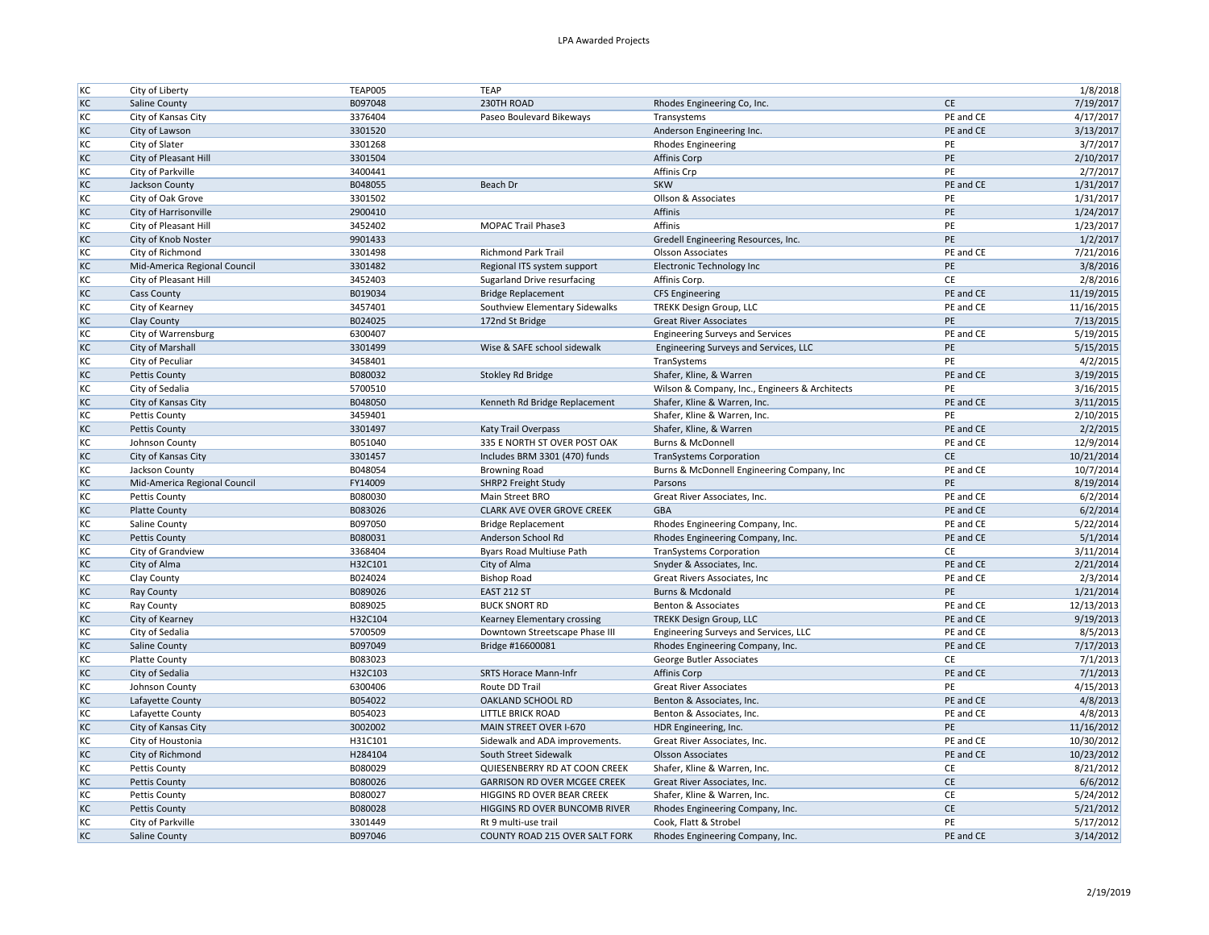| KC        | City of Liberty              | <b>TEAP005</b> | <b>TEAP</b>                         |                                                |           | 1/8/2018   |
|-----------|------------------------------|----------------|-------------------------------------|------------------------------------------------|-----------|------------|
| KC        | Saline County                | B097048        | 230TH ROAD                          | Rhodes Engineering Co, Inc.                    | <b>CE</b> | 7/19/2017  |
| KC        | City of Kansas City          | 3376404        | Paseo Boulevard Bikeways            | Transystems                                    | PE and CE | 4/17/2017  |
| KC        | City of Lawson               | 3301520        |                                     | Anderson Engineering Inc.                      | PE and CE | 3/13/2017  |
| KC        | City of Slater               | 3301268        |                                     | <b>Rhodes Engineering</b>                      | PE        | 3/7/2017   |
| KC        | City of Pleasant Hill        | 3301504        |                                     | Affinis Corp                                   | PE        | 2/10/2017  |
| KC        | City of Parkville            | 3400441        |                                     | Affinis Crp                                    | PE        | 2/7/2017   |
| KC        | Jackson County               | B048055        | Beach Dr                            | <b>SKW</b>                                     | PE and CE | 1/31/2017  |
| KC        | City of Oak Grove            | 3301502        |                                     | Ollson & Associates                            | PE        | 1/31/2017  |
| KC        | City of Harrisonville        | 2900410        |                                     | Affinis                                        | PE        | 1/24/2017  |
| KC        | City of Pleasant Hill        | 3452402        | <b>MOPAC Trail Phase3</b>           | Affinis                                        | PE        | 1/23/2017  |
| KC        | City of Knob Noster          | 9901433        |                                     | Gredell Engineering Resources, Inc.            | PE        | 1/2/2017   |
| KC        | City of Richmond             | 3301498        | <b>Richmond Park Trail</b>          | <b>Olsson Associates</b>                       | PE and CE | 7/21/2016  |
| KC        | Mid-America Regional Council | 3301482        | Regional ITS system support         | Electronic Technology Inc                      | PE        | 3/8/2016   |
| KC        | City of Pleasant Hill        | 3452403        | Sugarland Drive resurfacing         | Affinis Corp.                                  | CE        | 2/8/2016   |
| KC        | <b>Cass County</b>           | B019034        | <b>Bridge Replacement</b>           | <b>CFS Engineering</b>                         | PE and CE | 11/19/2015 |
| KC        | City of Kearney              | 3457401        | Southview Elementary Sidewalks      | TREKK Design Group, LLC                        | PE and CE | 11/16/2015 |
| KC        | Clay County                  | B024025        | 172nd St Bridge                     | <b>Great River Associates</b>                  | PE        | 7/13/2015  |
| KC        |                              |                |                                     |                                                | PE and CE | 5/19/2015  |
|           | City of Warrensburg          | 6300407        |                                     | <b>Engineering Surveys and Services</b>        | PE        |            |
| KC        | City of Marshall             | 3301499        | Wise & SAFE school sidewalk         | Engineering Surveys and Services, LLC          | PE        | 5/15/2015  |
| KC        | City of Peculiar             | 3458401        |                                     | TranSystems                                    |           | 4/2/2015   |
| KC        | <b>Pettis County</b>         | B080032        | Stokley Rd Bridge                   | Shafer, Kline, & Warren                        | PE and CE | 3/19/2015  |
| KC        | City of Sedalia              | 5700510        |                                     | Wilson & Company, Inc., Engineers & Architects | PE        | 3/16/2015  |
| KC        | City of Kansas City          | B048050        | Kenneth Rd Bridge Replacement       | Shafer, Kline & Warren, Inc.                   | PE and CE | 3/11/2015  |
| KC        | Pettis County                | 3459401        |                                     | Shafer, Kline & Warren, Inc.                   | PE        | 2/10/2015  |
| KC        | <b>Pettis County</b>         | 3301497        | Katy Trail Overpass                 | Shafer, Kline, & Warren                        | PE and CE | 2/2/2015   |
| KC        | Johnson County               | B051040        | 335 E NORTH ST OVER POST OAK        | Burns & McDonnell                              | PE and CE | 12/9/2014  |
| KC        | City of Kansas City          | 3301457        | Includes BRM 3301 (470) funds       | <b>TranSystems Corporation</b>                 | <b>CE</b> | 10/21/2014 |
| KC        | Jackson County               | B048054        | <b>Browning Road</b>                | Burns & McDonnell Engineering Company, Inc     | PE and CE | 10/7/2014  |
| KC        | Mid-America Regional Council | FY14009        | SHRP2 Freight Study                 | Parsons                                        | PE        | 8/19/2014  |
| KC        | Pettis County                | B080030        | Main Street BRO                     | Great River Associates, Inc.                   | PE and CE | 6/2/2014   |
| KC        | <b>Platte County</b>         | B083026        | CLARK AVE OVER GROVE CREEK          | GBA                                            | PE and CE | 6/2/2014   |
| KC        | Saline County                | B097050        | <b>Bridge Replacement</b>           | Rhodes Engineering Company, Inc.               | PE and CE | 5/22/2014  |
| KC        | <b>Pettis County</b>         | B080031        | Anderson School Rd                  | Rhodes Engineering Company, Inc.               | PE and CE | 5/1/2014   |
| KC        | City of Grandview            | 3368404        | Byars Road Multiuse Path            | <b>TranSystems Corporation</b>                 | CE        | 3/11/2014  |
| KC        | City of Alma                 | H32C101        | City of Alma                        | Snyder & Associates, Inc.                      | PE and CE | 2/21/2014  |
| KC        | Clay County                  | B024024        | <b>Bishop Road</b>                  | Great Rivers Associates, Inc.                  | PE and CE | 2/3/2014   |
| KC        | Ray County                   | B089026        | <b>EAST 212 ST</b>                  | Burns & Mcdonald                               | PE        | 1/21/2014  |
| KC        | Ray County                   | B089025        | <b>BUCK SNORT RD</b>                | Benton & Associates                            | PE and CE | 12/13/2013 |
| KC        | City of Kearney              | H32C104        | Kearney Elementary crossing         | <b>TREKK Design Group, LLC</b>                 | PE and CE | 9/19/2013  |
| KC        | City of Sedalia              | 5700509        | Downtown Streetscape Phase III      | Engineering Surveys and Services, LLC          | PE and CE | 8/5/2013   |
| KC        | Saline County                | B097049        | Bridge #16600081                    | Rhodes Engineering Company, Inc.               | PE and CE | 7/17/2013  |
| KC        | <b>Platte County</b>         | B083023        |                                     | George Butler Associates                       | <b>CE</b> | 7/1/2013   |
| KC        | City of Sedalia              | H32C103        | SRTS Horace Mann-Infr               | Affinis Corp                                   | PE and CE | 7/1/2013   |
| KC        | Johnson County               | 6300406        | Route DD Trail                      | <b>Great River Associates</b>                  | PE        | 4/15/2013  |
| KC        | Lafayette County             | B054022        | OAKLAND SCHOOL RD                   | Benton & Associates, Inc.                      | PE and CE | 4/8/2013   |
| KC        | Lafayette County             | B054023        | LITTLE BRICK ROAD                   | Benton & Associates, Inc.                      | PE and CE | 4/8/2013   |
| KC        | City of Kansas City          | 3002002        | MAIN STREET OVER I-670              | HDR Engineering, Inc.                          | PE        | 11/16/2012 |
| KC        | City of Houstonia            | H31C101        | Sidewalk and ADA improvements.      | Great River Associates, Inc.                   | PE and CE | 10/30/2012 |
| KC        | City of Richmond             | H284104        | South Street Sidewalk               | <b>Olsson Associates</b>                       | PE and CE | 10/23/2012 |
| KC        | Pettis County                | B080029        | QUIESENBERRY RD AT COON CREEK       | Shafer, Kline & Warren, Inc.                   | CE        | 8/21/2012  |
| KC        | <b>Pettis County</b>         | B080026        | <b>GARRISON RD OVER MCGEE CREEK</b> | Great River Associates, Inc.                   | <b>CE</b> | 6/6/2012   |
| KC        | Pettis County                | B080027        | HIGGINS RD OVER BEAR CREEK          | Shafer, Kline & Warren, Inc.                   | CE        | 5/24/2012  |
| KC        | <b>Pettis County</b>         | B080028        | HIGGINS RD OVER BUNCOMB RIVER       | Rhodes Engineering Company, Inc.               | CE        | 5/21/2012  |
| KC        | City of Parkville            | 3301449        | Rt 9 multi-use trail                | Cook, Flatt & Strobel                          | PE        | 5/17/2012  |
| <b>KC</b> | Saline County                | B097046        | COUNTY ROAD 215 OVER SALT FORK      | Rhodes Engineering Company, Inc.               | PE and CE | 3/14/2012  |
|           |                              |                |                                     |                                                |           |            |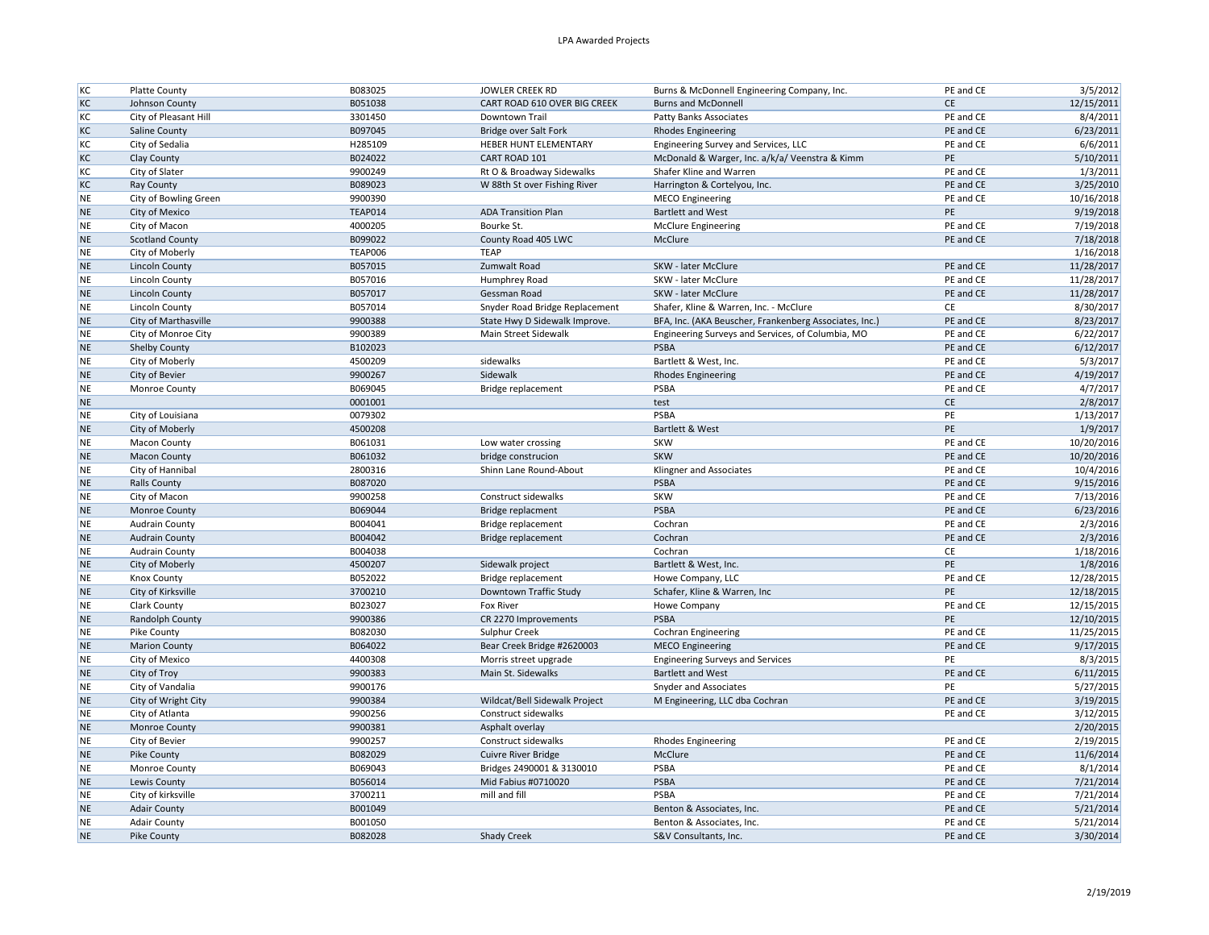| KC        | Platte County          | B083025        | <b>JOWLER CREEK RD</b>         | Burns & McDonnell Engineering Company, Inc.            | PE and CE | 3/5/2012   |
|-----------|------------------------|----------------|--------------------------------|--------------------------------------------------------|-----------|------------|
| KC        | Johnson County         | B051038        | CART ROAD 610 OVER BIG CREEK   | <b>Burns and McDonnell</b>                             | CE        | 12/15/2011 |
| KC        | City of Pleasant Hill  | 3301450        | Downtown Trail                 | Patty Banks Associates                                 | PE and CE | 8/4/2011   |
| KC        | <b>Saline County</b>   | B097045        | Bridge over Salt Fork          | <b>Rhodes Engineering</b>                              | PE and CE | 6/23/2011  |
| KC        | City of Sedalia        | H285109        | HEBER HUNT ELEMENTARY          | Engineering Survey and Services, LLC                   | PE and CE | 6/6/2011   |
| KC        | Clay County            | B024022        | CART ROAD 101                  | McDonald & Warger, Inc. a/k/a/ Veenstra & Kimm         | PE        | 5/10/2011  |
| KC        | City of Slater         | 9900249        | Rt O & Broadway Sidewalks      | Shafer Kline and Warren                                | PE and CE | 1/3/2011   |
| KC        | Ray County             | B089023        | W 88th St over Fishing River   | Harrington & Cortelyou, Inc.                           | PE and CE | 3/25/2010  |
| NE        | City of Bowling Green  | 9900390        |                                | <b>MECO</b> Engineering                                | PE and CE | 10/16/2018 |
| <b>NE</b> | City of Mexico         | TEAP014        | <b>ADA Transition Plan</b>     | <b>Bartlett and West</b>                               | PE        | 9/19/2018  |
| <b>NE</b> | City of Macon          | 4000205        | Bourke St.                     | <b>McClure Engineering</b>                             | PE and CE | 7/19/2018  |
| <b>NE</b> | <b>Scotland County</b> | B099022        | County Road 405 LWC            | McClure                                                | PE and CE | 7/18/2018  |
| <b>NE</b> | City of Moberly        | <b>TEAP006</b> | <b>TEAP</b>                    |                                                        |           | 1/16/2018  |
| <b>NE</b> | <b>Lincoln County</b>  | B057015        | Zumwalt Road                   | SKW - later McClure                                    | PE and CE | 11/28/2017 |
| NE        | <b>Lincoln County</b>  | B057016        | Humphrey Road                  | SKW - later McClure                                    | PE and CE | 11/28/2017 |
| <b>NE</b> | <b>Lincoln County</b>  | B057017        | Gessman Road                   | SKW - later McClure                                    | PE and CE | 11/28/2017 |
| <b>NE</b> | Lincoln County         | B057014        | Snyder Road Bridge Replacement | Shafer, Kline & Warren, Inc. - McClure                 | CE        | 8/30/2017  |
| <b>NE</b> | City of Marthasville   | 9900388        | State Hwy D Sidewalk Improve.  | BFA, Inc. (AKA Beuscher, Frankenberg Associates, Inc.) | PE and CE | 8/23/2017  |
| <b>NE</b> | City of Monroe City    | 9900389        | Main Street Sidewalk           | Engineering Surveys and Services, of Columbia, MO      | PE and CE | 6/22/2017  |
| <b>NE</b> | Shelby County          | B102023        |                                | PSBA                                                   | PE and CE | 6/12/2017  |
| <b>NE</b> | City of Moberly        | 4500209        | sidewalks                      | Bartlett & West, Inc.                                  | PE and CE | 5/3/2017   |
| <b>NE</b> | City of Bevier         | 9900267        | Sidewalk                       | <b>Rhodes Engineering</b>                              | PE and CE | 4/19/2017  |
| <b>NE</b> | Monroe County          | B069045        | Bridge replacement             | <b>PSBA</b>                                            | PE and CE | 4/7/2017   |
| <b>NE</b> |                        | 0001001        |                                | test                                                   | <b>CE</b> | 2/8/2017   |
| <b>NE</b> | City of Louisiana      | 0079302        |                                | PSBA                                                   | PE        | 1/13/2017  |
| <b>NE</b> | City of Moberly        | 4500208        |                                | Bartlett & West                                        | PE        | 1/9/2017   |
| <b>NE</b> | Macon County           | B061031        | Low water crossing             | SKW                                                    | PE and CE | 10/20/2016 |
| <b>NE</b> | <b>Macon County</b>    | B061032        | bridge construcion             | <b>SKW</b>                                             | PE and CE | 10/20/2016 |
| <b>NE</b> | City of Hannibal       | 2800316        | Shinn Lane Round-About         | Klingner and Associates                                | PE and CE | 10/4/2016  |
| <b>NE</b> | <b>Ralls County</b>    | B087020        |                                | PSBA                                                   | PE and CE | 9/15/2016  |
| <b>NE</b> | City of Macon          | 9900258        | Construct sidewalks            | <b>SKW</b>                                             | PE and CE | 7/13/2016  |
| <b>NE</b> | Monroe County          | B069044        | Bridge replacment              | PSBA                                                   | PE and CE | 6/23/2016  |
| <b>NE</b> | Audrain County         | B004041        | Bridge replacement             | Cochran                                                | PE and CE | 2/3/2016   |
| <b>NE</b> | <b>Audrain County</b>  | B004042        | Bridge replacement             | Cochran                                                | PE and CE | 2/3/2016   |
| <b>NE</b> | Audrain County         | B004038        |                                | Cochran                                                | CE        | 1/18/2016  |
| <b>NE</b> | City of Moberly        | 4500207        | Sidewalk project               | Bartlett & West, Inc.                                  | PE        | 1/8/2016   |
| <b>NE</b> | <b>Knox County</b>     | B052022        | Bridge replacement             | Howe Company, LLC                                      | PE and CE | 12/28/2015 |
| <b>NE</b> | City of Kirksville     | 3700210        | Downtown Traffic Study         | Schafer, Kline & Warren, Inc                           | PE        | 12/18/2015 |
| <b>NE</b> | Clark County           | B023027        | Fox River                      | Howe Company                                           | PE and CE | 12/15/2015 |
| <b>NE</b> | Randolph County        | 9900386        | CR 2270 Improvements           | PSBA                                                   | PE        | 12/10/2015 |
| <b>NE</b> | Pike County            | B082030        | Sulphur Creek                  | <b>Cochran Engineering</b>                             | PE and CE | 11/25/2015 |
| <b>NE</b> | <b>Marion County</b>   | B064022        | Bear Creek Bridge #2620003     | <b>MECO Engineering</b>                                | PE and CE | 9/17/2015  |
| <b>NE</b> | City of Mexico         | 4400308        | Morris street upgrade          | <b>Engineering Surveys and Services</b>                | PE        | 8/3/2015   |
| <b>NE</b> | City of Troy           | 9900383        | Main St. Sidewalks             | <b>Bartlett and West</b>                               | PE and CE | 6/11/2015  |
| <b>NE</b> | City of Vandalia       | 9900176        |                                | Snyder and Associates                                  | PE        | 5/27/2015  |
| <b>NE</b> | City of Wright City    | 9900384        | Wildcat/Bell Sidewalk Project  | M Engineering, LLC dba Cochran                         | PE and CE | 3/19/2015  |
| <b>NE</b> | City of Atlanta        | 9900256        | Construct sidewalks            |                                                        | PE and CE | 3/12/2015  |
| <b>NE</b> | Monroe County          | 9900381        | Asphalt overlay                |                                                        |           | 2/20/2015  |
| <b>NE</b> | City of Bevier         | 9900257        | Construct sidewalks            | <b>Rhodes Engineering</b>                              | PE and CE | 2/19/2015  |
| <b>NE</b> | Pike County            | B082029        | Cuivre River Bridge            | McClure                                                | PE and CE | 11/6/2014  |
| <b>NE</b> | Monroe County          | B069043        | Bridges 2490001 & 3130010      | PSBA                                                   | PE and CE | 8/1/2014   |
| <b>NE</b> | Lewis County           | B056014        | Mid Fabius #0710020            | <b>PSBA</b>                                            | PE and CE | 7/21/2014  |
| <b>NE</b> | City of kirksville     | 3700211        | mill and fill                  | PSBA                                                   | PE and CE | 7/21/2014  |
| <b>NE</b> | <b>Adair County</b>    | B001049        |                                | Benton & Associates, Inc.                              | PE and CE | 5/21/2014  |
|           |                        |                |                                |                                                        | PE and CE |            |
| <b>NE</b> | <b>Adair County</b>    | B001050        |                                | Benton & Associates, Inc.                              |           | 5/21/2014  |
| <b>NE</b> | Pike County            | B082028        | Shady Creek                    | S&V Consultants, Inc.                                  | PE and CE | 3/30/2014  |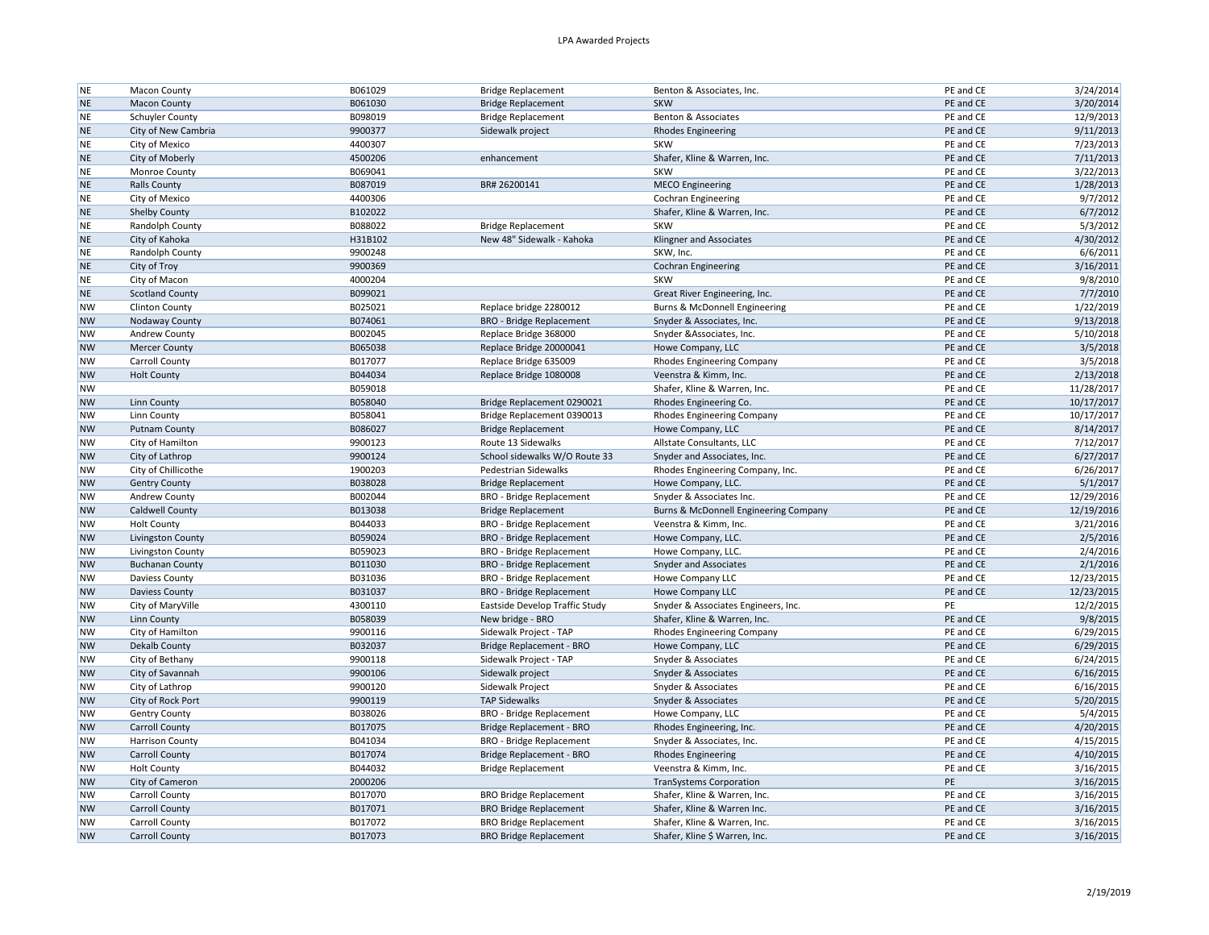| <b>NE</b>              | Macon County           | B061029 | <b>Bridge Replacement</b>       | Benton & Associates, Inc.             | PE and CE       | 3/24/2014              |
|------------------------|------------------------|---------|---------------------------------|---------------------------------------|-----------------|------------------------|
| <b>NE</b>              | <b>Macon County</b>    | B061030 | <b>Bridge Replacement</b>       | <b>SKW</b>                            | PE and CE       | 3/20/2014              |
| NE                     | Schuyler County        | B098019 | <b>Bridge Replacement</b>       | Benton & Associates                   | PE and CE       | 12/9/2013              |
| <b>NE</b>              | City of New Cambria    | 9900377 | Sidewalk project                | <b>Rhodes Engineering</b>             | PE and CE       | 9/11/2013              |
| <b>NE</b>              | City of Mexico         | 4400307 |                                 | <b>SKW</b>                            | PE and CE       | 7/23/2013              |
| <b>NE</b>              | City of Moberly        | 4500206 | enhancement                     | Shafer, Kline & Warren, Inc.          | PE and CE       | 7/11/2013              |
| <b>NE</b>              | Monroe County          | B069041 |                                 | SKW                                   | PE and CE       | 3/22/2013              |
| <b>NE</b>              | <b>Ralls County</b>    | B087019 | BR# 26200141                    | <b>MECO Engineering</b>               | PE and CE       | 1/28/2013              |
| <b>NE</b>              | City of Mexico         | 4400306 |                                 | Cochran Engineering                   | PE and CE       | 9/7/2012               |
| <b>NE</b>              | Shelby County          | B102022 |                                 | Shafer, Kline & Warren, Inc.          | PE and CE       | 6/7/2012               |
| <b>NE</b>              | Randolph County        | B088022 | <b>Bridge Replacement</b>       | <b>SKW</b>                            | PE and CE       | 5/3/2012               |
| <b>NE</b>              | City of Kahoka         | H31B102 | New 48" Sidewalk - Kahoka       | Klingner and Associates               | PE and CE       | 4/30/2012              |
| <b>NE</b>              | Randolph County        | 9900248 |                                 | SKW, Inc.                             | PE and CE       | 6/6/2011               |
| <b>NE</b>              | City of Troy           | 9900369 |                                 | <b>Cochran Engineering</b>            | PE and CE       | 3/16/2011              |
| <b>NE</b>              | City of Macon          | 4000204 |                                 | <b>SKW</b>                            | PE and CE       | 9/8/2010               |
| <b>NE</b>              | <b>Scotland County</b> | B099021 |                                 | Great River Engineering, Inc.         | PE and CE       | 7/7/2010               |
| <b>NW</b>              | <b>Clinton County</b>  | B025021 | Replace bridge 2280012          | Burns & McDonnell Engineering         | PE and CE       | 1/22/2019              |
| <b>NW</b>              | Nodaway County         | B074061 | <b>BRO</b> - Bridge Replacement | Snyder & Associates, Inc.             | PE and CE       | 9/13/2018              |
| <b>NW</b>              | Andrew County          | B002045 | Replace Bridge 368000           | Snyder & Associates, Inc.             | PE and CE       | 5/10/2018              |
| <b>NW</b>              | <b>Mercer County</b>   | B065038 | Replace Bridge 20000041         | Howe Company, LLC                     | PE and CE       | 3/5/2018               |
| <b>NW</b>              | Carroll County         | B017077 | Replace Bridge 635009           | <b>Rhodes Engineering Company</b>     | PE and CE       | 3/5/2018               |
| <b>NW</b>              | <b>Holt County</b>     | B044034 | Replace Bridge 1080008          | Veenstra & Kimm, Inc.                 | PE and CE       | 2/13/2018              |
| <b>NW</b>              |                        | B059018 |                                 | Shafer, Kline & Warren, Inc.          | PE and CE       | 11/28/2017             |
| <b>NW</b>              | Linn County            | B058040 | Bridge Replacement 0290021      | Rhodes Engineering Co.                | PE and CE       | 10/17/2017             |
| <b>NW</b>              | Linn County            | B058041 | Bridge Replacement 0390013      | <b>Rhodes Engineering Company</b>     | PE and CE       | 10/17/2017             |
| <b>NW</b>              | Putnam County          | B086027 | <b>Bridge Replacement</b>       | Howe Company, LLC                     | PE and CE       | 8/14/2017              |
| <b>NW</b>              | City of Hamilton       | 9900123 | Route 13 Sidewalks              | Allstate Consultants, LLC             | PE and CE       | 7/12/2017              |
| <b>NW</b>              | City of Lathrop        | 9900124 | School sidewalks W/O Route 33   | Snyder and Associates, Inc.           | PE and CE       | 6/27/2017              |
| <b>NW</b>              | City of Chillicothe    | 1900203 | <b>Pedestrian Sidewalks</b>     | Rhodes Engineering Company, Inc.      | PE and CE       | 6/26/2017              |
| <b>NW</b>              | <b>Gentry County</b>   | B038028 | <b>Bridge Replacement</b>       | Howe Company, LLC.                    | PE and CE       | 5/1/2017               |
| <b>NW</b>              | Andrew County          | B002044 | <b>BRO</b> - Bridge Replacement | Snyder & Associates Inc.              | PE and CE       | 12/29/2016             |
| <b>NW</b>              | Caldwell County        | B013038 | <b>Bridge Replacement</b>       | Burns & McDonnell Engineering Company | PE and CE       | 12/19/2016             |
| <b>NW</b>              | <b>Holt County</b>     | B044033 | <b>BRO</b> - Bridge Replacement | Veenstra & Kimm, Inc.                 | PE and CE       | 3/21/2016              |
| <b>NW</b>              | Livingston County      | B059024 | <b>BRO</b> - Bridge Replacement | Howe Company, LLC.                    | PE and CE       | 2/5/2016               |
| <b>NW</b>              | Livingston County      | B059023 | <b>BRO</b> - Bridge Replacement | Howe Company, LLC.                    | PE and CE       | 2/4/2016               |
| <b>NW</b>              | <b>Buchanan County</b> | B011030 | <b>BRO</b> - Bridge Replacement | <b>Snyder and Associates</b>          | PE and CE       | 2/1/2016               |
| <b>NW</b>              | Daviess County         | B031036 | <b>BRO - Bridge Replacement</b> | Howe Company LLC                      | PE and CE       | 12/23/2015             |
| <b>NW</b>              | <b>Daviess County</b>  | B031037 | <b>BRO</b> - Bridge Replacement | Howe Company LLC                      | PE and CE       | 12/23/2015             |
| <b>NW</b>              | City of MaryVille      | 4300110 | Eastside Develop Traffic Study  | Snyder & Associates Engineers, Inc.   | PE              | 12/2/2015              |
| <b>NW</b>              | Linn County            | B058039 | New bridge - BRO                | Shafer, Kline & Warren, Inc.          | PE and CE       | 9/8/2015               |
| <b>NW</b>              | City of Hamilton       | 9900116 | Sidewalk Project - TAP          | <b>Rhodes Engineering Company</b>     | PE and CE       | 6/29/2015              |
| <b>NW</b>              | Dekalb County          | B032037 | Bridge Replacement - BRO        | Howe Company, LLC                     | PE and CE       | 6/29/2015              |
| <b>NW</b>              | City of Bethany        | 9900118 | Sidewalk Project - TAP          | Snyder & Associates                   | PE and CE       | 6/24/2015              |
| <b>NW</b>              | City of Savannah       | 9900106 | Sidewalk project                | Snyder & Associates                   | PE and CE       | 6/16/2015              |
| <b>NW</b>              | City of Lathrop        | 9900120 | Sidewalk Project                | Snyder & Associates                   | PE and CE       | 6/16/2015              |
| <b>NW</b>              | City of Rock Port      | 9900119 | <b>TAP Sidewalks</b>            | Snyder & Associates                   | PE and CE       | 5/20/2015              |
| <b>NW</b>              |                        | B038026 |                                 |                                       | PE and CE       |                        |
|                        | <b>Gentry County</b>   |         | <b>BRO</b> - Bridge Replacement | Howe Company, LLC                     |                 | 5/4/2015               |
| <b>NW</b>              | <b>Carroll County</b>  | B017075 | Bridge Replacement - BRO        | Rhodes Engineering, Inc.              | PE and CE       | 4/20/2015              |
| <b>NW</b>              | <b>Harrison County</b> | B041034 | <b>BRO - Bridge Replacement</b> | Snyder & Associates, Inc.             | PE and CE       | 4/15/2015              |
| <b>NW</b>              | <b>Carroll County</b>  | B017074 | Bridge Replacement - BRO        | <b>Rhodes Engineering</b>             | PE and CE       | 4/10/2015              |
| <b>NW</b>              | <b>Holt County</b>     | B044032 | <b>Bridge Replacement</b>       | Veenstra & Kimm, Inc.                 | PE and CE<br>PE | 3/16/2015<br>3/16/2015 |
| <b>NW</b>              | City of Cameron        | 2000206 |                                 | <b>TranSystems Corporation</b>        |                 |                        |
| <b>NW</b>              | Carroll County         | B017070 | <b>BRO Bridge Replacement</b>   | Shafer, Kline & Warren, Inc.          | PE and CE       | 3/16/2015              |
| <b>NW</b>              | <b>Carroll County</b>  | B017071 | <b>BRO Bridge Replacement</b>   | Shafer, Kline & Warren Inc.           | PE and CE       | 3/16/2015              |
| <b>NW</b><br><b>NW</b> | Carroll County         | B017072 | <b>BRO Bridge Replacement</b>   | Shafer, Kline & Warren, Inc.          | PE and CE       | 3/16/2015              |
|                        | <b>Carroll County</b>  | B017073 | <b>BRO Bridge Replacement</b>   | Shafer, Kline \$ Warren, Inc.         | PE and CE       | 3/16/2015              |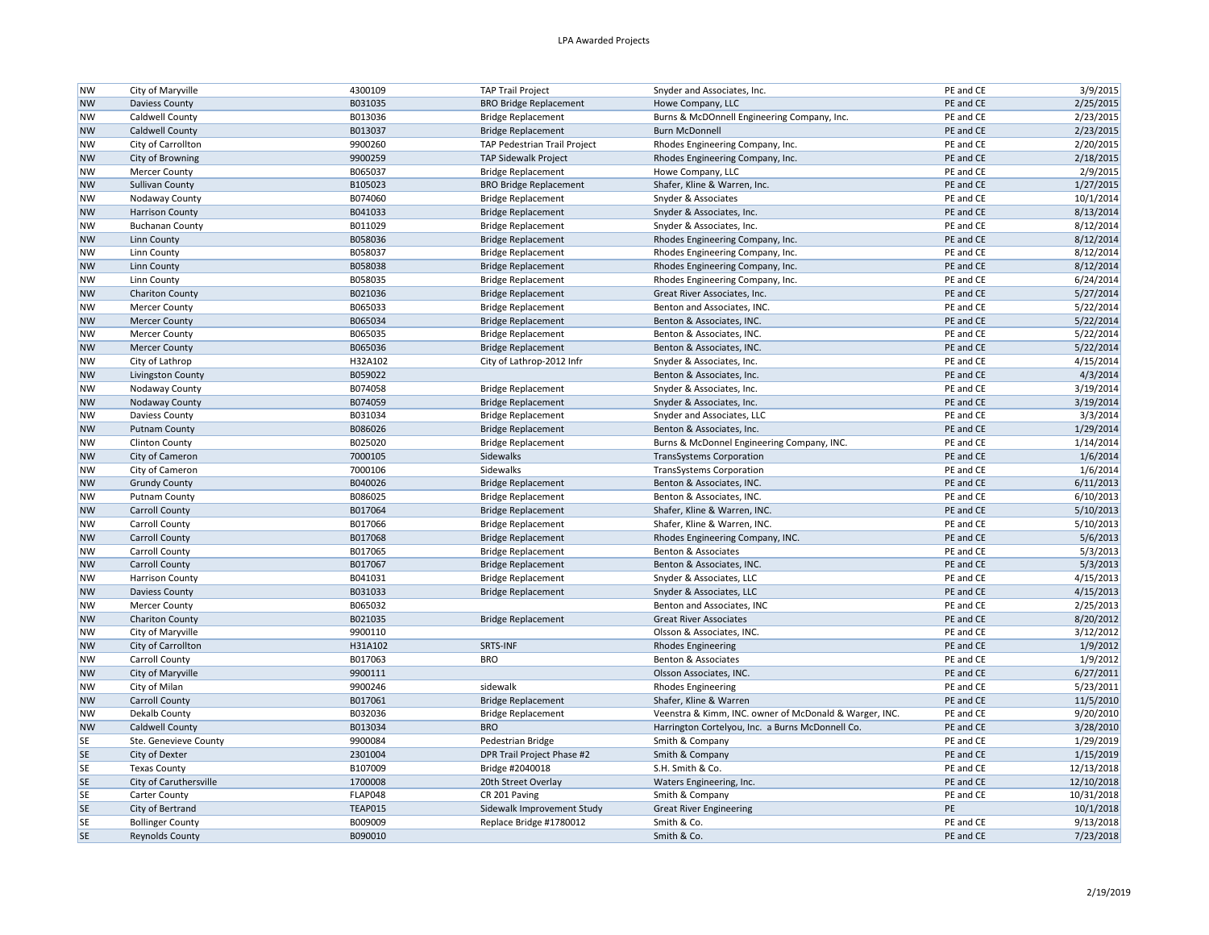| <b>NW</b> | City of Maryville       | 4300109 | <b>TAP Trail Project</b>      | Snyder and Associates, Inc.                            | PE and CE | 3/9/2015   |
|-----------|-------------------------|---------|-------------------------------|--------------------------------------------------------|-----------|------------|
| <b>NW</b> | <b>Daviess County</b>   | B031035 | <b>BRO Bridge Replacement</b> | Howe Company, LLC                                      | PE and CE | 2/25/2015  |
| <b>NW</b> | Caldwell County         | B013036 | <b>Bridge Replacement</b>     | Burns & McDOnnell Engineering Company, Inc.            | PE and CE | 2/23/2015  |
| <b>NW</b> | Caldwell County         | B013037 | <b>Bridge Replacement</b>     | <b>Burn McDonnell</b>                                  | PE and CE | 2/23/2015  |
| <b>NW</b> | City of Carrollton      | 9900260 | TAP Pedestrian Trail Project  | Rhodes Engineering Company, Inc.                       | PE and CE | 2/20/2015  |
| <b>NW</b> | City of Browning        | 9900259 | <b>TAP Sidewalk Project</b>   | Rhodes Engineering Company, Inc.                       | PE and CE | 2/18/2015  |
| <b>NW</b> | <b>Mercer County</b>    | B065037 | <b>Bridge Replacement</b>     | Howe Company, LLC                                      | PE and CE | 2/9/2015   |
| <b>NW</b> | <b>Sullivan County</b>  | B105023 | <b>BRO Bridge Replacement</b> | Shafer, Kline & Warren, Inc.                           | PE and CE | 1/27/2015  |
| <b>NW</b> | Nodaway County          | B074060 | <b>Bridge Replacement</b>     | Snyder & Associates                                    | PE and CE | 10/1/2014  |
| <b>NW</b> | <b>Harrison County</b>  | B041033 | <b>Bridge Replacement</b>     | Snyder & Associates, Inc.                              | PE and CE | 8/13/2014  |
| <b>NW</b> | <b>Buchanan County</b>  | B011029 | <b>Bridge Replacement</b>     | Snyder & Associates, Inc.                              | PE and CE | 8/12/2014  |
| <b>NW</b> | <b>Linn County</b>      | B058036 | <b>Bridge Replacement</b>     | Rhodes Engineering Company, Inc.                       | PE and CE | 8/12/2014  |
| <b>NW</b> | Linn County             | B058037 | <b>Bridge Replacement</b>     | Rhodes Engineering Company, Inc.                       | PE and CE | 8/12/2014  |
| <b>NW</b> | Linn County             | B058038 | <b>Bridge Replacement</b>     | Rhodes Engineering Company, Inc.                       | PE and CE | 8/12/2014  |
| <b>NW</b> | Linn County             | B058035 | <b>Bridge Replacement</b>     | Rhodes Engineering Company, Inc.                       | PE and CE | 6/24/2014  |
| <b>NW</b> | <b>Chariton County</b>  | B021036 | <b>Bridge Replacement</b>     | Great River Associates, Inc.                           | PE and CE | 5/27/2014  |
| <b>NW</b> | <b>Mercer County</b>    | B065033 | <b>Bridge Replacement</b>     | Benton and Associates, INC.                            | PE and CE | 5/22/2014  |
| <b>NW</b> | <b>Mercer County</b>    | B065034 | <b>Bridge Replacement</b>     | Benton & Associates, INC.                              | PE and CE | 5/22/2014  |
| <b>NW</b> | Mercer County           | B065035 | <b>Bridge Replacement</b>     | Benton & Associates, INC.                              | PE and CE | 5/22/2014  |
| <b>NW</b> | <b>Mercer County</b>    | B065036 | <b>Bridge Replacement</b>     | Benton & Associates, INC.                              | PE and CE | 5/22/2014  |
| <b>NW</b> | City of Lathrop         | H32A102 | City of Lathrop-2012 Infr     | Snyder & Associates, Inc.                              | PE and CE | 4/15/2014  |
| <b>NW</b> | Livingston County       | B059022 |                               | Benton & Associates, Inc.                              | PE and CE | 4/3/2014   |
| <b>NW</b> | Nodaway County          | B074058 | <b>Bridge Replacement</b>     | Snyder & Associates, Inc.                              | PE and CE | 3/19/2014  |
| <b>NW</b> | Nodaway County          | B074059 | <b>Bridge Replacement</b>     | Snyder & Associates, Inc.                              | PE and CE | 3/19/2014  |
| <b>NW</b> | Daviess County          | B031034 | <b>Bridge Replacement</b>     | Snyder and Associates, LLC                             | PE and CE | 3/3/2014   |
| <b>NW</b> | <b>Putnam County</b>    | B086026 | <b>Bridge Replacement</b>     | Benton & Associates, Inc.                              | PE and CE | 1/29/2014  |
| <b>NW</b> | <b>Clinton County</b>   | B025020 | <b>Bridge Replacement</b>     | Burns & McDonnel Engineering Company, INC.             | PE and CE | 1/14/2014  |
| <b>NW</b> | City of Cameron         | 7000105 | Sidewalks                     | <b>TransSystems Corporation</b>                        | PE and CE | 1/6/2014   |
| <b>NW</b> | City of Cameron         | 7000106 | Sidewalks                     | <b>TransSystems Corporation</b>                        | PE and CE | 1/6/2014   |
| <b>NW</b> | <b>Grundy County</b>    | B040026 | <b>Bridge Replacement</b>     | Benton & Associates, INC.                              | PE and CE | 6/11/2013  |
| <b>NW</b> | Putnam County           | B086025 | <b>Bridge Replacement</b>     | Benton & Associates, INC.                              | PE and CE | 6/10/2013  |
| <b>NW</b> | <b>Carroll County</b>   | B017064 | <b>Bridge Replacement</b>     | Shafer, Kline & Warren, INC.                           | PE and CE | 5/10/2013  |
| <b>NW</b> | Carroll County          | B017066 | <b>Bridge Replacement</b>     | Shafer, Kline & Warren, INC.                           | PE and CE | 5/10/2013  |
| <b>NW</b> | Carroll County          | B017068 | <b>Bridge Replacement</b>     | Rhodes Engineering Company, INC.                       | PE and CE | 5/6/2013   |
| <b>NW</b> | Carroll County          | B017065 | <b>Bridge Replacement</b>     | Benton & Associates                                    | PE and CE | 5/3/2013   |
| <b>NW</b> | <b>Carroll County</b>   | B017067 | <b>Bridge Replacement</b>     | Benton & Associates, INC.                              | PE and CE | 5/3/2013   |
| <b>NW</b> | <b>Harrison County</b>  | B041031 | <b>Bridge Replacement</b>     | Snyder & Associates, LLC                               | PE and CE | 4/15/2013  |
| <b>NW</b> | <b>Daviess County</b>   | B031033 | <b>Bridge Replacement</b>     | Snyder & Associates, LLC                               | PE and CE | 4/15/2013  |
| <b>NW</b> | Mercer County           | B065032 |                               | Benton and Associates, INC                             | PE and CE | 2/25/2013  |
| <b>NW</b> | <b>Chariton County</b>  | B021035 | <b>Bridge Replacement</b>     | <b>Great River Associates</b>                          | PE and CE | 8/20/2012  |
| <b>NW</b> | City of Maryville       | 9900110 |                               | Olsson & Associates, INC.                              | PE and CE | 3/12/2012  |
| <b>NW</b> | City of Carrollton      | H31A102 | SRTS-INF                      | <b>Rhodes Engineering</b>                              | PE and CE | 1/9/2012   |
| <b>NW</b> | Carroll County          | B017063 | <b>BRO</b>                    | Benton & Associates                                    | PE and CE | 1/9/2012   |
| <b>NW</b> | City of Maryville       | 9900111 |                               | Olsson Associates, INC.                                | PE and CE | 6/27/2011  |
| <b>NW</b> | City of Milan           | 9900246 | sidewalk                      | <b>Rhodes Engineering</b>                              | PE and CE | 5/23/2011  |
| <b>NW</b> | <b>Carroll County</b>   | B017061 | <b>Bridge Replacement</b>     | Shafer, Kline & Warren                                 | PE and CE | 11/5/2010  |
| <b>NW</b> | Dekalb County           | B032036 | <b>Bridge Replacement</b>     | Veenstra & Kimm, INC. owner of McDonald & Warger, INC. | PE and CE | 9/20/2010  |
| <b>NW</b> | Caldwell County         | B013034 | <b>BRO</b>                    | Harrington Cortelyou, Inc. a Burns McDonnell Co.       | PE and CE | 3/28/2010  |
| <b>SE</b> | Ste. Genevieve County   | 9900084 | Pedestrian Bridge             | Smith & Company                                        | PE and CE | 1/29/2019  |
| <b>SE</b> | City of Dexter          | 2301004 | DPR Trail Project Phase #2    | Smith & Company                                        | PE and CE | 1/15/2019  |
| <b>SE</b> | <b>Texas County</b>     | B107009 | Bridge #2040018               | S.H. Smith & Co.                                       | PE and CE | 12/13/2018 |
| <b>SE</b> | City of Caruthersville  | 1700008 | 20th Street Overlay           | Waters Engineering, Inc.                               | PE and CE | 12/10/2018 |
| <b>SE</b> | Carter County           | FLAP048 | CR 201 Paving                 | Smith & Company                                        | PE and CE | 10/31/2018 |
| <b>SE</b> | City of Bertrand        | TEAP015 | Sidewalk Improvement Study    | <b>Great River Engineering</b>                         | PE        | 10/1/2018  |
| <b>SE</b> | <b>Bollinger County</b> | B009009 | Replace Bridge #1780012       | Smith & Co.                                            | PE and CE | 9/13/2018  |
| <b>SE</b> | <b>Reynolds County</b>  | B090010 |                               | Smith & Co.                                            | PE and CE | 7/23/2018  |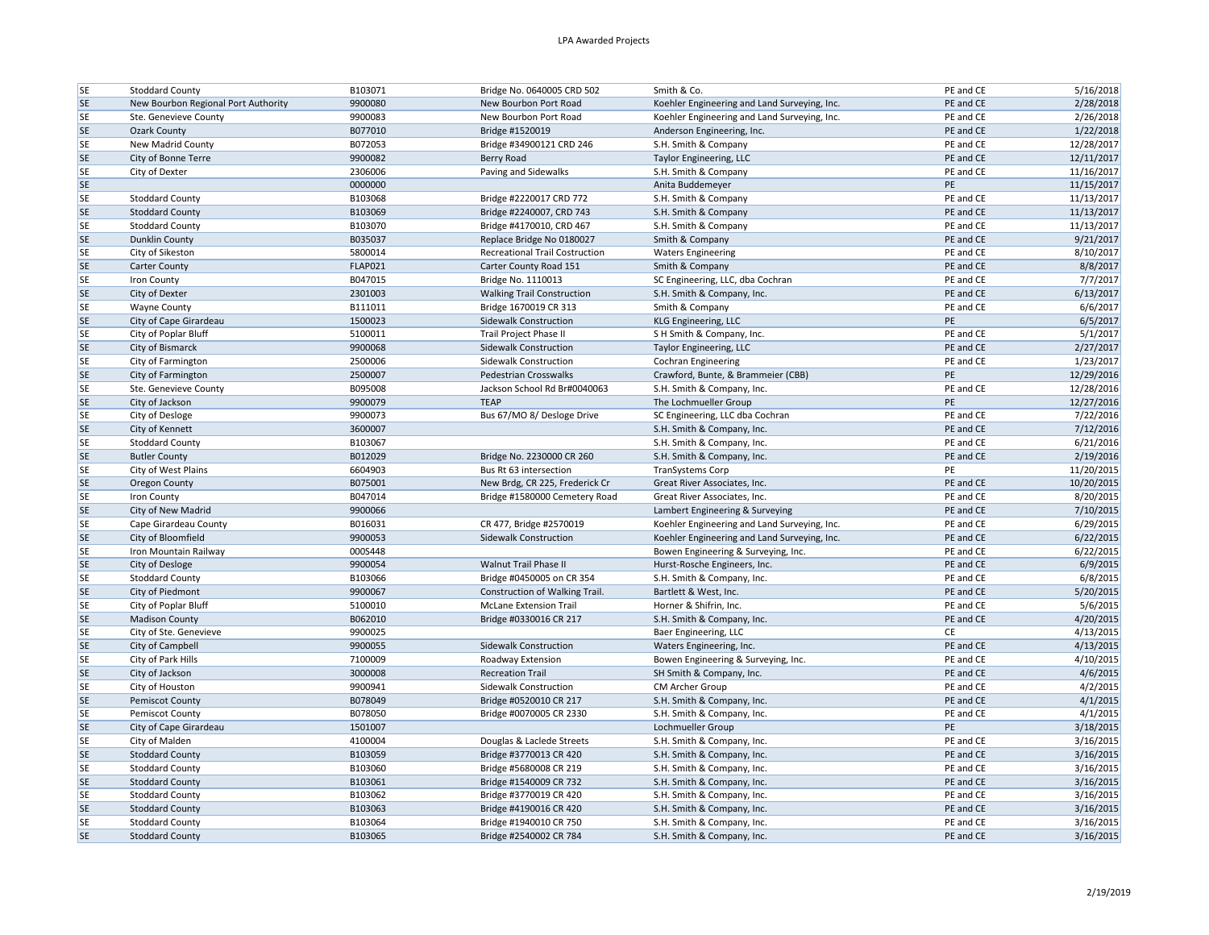| <b>SE</b>              | <b>Stoddard County</b>                           | B103071            | Bridge No. 0640005 CRD 502                       | Smith & Co.                                              | PE and CE              | 5/16/2018              |
|------------------------|--------------------------------------------------|--------------------|--------------------------------------------------|----------------------------------------------------------|------------------------|------------------------|
| <b>SE</b>              | New Bourbon Regional Port Authority              | 9900080            | New Bourbon Port Road                            | Koehler Engineering and Land Surveying, Inc.             | PE and CE              | 2/28/2018              |
| <b>SE</b>              | Ste. Genevieve County                            | 9900083            | New Bourbon Port Road                            | Koehler Engineering and Land Surveying, Inc.             | PE and CE              | 2/26/2018              |
| <b>SE</b>              | <b>Ozark County</b>                              | B077010            | Bridge #1520019                                  | Anderson Engineering, Inc.                               | PE and CE              | 1/22/2018              |
| <b>SE</b>              | New Madrid County                                | B072053            | Bridge #34900121 CRD 246                         | S.H. Smith & Company                                     | PE and CE              | 12/28/2017             |
| <b>SE</b>              | City of Bonne Terre                              | 9900082            | Berry Road                                       | Taylor Engineering, LLC                                  | PE and CE              | 12/11/2017             |
| SE                     | City of Dexter                                   | 2306006            | Paving and Sidewalks                             | S.H. Smith & Company                                     | PE and CE              | 11/16/2017             |
| <b>SE</b>              |                                                  | 0000000            |                                                  | Anita Buddemeyer                                         | PE                     | 11/15/2017             |
| <b>SE</b>              | <b>Stoddard County</b>                           | B103068            | Bridge #2220017 CRD 772                          | S.H. Smith & Company                                     | PE and CE              | 11/13/2017             |
| <b>SE</b>              | <b>Stoddard County</b>                           | B103069            | Bridge #2240007, CRD 743                         | S.H. Smith & Company                                     | PE and CE              | 11/13/2017             |
| <b>SE</b>              | <b>Stoddard County</b>                           | B103070            | Bridge #4170010, CRD 467                         | S.H. Smith & Company                                     | PE and CE              | 11/13/2017             |
| <b>SE</b>              | Dunklin County                                   | B035037            | Replace Bridge No 0180027                        | Smith & Company                                          | PE and CE              | 9/21/2017              |
| SE                     | City of Sikeston                                 | 5800014            | Recreational Trail Costruction                   | <b>Waters Engineering</b>                                | PE and CE              | 8/10/2017              |
| <b>SE</b>              | Carter County                                    | <b>FLAP021</b>     | Carter County Road 151                           | Smith & Company                                          | PE and CE              | 8/8/2017               |
| <b>SE</b>              | <b>Iron County</b>                               | B047015            | Bridge No. 1110013                               | SC Engineering, LLC, dba Cochran                         | PE and CE              | 7/7/2017               |
| <b>SE</b>              | City of Dexter                                   | 2301003            | <b>Walking Trail Construction</b>                | S.H. Smith & Company, Inc.                               | PE and CE              | 6/13/2017              |
| <b>SE</b>              | <b>Wayne County</b>                              | B111011            | Bridge 1670019 CR 313                            | Smith & Company                                          | PE and CE              | 6/6/2017               |
| <b>SE</b>              | City of Cape Girardeau                           | 1500023            | Sidewalk Construction                            | KLG Engineering, LLC                                     | PE                     | 6/5/2017               |
| <b>SE</b>              | City of Poplar Bluff                             | 5100011            | Trail Project Phase II                           | S H Smith & Company, Inc.                                | PE and CE              | 5/1/2017               |
| <b>SE</b>              | City of Bismarck                                 | 9900068            | <b>Sidewalk Construction</b>                     | Taylor Engineering, LLC                                  | PE and CE              | 2/27/2017              |
| <b>SE</b>              | City of Farmington                               | 2500006            | Sidewalk Construction                            | <b>Cochran Engineering</b>                               | PE and CE              | 1/23/2017              |
| <b>SE</b>              | City of Farmington                               | 2500007            | Pedestrian Crosswalks                            | Crawford, Bunte, & Brammeier (CBB)                       | PE                     | 12/29/2016             |
| <b>SE</b>              | Ste. Genevieve County                            | B095008            | Jackson School Rd Br#0040063                     | S.H. Smith & Company, Inc.                               | PE and CE              | 12/28/2016             |
| <b>SE</b>              | City of Jackson                                  | 9900079            | <b>TEAP</b>                                      | The Lochmueller Group                                    | PE                     | 12/27/2016             |
| <b>SE</b>              | City of Desloge                                  | 9900073            | Bus 67/MO 8/ Desloge Drive                       | SC Engineering, LLC dba Cochran                          | PE and CE              | 7/22/2016              |
| <b>SE</b>              | City of Kennett                                  | 3600007            |                                                  | S.H. Smith & Company, Inc.                               | PE and CE              | 7/12/2016              |
| <b>SE</b>              | <b>Stoddard County</b>                           | B103067            |                                                  | S.H. Smith & Company, Inc.                               | PE and CE              | 6/21/2016              |
| <b>SE</b>              | <b>Butler County</b>                             | B012029            | Bridge No. 2230000 CR 260                        | S.H. Smith & Company, Inc.                               | PE and CE              | 2/19/2016              |
| <b>SE</b>              | City of West Plains                              | 6604903            | Bus Rt 63 intersection                           | <b>TranSystems Corp</b>                                  | PE                     | 11/20/2015             |
| <b>SE</b>              | Oregon County                                    | B075001            | New Brdg, CR 225, Frederick Cr                   | Great River Associates, Inc.                             | PE and CE              | 10/20/2015             |
| <b>SE</b>              | Iron County                                      | B047014            | Bridge #1580000 Cemetery Road                    | Great River Associates, Inc.                             | PE and CE              | 8/20/2015              |
| <b>SE</b>              | City of New Madrid                               | 9900066            |                                                  | Lambert Engineering & Surveying                          | PE and CE              | 7/10/2015              |
| <b>SE</b>              | Cape Girardeau County                            | B016031            | CR 477, Bridge #2570019                          | Koehler Engineering and Land Surveying, Inc.             | PE and CE              | 6/29/2015              |
| <b>SE</b>              | City of Bloomfield                               | 9900053            | Sidewalk Construction                            | Koehler Engineering and Land Surveying, Inc.             | PE and CE              | 6/22/2015              |
| <b>SE</b>              | Iron Mountain Railway                            | 000S448            |                                                  | Bowen Engineering & Surveying, Inc.                      | PE and CE              | 6/22/2015              |
| <b>SE</b>              | City of Desloge                                  | 9900054            | Walnut Trail Phase II                            | Hurst-Rosche Engineers, Inc.                             | PE and CE              | 6/9/2015               |
| <b>SE</b>              | <b>Stoddard County</b>                           | B103066            | Bridge #0450005 on CR 354                        | S.H. Smith & Company, Inc.                               | PE and CE              | 6/8/2015               |
| <b>SE</b>              | City of Piedmont                                 | 9900067            | Construction of Walking Trail.                   | Bartlett & West, Inc.                                    | PE and CE              | 5/20/2015              |
| <b>SE</b>              | City of Poplar Bluff                             | 5100010            | <b>McLane Extension Trail</b>                    | Horner & Shifrin, Inc.                                   | PE and CE              | 5/6/2015               |
| <b>SE</b>              | <b>Madison County</b>                            | B062010            | Bridge #0330016 CR 217                           | S.H. Smith & Company, Inc.                               | PE and CE              | 4/20/2015              |
| <b>SE</b>              | City of Ste. Genevieve                           | 9900025            |                                                  | Baer Engineering, LLC                                    | CE                     | 4/13/2015              |
| <b>SE</b>              | City of Campbell                                 | 9900055            |                                                  |                                                          | PE and CE              | 4/13/2015              |
|                        | City of Park Hills                               | 7100009            | Sidewalk Construction                            | Waters Engineering, Inc.                                 | PE and CE              | 4/10/2015              |
| <b>SE</b><br><b>SE</b> |                                                  | 3000008            | Roadway Extension<br><b>Recreation Trail</b>     | Bowen Engineering & Surveying, Inc.                      | PE and CE              | 4/6/2015               |
|                        | City of Jackson                                  |                    |                                                  | SH Smith & Company, Inc.                                 |                        |                        |
| <b>SE</b>              | City of Houston                                  | 9900941            | Sidewalk Construction                            | CM Archer Group                                          | PE and CE              | 4/2/2015               |
| <b>SE</b>              | <b>Pemiscot County</b>                           | B078049            | Bridge #0520010 CR 217                           | S.H. Smith & Company, Inc.                               | PE and CE              | 4/1/2015               |
| <b>SE</b>              | <b>Pemiscot County</b>                           | B078050            | Bridge #0070005 CR 2330                          | S.H. Smith & Company, Inc.                               | PE and CE              | 4/1/2015               |
| <b>SE</b>              | City of Cape Girardeau                           | 1501007            |                                                  | Lochmueller Group                                        | PE                     | 3/18/2015              |
| <b>SE</b>              | City of Malden                                   | 4100004            | Douglas & Laclede Streets                        | S.H. Smith & Company, Inc.                               | PE and CE              | 3/16/2015              |
| <b>SE</b>              | <b>Stoddard County</b>                           | B103059            | Bridge #3770013 CR 420                           | S.H. Smith & Company, Inc.                               | PE and CE              | 3/16/2015              |
| <b>SE</b>              | <b>Stoddard County</b>                           | B103060            | Bridge #5680008 CR 219                           | S.H. Smith & Company, Inc.                               | PE and CE              | 3/16/2015              |
| <b>SE</b>              | <b>Stoddard County</b>                           | B103061            | Bridge #1540009 CR 732                           | S.H. Smith & Company, Inc.                               | PE and CE              | 3/16/2015              |
| <b>SE</b>              | <b>Stoddard County</b>                           | B103062            | Bridge #3770019 CR 420                           | S.H. Smith & Company, Inc.                               | PE and CE              | 3/16/2015              |
|                        |                                                  |                    |                                                  |                                                          |                        |                        |
| <b>SE</b>              | <b>Stoddard County</b>                           | B103063            | Bridge #4190016 CR 420                           | S.H. Smith & Company, Inc.                               | PE and CE              | 3/16/2015              |
| <b>SE</b><br><b>SE</b> | <b>Stoddard County</b><br><b>Stoddard County</b> | B103064<br>B103065 | Bridge #1940010 CR 750<br>Bridge #2540002 CR 784 | S.H. Smith & Company, Inc.<br>S.H. Smith & Company, Inc. | PE and CE<br>PE and CE | 3/16/2015<br>3/16/2015 |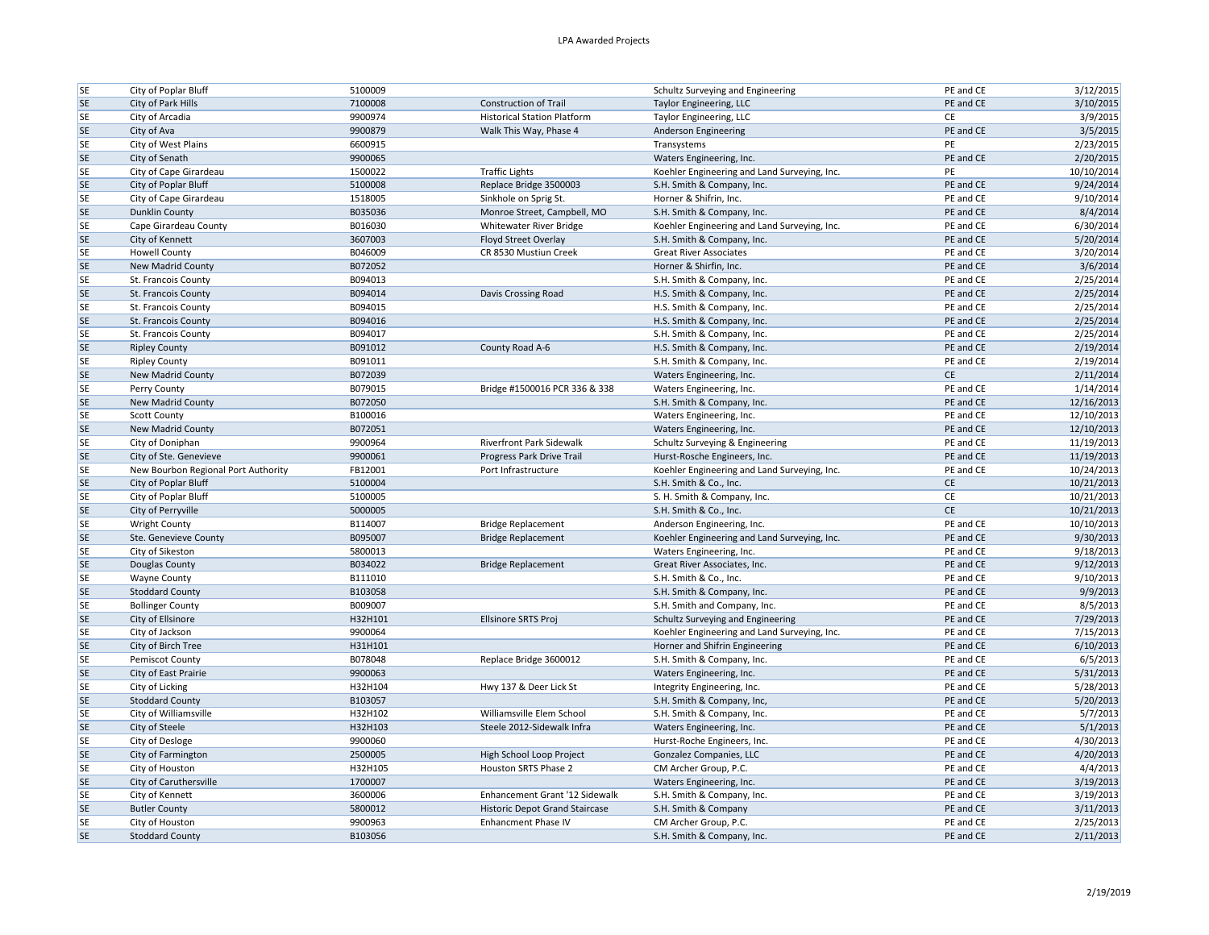| <b>SE</b>       | City of Poplar Bluff                      | 5100009            |                                       | Schultz Surveying and Engineering                   | PE and CE              | 3/12/2015              |
|-----------------|-------------------------------------------|--------------------|---------------------------------------|-----------------------------------------------------|------------------------|------------------------|
| <b>SE</b>       | City of Park Hills                        | 7100008            | <b>Construction of Trail</b>          | Taylor Engineering, LLC                             | PE and CE              | 3/10/2015              |
| <b>SE</b>       | City of Arcadia                           | 9900974            | <b>Historical Station Platform</b>    | Taylor Engineering, LLC                             | CE                     | 3/9/2015               |
| <b>SE</b>       | City of Ava                               | 9900879            | Walk This Way, Phase 4                | Anderson Engineering                                | PE and CE              | 3/5/2015               |
| <b>SE</b>       | City of West Plains                       | 6600915            |                                       | Transystems                                         | PE                     | 2/23/2015              |
| <b>SE</b>       | City of Senath                            | 9900065            |                                       | Waters Engineering, Inc.                            | PE and CE              | 2/20/2015              |
| SE              | City of Cape Girardeau                    | 1500022            | <b>Traffic Lights</b>                 | Koehler Engineering and Land Surveying, Inc.        | PE                     | 10/10/2014             |
| <b>SE</b>       | City of Poplar Bluff                      | 5100008            | Replace Bridge 3500003                | S.H. Smith & Company, Inc.                          | PE and CE              | 9/24/2014              |
| <b>SE</b>       | City of Cape Girardeau                    | 1518005            | Sinkhole on Sprig St.                 | Horner & Shifrin, Inc.                              | PE and CE              | 9/10/2014              |
| <b>SE</b>       | <b>Dunklin County</b>                     | B035036            | Monroe Street, Campbell, MO           | S.H. Smith & Company, Inc.                          | PE and CE              | 8/4/2014               |
| SE              | Cape Girardeau County                     | B016030            | Whitewater River Bridge               | Koehler Engineering and Land Surveying, Inc.        | PE and CE              | 6/30/2014              |
| <b>SE</b>       | City of Kennett                           | 3607003            | Floyd Street Overlay                  | S.H. Smith & Company, Inc.                          | PE and CE              | 5/20/2014              |
| <b>SE</b>       | <b>Howell County</b>                      | B046009            | CR 8530 Mustiun Creek                 | <b>Great River Associates</b>                       | PE and CE              | 3/20/2014              |
| <b>SE</b>       | New Madrid County                         | B072052            |                                       | Horner & Shirfin, Inc.                              | PE and CE              | 3/6/2014               |
| <b>SE</b>       | St. Francois County                       | B094013            |                                       | S.H. Smith & Company, Inc.                          | PE and CE              | 2/25/2014              |
| <b>SE</b>       | St. Francois County                       | B094014            | Davis Crossing Road                   | H.S. Smith & Company, Inc.                          | PE and CE              | 2/25/2014              |
| SE              | St. Francois County                       | B094015            |                                       | H.S. Smith & Company, Inc.                          | PE and CE              | 2/25/2014              |
| <b>SE</b>       | St. Francois County                       | B094016            |                                       | H.S. Smith & Company, Inc.                          | PE and CE              | 2/25/2014              |
| <b>SE</b>       | St. Francois County                       | B094017            |                                       | S.H. Smith & Company, Inc.                          | PE and CE              | 2/25/2014              |
| <b>SE</b>       | <b>Ripley County</b>                      | B091012            | County Road A-6                       | H.S. Smith & Company, Inc.                          | PE and CE              | 2/19/2014              |
| <b>SE</b>       | <b>Ripley County</b>                      | B091011            |                                       | S.H. Smith & Company, Inc.                          | PE and CE              | 2/19/2014              |
| <b>SE</b>       | New Madrid County                         | B072039            |                                       | Waters Engineering, Inc.                            | CE                     | 2/11/2014              |
| <b>SE</b>       | Perry County                              | B079015            | Bridge #1500016 PCR 336 & 338         | Waters Engineering, Inc.                            | PE and CE              | 1/14/2014              |
| <b>SE</b>       | New Madrid County                         | B072050            |                                       | S.H. Smith & Company, Inc.                          | PE and CE              | 12/16/2013             |
| SE              | <b>Scott County</b>                       | B100016            |                                       | Waters Engineering, Inc.                            | PE and CE              | 12/10/2013             |
| <b>SE</b>       | New Madrid County                         | B072051            |                                       | Waters Engineering, Inc.                            | PE and CE              | 12/10/2013             |
| <b>SE</b>       | City of Doniphan                          | 9900964            | <b>Riverfront Park Sidewalk</b>       | Schultz Surveying & Engineering                     | PE and CE              | 11/19/2013             |
| <b>SE</b>       | City of Ste. Genevieve                    | 9900061            | Progress Park Drive Trail             | Hurst-Rosche Engineers, Inc.                        | PE and CE              | 11/19/2013             |
| <b>SE</b>       | New Bourbon Regional Port Authority       | FB12001            | Port Infrastructure                   | Koehler Engineering and Land Surveying, Inc.        | PE and CE              | 10/24/2013             |
| <b>SE</b>       | City of Poplar Bluff                      | 5100004            |                                       | S.H. Smith & Co., Inc.                              | $\mathsf{CE}\,$        | 10/21/2013             |
| SE              | City of Poplar Bluff                      | 5100005            |                                       | S. H. Smith & Company, Inc.                         | CE                     | 10/21/2013             |
| <b>SE</b>       | City of Perryville                        | 5000005            |                                       | S.H. Smith & Co., Inc.                              | <b>CE</b>              | 10/21/2013             |
| <b>SE</b>       |                                           |                    | <b>Bridge Replacement</b>             | Anderson Engineering, Inc.                          | PE and CE              | 10/10/2013             |
|                 |                                           |                    |                                       |                                                     |                        |                        |
|                 | <b>Wright County</b>                      | B114007            |                                       |                                                     |                        |                        |
| <b>SE</b>       | Ste. Genevieve County                     | B095007            | <b>Bridge Replacement</b>             | Koehler Engineering and Land Surveying, Inc.        | PE and CE              | 9/30/2013              |
| <b>SE</b>       | City of Sikeston                          | 5800013            |                                       | Waters Engineering, Inc.                            | PE and CE              | 9/18/2013              |
| <b>SE</b>       | Douglas County                            | B034022            | <b>Bridge Replacement</b>             | Great River Associates, Inc.                        | PE and CE              | 9/12/2013              |
| <b>SE</b>       | Wayne County                              | B111010            |                                       | S.H. Smith & Co., Inc.                              | PE and CE              | 9/10/2013              |
| <b>SE</b>       | <b>Stoddard County</b>                    | B103058            |                                       | S.H. Smith & Company, Inc.                          | PE and CE              | 9/9/2013               |
| <b>SE</b>       | <b>Bollinger County</b>                   | B009007            |                                       | S.H. Smith and Company, Inc.                        | PE and CE              | 8/5/2013               |
| <b>SE</b>       | City of Ellsinore                         | H32H101            | Ellsinore SRTS Proj                   | Schultz Surveying and Engineering                   | PE and CE              | 7/29/2013              |
| <b>SE</b>       | City of Jackson                           | 9900064            |                                       | Koehler Engineering and Land Surveying, Inc.        | PE and CE              | 7/15/2013              |
| <b>SE</b>       | City of Birch Tree                        | H31H101            |                                       | Horner and Shifrin Engineering                      | PE and CE              | 6/10/2013              |
| <b>SE</b>       | Pemiscot County                           | B078048            | Replace Bridge 3600012                | S.H. Smith & Company, Inc.                          | PE and CE              | 6/5/2013               |
| <b>SE</b>       | City of East Prairie                      | 9900063            |                                       | Waters Engineering, Inc.                            | PE and CE              | 5/31/2013              |
| SE              | City of Licking                           | H32H104            | Hwy 137 & Deer Lick St                | Integrity Engineering, Inc.                         | PE and CE              | 5/28/2013              |
| <b>SE</b>       | <b>Stoddard County</b>                    | B103057            |                                       | S.H. Smith & Company, Inc,                          | PE and CE              | 5/20/2013              |
| <b>SE</b>       | City of Williamsville                     | H32H102            | Williamsville Elem School             | S.H. Smith & Company, Inc.                          | PE and CE              | 5/7/2013               |
| <b>SE</b>       | City of Steele                            | H32H103            | Steele 2012-Sidewalk Infra            | Waters Engineering, Inc.                            | PE and CE              | 5/1/2013               |
| SE              | City of Desloge                           | 9900060            |                                       | Hurst-Roche Engineers, Inc.                         | PE and CE              | 4/30/2013              |
| <b>SE</b>       | City of Farmington                        | 2500005            | High School Loop Project              | Gonzalez Companies, LLC                             | PE and CE              | 4/20/2013              |
| <b>SE</b>       | City of Houston                           | H32H105            | Houston SRTS Phase 2                  | CM Archer Group, P.C.                               | PE and CE              | 4/4/2013               |
| <b>SE</b>       | City of Caruthersville                    | 1700007            |                                       | Waters Engineering, Inc.                            | PE and CE              | 3/19/2013              |
| <b>SE</b>       | City of Kennett                           | 3600006            | Enhancement Grant '12 Sidewalk        | S.H. Smith & Company, Inc.                          | PE and CE              | 3/19/2013              |
| <b>SE</b>       | <b>Butler County</b>                      | 5800012            | <b>Historic Depot Grand Staircase</b> | S.H. Smith & Company                                | PE and CE              | 3/11/2013              |
| SE<br><b>SE</b> | City of Houston<br><b>Stoddard County</b> | 9900963<br>B103056 | Enhancment Phase IV                   | CM Archer Group, P.C.<br>S.H. Smith & Company, Inc. | PE and CE<br>PE and CE | 2/25/2013<br>2/11/2013 |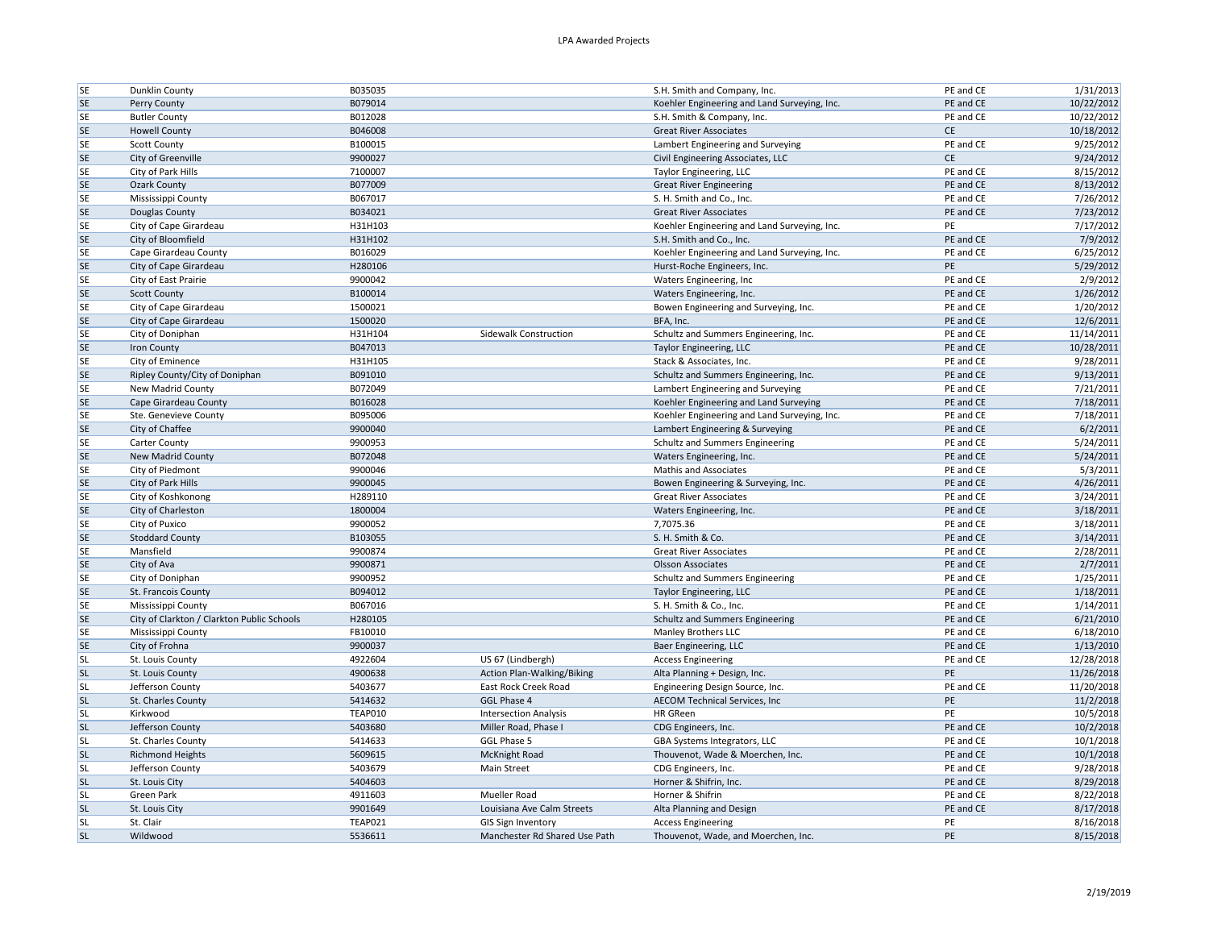| <b>SE</b> | Dunklin County                                                   | B035035            |                               | S.H. Smith and Company, Inc.                 | PE and CE              | 1/31/2013              |
|-----------|------------------------------------------------------------------|--------------------|-------------------------------|----------------------------------------------|------------------------|------------------------|
| <b>SE</b> | Perry County                                                     | B079014            |                               | Koehler Engineering and Land Surveying, Inc. | PE and CE              | 10/22/2012             |
| <b>SE</b> | <b>Butler County</b>                                             | B012028            |                               | S.H. Smith & Company, Inc.                   | PE and CE              | 10/22/2012             |
| <b>SE</b> | <b>Howell County</b>                                             | B046008            |                               | <b>Great River Associates</b>                | <b>CE</b>              | 10/18/2012             |
| <b>SE</b> | <b>Scott County</b>                                              | B100015            |                               | Lambert Engineering and Surveying            | PE and CE              | 9/25/2012              |
| <b>SE</b> | City of Greenville                                               | 9900027            |                               | Civil Engineering Associates, LLC            | <b>CE</b>              | 9/24/2012              |
| <b>SE</b> | City of Park Hills                                               | 7100007            |                               | Taylor Engineering, LLC                      | PE and CE              | 8/15/2012              |
| <b>SE</b> | <b>Ozark County</b>                                              | B077009            |                               | <b>Great River Engineering</b>               | PE and CE              | 8/13/2012              |
| <b>SE</b> | Mississippi County                                               | B067017            |                               | S. H. Smith and Co., Inc.                    | PE and CE              | 7/26/2012              |
| <b>SE</b> | Douglas County                                                   | B034021            |                               | <b>Great River Associates</b>                | PE and CE              | 7/23/2012              |
| <b>SE</b> | City of Cape Girardeau                                           | H31H103            |                               | Koehler Engineering and Land Surveying, Inc. | PE                     | 7/17/2012              |
| <b>SE</b> | City of Bloomfield                                               | H31H102            |                               | S.H. Smith and Co., Inc.                     | PE and CE              | 7/9/2012               |
| <b>SE</b> | Cape Girardeau County                                            | B016029            |                               | Koehler Engineering and Land Surveying, Inc. | PE and CE              | 6/25/2012              |
| <b>SE</b> | City of Cape Girardeau                                           | H280106            |                               | Hurst-Roche Engineers, Inc.                  | PE                     | 5/29/2012              |
| <b>SE</b> | City of East Prairie                                             | 9900042            |                               | Waters Engineering, Inc                      | PE and CE              | 2/9/2012               |
| <b>SE</b> | <b>Scott County</b>                                              | B100014            |                               | Waters Engineering, Inc.                     | PE and CE              | 1/26/2012              |
| <b>SE</b> | City of Cape Girardeau                                           | 1500021            |                               | Bowen Engineering and Surveying, Inc.        | PE and CE              | 1/20/2012              |
| <b>SE</b> | City of Cape Girardeau                                           | 1500020            |                               | BFA, Inc.                                    | PE and CE              | 12/6/2011              |
| <b>SE</b> | City of Doniphan                                                 | H31H104            | Sidewalk Construction         | Schultz and Summers Engineering, Inc.        | PE and CE              | 11/14/2011             |
| <b>SE</b> | Iron County                                                      | B047013            |                               | Taylor Engineering, LLC                      | PE and CE              | 10/28/2011             |
| <b>SE</b> | City of Eminence                                                 | H31H105            |                               | Stack & Associates, Inc.                     | PE and CE              | 9/28/2011              |
| <b>SE</b> | Ripley County/City of Doniphan                                   | B091010            |                               | Schultz and Summers Engineering, Inc.        | PE and CE              | 9/13/2011              |
| <b>SE</b> | New Madrid County                                                | B072049            |                               | Lambert Engineering and Surveying            | PE and CE              | 7/21/2011              |
| <b>SE</b> | Cape Girardeau County                                            | B016028            |                               | Koehler Engineering and Land Surveying       | PE and CE              | 7/18/2011              |
| <b>SE</b> | Ste. Genevieve County                                            | B095006            |                               | Koehler Engineering and Land Surveying, Inc. | PE and CE              | 7/18/2011              |
| <b>SE</b> | City of Chaffee                                                  | 9900040            |                               | Lambert Engineering & Surveying              | PE and CE              | 6/2/2011               |
| <b>SE</b> | Carter County                                                    | 9900953            |                               | Schultz and Summers Engineering              | PE and CE              | 5/24/2011              |
| <b>SE</b> | New Madrid County                                                | B072048            |                               | Waters Engineering, Inc.                     | PE and CE              | 5/24/2011              |
| <b>SE</b> | City of Piedmont                                                 | 9900046            |                               | <b>Mathis and Associates</b>                 | PE and CE              | 5/3/2011               |
| <b>SE</b> | City of Park Hills                                               | 9900045            |                               | Bowen Engineering & Surveying, Inc.          | PE and CE              | 4/26/2011              |
| <b>SE</b> | City of Koshkonong                                               | H289110            |                               | <b>Great River Associates</b>                | PE and CE              | 3/24/2011              |
| SE        | City of Charleston                                               | 1800004            |                               | Waters Engineering, Inc.                     | PE and CE              | 3/18/2011              |
| <b>SE</b> | City of Puxico                                                   | 9900052            |                               | 7,7075.36                                    | PE and CE              | 3/18/2011              |
| <b>SE</b> | <b>Stoddard County</b>                                           | B103055            |                               | S. H. Smith & Co.                            | PE and CE              | 3/14/2011              |
| <b>SE</b> | Mansfield                                                        | 9900874            |                               | <b>Great River Associates</b>                | PE and CE              | 2/28/2011              |
| <b>SE</b> |                                                                  |                    |                               |                                              | PE and CE              |                        |
| <b>SE</b> | City of Ava<br>City of Doniphan                                  | 9900871<br>9900952 |                               | <b>Olsson Associates</b>                     | PE and CE              | 2/7/2011<br>1/25/2011  |
| <b>SE</b> |                                                                  | B094012            |                               | Schultz and Summers Engineering              | PE and CE              | 1/18/2011              |
| <b>SE</b> | St. Francois County                                              |                    |                               | Taylor Engineering, LLC                      |                        |                        |
| <b>SE</b> | Mississippi County<br>City of Clarkton / Clarkton Public Schools | B067016<br>H280105 |                               | S. H. Smith & Co., Inc.                      | PE and CE<br>PE and CE | 1/14/2011<br>6/21/2010 |
|           |                                                                  |                    |                               | Schultz and Summers Engineering              |                        |                        |
| <b>SE</b> | Mississippi County                                               | FB10010            |                               | <b>Manley Brothers LLC</b>                   | PE and CE              | 6/18/2010              |
| <b>SE</b> | City of Frohna                                                   | 9900037            |                               | Baer Engineering, LLC                        | PE and CE              | 1/13/2010              |
| <b>SL</b> | St. Louis County                                                 | 4922604            | US 67 (Lindbergh)             | <b>Access Engineering</b>                    | PE and CE              | 12/28/2018             |
| <b>SL</b> | St. Louis County                                                 | 4900638            | Action Plan-Walking/Biking    | Alta Planning + Design, Inc.                 | PE                     | 11/26/2018             |
| <b>SL</b> | Jefferson County                                                 | 5403677            | East Rock Creek Road          | Engineering Design Source, Inc.              | PE and CE              | 11/20/2018             |
| <b>SL</b> | St. Charles County                                               | 5414632            | GGL Phase 4                   | AECOM Technical Services, Inc                | PE                     | 11/2/2018              |
| <b>SL</b> | Kirkwood                                                         | <b>TEAP010</b>     | <b>Intersection Analysis</b>  | <b>HR</b> GReen                              | PE                     | 10/5/2018              |
| <b>SL</b> | Jefferson County                                                 | 5403680            | Miller Road, Phase I          | CDG Engineers, Inc.                          | PE and CE              | 10/2/2018              |
| <b>SL</b> | St. Charles County                                               | 5414633            | GGL Phase 5                   | GBA Systems Integrators, LLC                 | PE and CE              | 10/1/2018              |
| <b>SL</b> | <b>Richmond Heights</b>                                          | 5609615            | <b>McKnight Road</b>          | Thouvenot, Wade & Moerchen, Inc.             | PE and CE              | 10/1/2018              |
| <b>SL</b> | Jefferson County                                                 | 5403679            | Main Street                   | CDG Engineers, Inc.                          | PE and CE              | 9/28/2018              |
| <b>SL</b> | St. Louis City                                                   | 5404603            |                               | Horner & Shifrin, Inc.                       | PE and CE              | 8/29/2018              |
| <b>SL</b> | Green Park                                                       | 4911603            | Mueller Road                  | Horner & Shifrin                             | PE and CE              | 8/22/2018              |
| <b>SL</b> | St. Louis City                                                   | 9901649            | Louisiana Ave Calm Streets    | Alta Planning and Design                     | PE and CE              | 8/17/2018              |
| <b>SL</b> | St. Clair                                                        | <b>TEAP021</b>     | <b>GIS Sign Inventory</b>     | <b>Access Engineering</b>                    | PE                     | 8/16/2018              |
| <b>SL</b> | Wildwood                                                         | 5536611            | Manchester Rd Shared Use Path | Thouvenot, Wade, and Moerchen, Inc.          | PE                     | 8/15/2018              |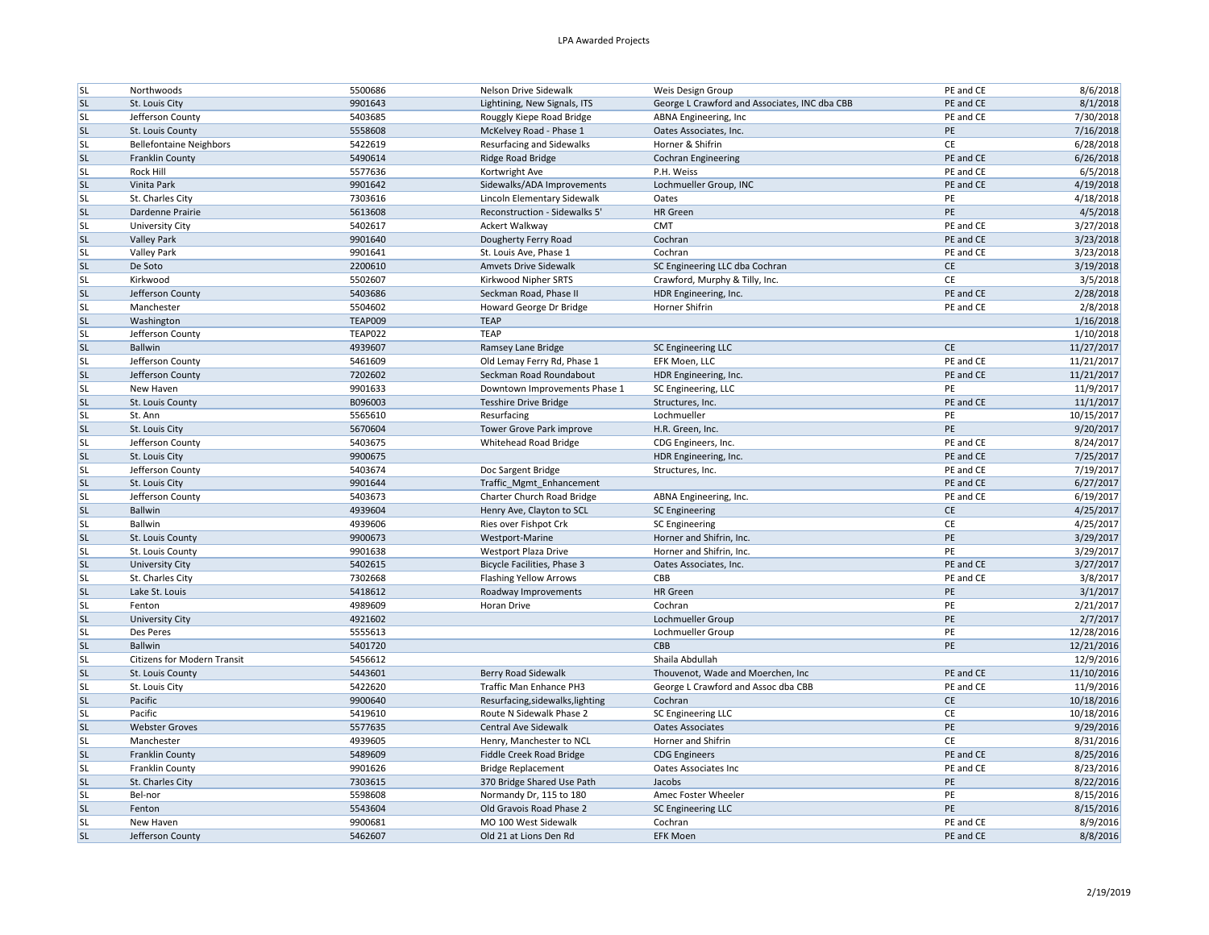| <b>SL</b>              | Northwoods                         | 5500686            | Nelson Drive Sidewalk                                        | Weis Design Group                              | PE and CE | 8/6/2018   |
|------------------------|------------------------------------|--------------------|--------------------------------------------------------------|------------------------------------------------|-----------|------------|
| <b>SL</b>              | St. Louis City                     | 9901643            | Lightining, New Signals, ITS                                 | George L Crawford and Associates, INC dba CBB  | PE and CE | 8/1/2018   |
| <b>SL</b>              | Jefferson County                   | 5403685            | Rouggly Kiepe Road Bridge                                    | ABNA Engineering, Inc.                         | PE and CE | 7/30/2018  |
| <b>SL</b>              | St. Louis County                   | 5558608            | McKelvey Road - Phase 1                                      | Oates Associates, Inc.                         | PE        | 7/16/2018  |
| <b>SL</b>              | <b>Bellefontaine Neighbors</b>     | 5422619            | <b>Resurfacing and Sidewalks</b>                             | Horner & Shifrin                               | CE        | 6/28/2018  |
| <b>SL</b>              | Franklin County                    | 5490614            | Ridge Road Bridge                                            | <b>Cochran Engineering</b>                     | PE and CE | 6/26/2018  |
| <b>SL</b>              | Rock Hill                          | 5577636            | Kortwright Ave                                               | P.H. Weiss                                     | PE and CE | 6/5/2018   |
| <b>SL</b>              | Vinita Park                        | 9901642            | Sidewalks/ADA Improvements                                   | Lochmueller Group, INC                         | PE and CE | 4/19/2018  |
| <b>SL</b>              | St. Charles City                   | 7303616            | Lincoln Elementary Sidewalk                                  | Oates                                          | PE        | 4/18/2018  |
| <b>SL</b>              | Dardenne Prairie                   | 5613608            | Reconstruction - Sidewalks 5'                                | HR Green                                       | PE        | 4/5/2018   |
| <b>SL</b>              | University City                    | 5402617            | Ackert Walkway                                               | <b>CMT</b>                                     | PE and CE | 3/27/2018  |
| <b>SL</b>              | <b>Valley Park</b>                 | 9901640            | Dougherty Ferry Road                                         | Cochran                                        | PE and CE | 3/23/2018  |
| <b>SL</b>              | <b>Valley Park</b>                 | 9901641            | St. Louis Ave, Phase 1                                       | Cochran                                        | PE and CE | 3/23/2018  |
| <b>SL</b>              | De Soto                            | 2200610            | <b>Amvets Drive Sidewalk</b>                                 | SC Engineering LLC dba Cochran                 | <b>CE</b> | 3/19/2018  |
| <b>SL</b>              | Kirkwood                           | 5502607            | Kirkwood Nipher SRTS                                         | Crawford, Murphy & Tilly, Inc.                 | CE        | 3/5/2018   |
| <b>SL</b>              | Jefferson County                   | 5403686            | Seckman Road, Phase II                                       | HDR Engineering, Inc.                          | PE and CE | 2/28/2018  |
| <b>SL</b>              | Manchester                         | 5504602            | Howard George Dr Bridge                                      | Horner Shifrin                                 | PE and CE | 2/8/2018   |
| <b>SL</b>              | Washington                         | TEAP009            | <b>TEAP</b>                                                  |                                                |           | 1/16/2018  |
| <b>SL</b>              | Jefferson County                   | <b>TEAP022</b>     | <b>TEAP</b>                                                  |                                                |           | 1/10/2018  |
| <b>SL</b>              | Ballwin                            | 4939607            | Ramsey Lane Bridge                                           | SC Engineering LLC                             | CE        | 11/27/2017 |
| <b>SL</b>              | Jefferson County                   | 5461609            | Old Lemay Ferry Rd, Phase 1                                  | EFK Moen, LLC                                  | PE and CE | 11/21/2017 |
| <b>SL</b>              | Jefferson County                   | 7202602            | Seckman Road Roundabout                                      | HDR Engineering, Inc.                          | PE and CE | 11/21/2017 |
| <b>SL</b>              | New Haven                          | 9901633            | Downtown Improvements Phase 1                                | SC Engineering, LLC                            | PE        | 11/9/2017  |
| <b>SL</b>              | St. Louis County                   | B096003            | <b>Tesshire Drive Bridge</b>                                 | Structures, Inc.                               | PE and CE | 11/1/2017  |
| <b>SL</b>              | St. Ann                            | 5565610            | Resurfacing                                                  | Lochmueller                                    | PE        | 10/15/2017 |
| <b>SL</b>              | St. Louis City                     | 5670604            | Tower Grove Park improve                                     | H.R. Green, Inc.                               | PE        | 9/20/2017  |
| <b>SL</b>              | Jefferson County                   | 5403675            | Whitehead Road Bridge                                        | CDG Engineers, Inc.                            | PE and CE | 8/24/2017  |
| <b>SL</b>              | St. Louis City                     | 9900675            |                                                              | HDR Engineering, Inc.                          | PE and CE | 7/25/2017  |
| <b>SL</b>              | Jefferson County                   | 5403674            | Doc Sargent Bridge                                           | Structures, Inc.                               | PE and CE | 7/19/2017  |
| <b>SL</b>              | St. Louis City                     | 9901644            | Traffic_Mgmt_Enhancement                                     |                                                | PE and CE | 6/27/2017  |
| <b>SL</b>              | Jefferson County                   | 5403673            | Charter Church Road Bridge                                   | ABNA Engineering, Inc.                         | PE and CE | 6/19/2017  |
| <b>SL</b>              | Ballwin                            | 4939604            | Henry Ave, Clayton to SCL                                    | <b>SC Engineering</b>                          | <b>CE</b> | 4/25/2017  |
| <b>SL</b>              | Ballwin                            | 4939606            | Ries over Fishpot Crk                                        | <b>SC Engineering</b>                          | CE        | 4/25/2017  |
| <b>SL</b>              | St. Louis County                   | 9900673            | Westport-Marine                                              | Horner and Shifrin, Inc.                       | PE        | 3/29/2017  |
| <b>SL</b>              | St. Louis County                   | 9901638            | <b>Westport Plaza Drive</b>                                  | Horner and Shifrin, Inc.                       | PE        | 3/29/2017  |
| <b>SL</b>              | University City                    | 5402615            | <b>Bicycle Facilities, Phase 3</b>                           | Oates Associates, Inc.                         | PE and CE | 3/27/2017  |
| <b>SL</b>              | St. Charles City                   | 7302668            | <b>Flashing Yellow Arrows</b>                                | CBB                                            | PE and CE | 3/8/2017   |
| <b>SL</b>              | Lake St. Louis                     | 5418612            | Roadway Improvements                                         | HR Green                                       | PE        | 3/1/2017   |
| <b>SL</b>              | Fenton                             | 4989609            | Horan Drive                                                  | Cochran                                        | PE        | 2/21/2017  |
| <b>SL</b>              | <b>University City</b>             | 4921602            |                                                              | Lochmueller Group                              | PE        | 2/7/2017   |
| <b>SL</b>              | Des Peres                          | 5555613            |                                                              | Lochmueller Group                              | PE        | 12/28/2016 |
| <b>SL</b>              | Ballwin                            | 5401720            |                                                              | CBB                                            | PE        | 12/21/2016 |
| <b>SL</b>              | <b>Citizens for Modern Transit</b> | 5456612            |                                                              | Shaila Abdullah                                |           | 12/9/2016  |
| <b>SL</b>              | St. Louis County                   | 5443601            | <b>Berry Road Sidewalk</b>                                   | Thouvenot, Wade and Moerchen, Inc.             | PE and CE | 11/10/2016 |
| <b>SL</b>              |                                    |                    | Traffic Man Enhance PH3                                      |                                                | PE and CE | 11/9/2016  |
| <b>SL</b>              | St. Louis City<br>Pacific          | 5422620            |                                                              | George L Crawford and Assoc dba CBB<br>Cochran | <b>CE</b> | 10/18/2016 |
| <b>SL</b>              | Pacific                            | 9900640<br>5419610 | Resurfacing, sidewalks, lighting<br>Route N Sidewalk Phase 2 |                                                | CE        |            |
|                        |                                    |                    |                                                              | SC Engineering LLC                             |           | 10/18/2016 |
| <b>SL</b>              | <b>Webster Groves</b>              | 5577635            | <b>Central Ave Sidewalk</b>                                  | <b>Oates Associates</b>                        | PE<br>CE  | 9/29/2016  |
| <b>SL</b><br><b>SL</b> | Manchester                         | 4939605            | Henry, Manchester to NCL                                     | Horner and Shifrin                             |           | 8/31/2016  |
|                        | Franklin County                    | 5489609            | Fiddle Creek Road Bridge                                     | <b>CDG Engineers</b>                           | PE and CE | 8/25/2016  |
| <b>SL</b>              | Franklin County                    | 9901626            | <b>Bridge Replacement</b>                                    | Oates Associates Inc                           | PE and CE | 8/23/2016  |
| <b>SL</b>              | St. Charles City                   | 7303615            | 370 Bridge Shared Use Path                                   | Jacobs                                         | PE        | 8/22/2016  |
| <b>SL</b>              | Bel-nor                            | 5598608            | Normandy Dr, 115 to 180                                      | Amec Foster Wheeler                            | PE        | 8/15/2016  |
| <b>SL</b>              | Fenton                             | 5543604            | Old Gravois Road Phase 2                                     | SC Engineering LLC                             | PE        | 8/15/2016  |
| <b>SL</b>              | New Haven                          | 9900681            | MO 100 West Sidewalk                                         | Cochran                                        | PE and CE | 8/9/2016   |
| <b>SL</b>              | Jefferson County                   | 5462607            | Old 21 at Lions Den Rd                                       | <b>EFK Moen</b>                                | PE and CE | 8/8/2016   |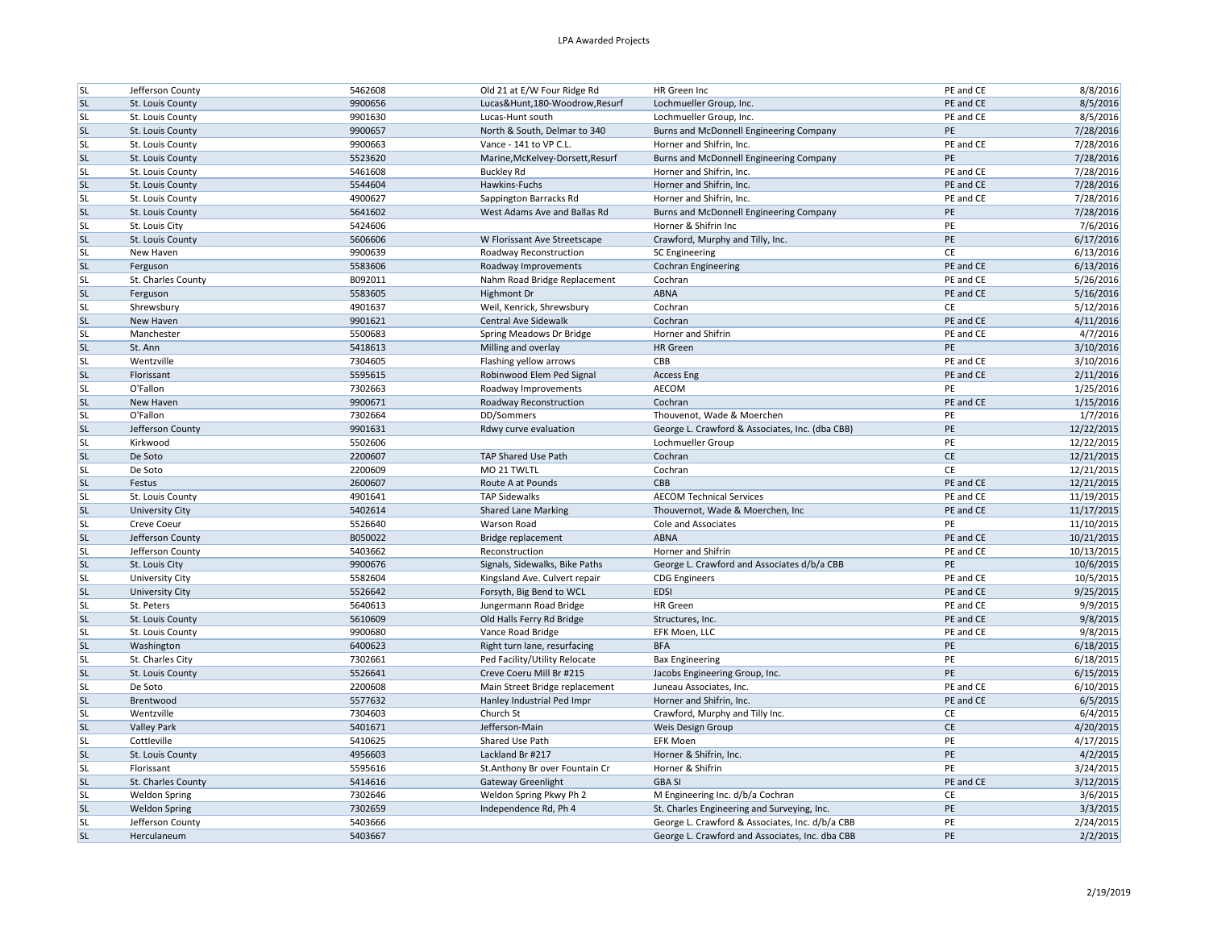| <b>SL</b>              | Jefferson County       | 5462608            | Old 21 at E/W Four Ridge Rd                                  | HR Green Inc                                        | PE and CE       | 8/8/2016   |
|------------------------|------------------------|--------------------|--------------------------------------------------------------|-----------------------------------------------------|-----------------|------------|
| SL                     | St. Louis County       | 9900656            | Lucas&Hunt,180-Woodrow,Resurf                                | Lochmueller Group, Inc.                             | PE and CE       | 8/5/2016   |
| <b>SL</b>              | St. Louis County       | 9901630            | Lucas-Hunt south                                             | Lochmueller Group, Inc.                             | PE and CE       | 8/5/2016   |
| <b>SL</b>              | St. Louis County       | 9900657            | North & South, Delmar to 340                                 | Burns and McDonnell Engineering Company             | PE              | 7/28/2016  |
| <b>SL</b>              | St. Louis County       | 9900663            | Vance - 141 to VP C.L.                                       | Horner and Shifrin, Inc.                            | PE and CE       | 7/28/2016  |
| <b>SL</b>              | St. Louis County       | 5523620            | Marine, McKelvey-Dorsett, Resurf                             | Burns and McDonnell Engineering Company             | PE              | 7/28/2016  |
| <b>SL</b>              | St. Louis County       | 5461608            | <b>Buckley Rd</b>                                            | Horner and Shifrin, Inc.                            | PE and CE       | 7/28/2016  |
| <b>SL</b>              | St. Louis County       | 5544604            | Hawkins-Fuchs                                                | Horner and Shifrin, Inc.                            | PE and CE       | 7/28/2016  |
| <b>SL</b>              | St. Louis County       | 4900627            | Sappington Barracks Rd                                       | Horner and Shifrin, Inc.                            | PE and CE       | 7/28/2016  |
| <b>SL</b>              | St. Louis County       | 5641602            | West Adams Ave and Ballas Rd                                 | Burns and McDonnell Engineering Company             | PE              | 7/28/2016  |
| <b>SL</b>              | St. Louis City         | 5424606            |                                                              | Horner & Shifrin Inc                                | PE              | 7/6/2016   |
| <b>SL</b>              | St. Louis County       | 5606606            | W Florissant Ave Streetscape                                 | Crawford, Murphy and Tilly, Inc.                    | PE              | 6/17/2016  |
| <b>SL</b>              | New Haven              | 9900639            | Roadway Reconstruction                                       | <b>SC Engineering</b>                               | <b>CE</b>       | 6/13/2016  |
| <b>SL</b>              | Ferguson               | 5583606            | Roadway Improvements                                         | <b>Cochran Engineering</b>                          | PE and CE       | 6/13/2016  |
| <b>SL</b>              | St. Charles County     | B092011            | Nahm Road Bridge Replacement                                 | Cochran                                             | PE and CE       | 5/26/2016  |
| <b>SL</b>              | Ferguson               | 5583605            | Highmont Dr                                                  | <b>ABNA</b>                                         | PE and CE       | 5/16/2016  |
| <b>SL</b>              | Shrewsbury             | 4901637            | Weil, Kenrick, Shrewsbury                                    | Cochran                                             | CE              | 5/12/2016  |
| <b>SL</b>              | New Haven              | 9901621            | <b>Central Ave Sidewalk</b>                                  | Cochran                                             | PE and CE       | 4/11/2016  |
| <b>SL</b>              | Manchester             | 5500683            | Spring Meadows Dr Bridge                                     | Horner and Shifrin                                  | PE and CE       | 4/7/2016   |
| <b>SL</b>              | St. Ann                | 5418613            | Milling and overlay                                          | HR Green                                            | PE              | 3/10/2016  |
| <b>SL</b>              | Wentzville             | 7304605            | Flashing yellow arrows                                       | CBB                                                 | PE and CE       | 3/10/2016  |
| <b>SL</b>              | Florissant             | 5595615            | Robinwood Elem Ped Signal                                    | <b>Access Eng</b>                                   | PE and CE       | 2/11/2016  |
| <b>SL</b>              | O'Fallon               | 7302663            | Roadway Improvements                                         | AECOM                                               | PE              | 1/25/2016  |
| <b>SL</b>              | New Haven              | 9900671            | Roadway Reconstruction                                       | Cochran                                             | PE and CE       | 1/15/2016  |
| <b>SL</b>              | O'Fallon               | 7302664            | DD/Sommers                                                   | Thouvenot, Wade & Moerchen                          | PE              | 1/7/2016   |
| <b>SL</b>              | Jefferson County       | 9901631            | Rdwy curve evaluation                                        | George L. Crawford & Associates, Inc. (dba CBB)     | PE              | 12/22/2015 |
| <b>SL</b>              | Kirkwood               | 5502606            |                                                              | Lochmueller Group                                   | PE              | 12/22/2015 |
| <b>SL</b>              | De Soto                | 2200607            | TAP Shared Use Path                                          | Cochran                                             | $\mathsf{CE}\,$ | 12/21/2015 |
| <b>SL</b>              | De Soto                | 2200609            | MO 21 TWLTL                                                  | Cochran                                             | CE              | 12/21/2015 |
| <b>SL</b>              | Festus                 | 2600607            | Route A at Pounds                                            | CBB                                                 | PE and CE       | 12/21/2015 |
| <b>SL</b>              | St. Louis County       | 4901641            | <b>TAP Sidewalks</b>                                         | <b>AECOM Technical Services</b>                     | PE and CE       | 11/19/2015 |
| <b>SL</b>              | University City        | 5402614            | <b>Shared Lane Marking</b>                                   | Thouvernot, Wade & Moerchen, Inc.                   | PE and CE       | 11/17/2015 |
| <b>SL</b>              | Creve Coeur            | 5526640            | <b>Warson Road</b>                                           | Cole and Associates                                 | PE              | 11/10/2015 |
| <b>SL</b>              | Jefferson County       | B050022            | Bridge replacement                                           | ABNA                                                | PE and CE       | 10/21/2015 |
| <b>SL</b>              | Jefferson County       | 5403662            | Reconstruction                                               | Horner and Shifrin                                  | PE and CE       | 10/13/2015 |
| <b>SL</b>              | St. Louis City         | 9900676            | Signals, Sidewalks, Bike Paths                               | George L. Crawford and Associates d/b/a CBB         | PE              | 10/6/2015  |
| <b>SL</b>              | <b>University City</b> | 5582604            | Kingsland Ave. Culvert repair                                | <b>CDG</b> Engineers                                | PE and CE       | 10/5/2015  |
| <b>SL</b>              | University City        | 5526642            | Forsyth, Big Bend to WCL                                     | <b>EDSI</b>                                         | PE and CE       | 9/25/2015  |
| <b>SL</b>              | St. Peters             | 5640613            | Jungermann Road Bridge                                       | <b>HR</b> Green                                     | PE and CE       | 9/9/2015   |
| <b>SL</b>              | St. Louis County       | 5610609            | Old Halls Ferry Rd Bridge                                    | Structures, Inc.                                    | PE and CE       | 9/8/2015   |
| <b>SL</b>              | St. Louis County       | 9900680            | Vance Road Bridge                                            | EFK Moen, LLC                                       | PE and CE       | 9/8/2015   |
| <b>SL</b>              | Washington             | 6400623            | Right turn lane, resurfacing                                 | <b>BFA</b>                                          | PE              | 6/18/2015  |
| <b>SL</b>              | St. Charles City       | 7302661            | Ped Facility/Utility Relocate                                | <b>Bax Engineering</b>                              | PE              | 6/18/2015  |
| <b>SL</b>              | St. Louis County       | 5526641            | Creve Coeru Mill Br #215                                     | Jacobs Engineering Group, Inc.                      | PE              | 6/15/2015  |
| <b>SL</b>              |                        |                    |                                                              |                                                     | PE and CE       | 6/10/2015  |
| <b>SL</b>              | De Soto<br>Brentwood   | 2200608<br>5577632 | Main Street Bridge replacement<br>Hanley Industrial Ped Impr | Juneau Associates, Inc.<br>Horner and Shifrin, Inc. | PE and CE       | 6/5/2015   |
| <b>SL</b>              | Wentzville             |                    | Church St                                                    |                                                     | CE              | 6/4/2015   |
|                        |                        | 7304603            |                                                              | Crawford, Murphy and Tilly Inc.                     |                 |            |
| <b>SL</b>              | <b>Valley Park</b>     | 5401671            | Jefferson-Main                                               | Weis Design Group                                   | <b>CE</b>       | 4/20/2015  |
| <b>SL</b><br><b>SL</b> | Cottleville            | 5410625            | Shared Use Path                                              | <b>EFK Moen</b>                                     | PE<br>PE        | 4/17/2015  |
|                        | St. Louis County       | 4956603            | Lackland Br #217                                             | Horner & Shifrin, Inc.                              |                 | 4/2/2015   |
| <b>SL</b>              | Florissant             | 5595616            | St.Anthony Br over Fountain Cr                               | Horner & Shifrin                                    | PE              | 3/24/2015  |
| <b>SL</b>              | St. Charles County     | 5414616            | Gateway Greenlight                                           | <b>GBA SI</b>                                       | PE and CE       | 3/12/2015  |
| <b>SL</b>              | <b>Weldon Spring</b>   | 7302646            | Weldon Spring Pkwy Ph 2                                      | M Engineering Inc. d/b/a Cochran                    | CE              | 3/6/2015   |
| <b>SL</b>              | <b>Weldon Spring</b>   | 7302659            | Independence Rd, Ph 4                                        | St. Charles Engineering and Surveying, Inc.         | PE              | 3/3/2015   |
| <b>SL</b>              | Jefferson County       | 5403666            |                                                              | George L. Crawford & Associates, Inc. d/b/a CBB     | PE              | 2/24/2015  |
| <b>SL</b>              | Herculaneum            | 5403667            |                                                              | George L. Crawford and Associates, Inc. dba CBB     | PE              | 2/2/2015   |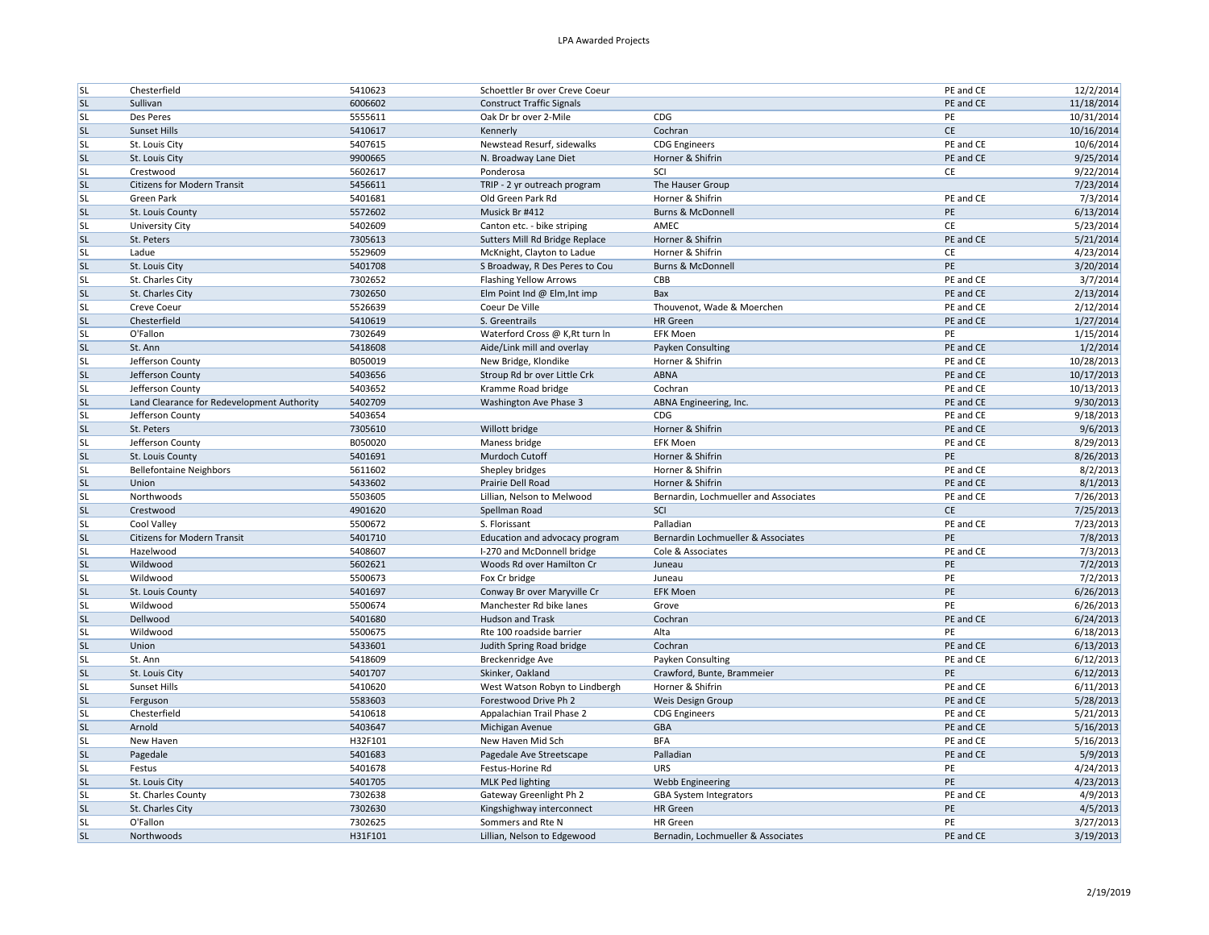| <b>SL</b> | Chesterfield                               | 5410623            | Schoettler Br over Creve Coeur   |                                       | PE and CE       | 12/2/2014  |
|-----------|--------------------------------------------|--------------------|----------------------------------|---------------------------------------|-----------------|------------|
| <b>SL</b> | Sullivan                                   | 6006602            | <b>Construct Traffic Signals</b> |                                       | PE and CE       | 11/18/2014 |
| <b>SL</b> | Des Peres                                  | 5555611            | Oak Dr br over 2-Mile            | CDG                                   | PE              | 10/31/2014 |
| <b>SL</b> | Sunset Hills                               | 5410617            | Kennerly                         | Cochran                               | $\mathsf{CE}\,$ | 10/16/2014 |
| <b>SL</b> | St. Louis City                             | 5407615            | Newstead Resurf, sidewalks       | <b>CDG Engineers</b>                  | PE and CE       | 10/6/2014  |
| <b>SL</b> | St. Louis City                             | 9900665            | N. Broadway Lane Diet            | Horner & Shifrin                      | PE and CE       | 9/25/2014  |
| <b>SL</b> | Crestwood                                  | 5602617            | Ponderosa                        | SCI                                   | CE              | 9/22/2014  |
| <b>SL</b> | <b>Citizens for Modern Transit</b>         | 5456611            | TRIP - 2 yr outreach program     | The Hauser Group                      |                 | 7/23/2014  |
| <b>SL</b> | <b>Green Park</b>                          | 5401681            | Old Green Park Rd                | Horner & Shifrin                      | PE and CE       | 7/3/2014   |
| <b>SL</b> | St. Louis County                           | 5572602            | Musick Br #412                   | Burns & McDonnell                     | PE              | 6/13/2014  |
| <b>SL</b> | <b>University City</b>                     | 5402609            | Canton etc. - bike striping      | AMEC                                  | CE              | 5/23/2014  |
| <b>SL</b> | St. Peters                                 | 7305613            | Sutters Mill Rd Bridge Replace   | Horner & Shifrin                      | PE and CE       | 5/21/2014  |
| <b>SL</b> | Ladue                                      | 5529609            | McKnight, Clayton to Ladue       | Horner & Shifrin                      | CE              | 4/23/2014  |
| <b>SL</b> | St. Louis City                             | 5401708            | S Broadway, R Des Peres to Cou   | <b>Burns &amp; McDonnell</b>          | PE              | 3/20/2014  |
| <b>SL</b> | St. Charles City                           | 7302652            | <b>Flashing Yellow Arrows</b>    | CBB                                   | PE and CE       | 3/7/2014   |
| <b>SL</b> | St. Charles City                           |                    |                                  |                                       | PE and CE       | 2/13/2014  |
| <b>SL</b> |                                            | 7302650<br>5526639 | Elm Point Ind @ Elm, Int imp     | Bax                                   | PE and CE       | 2/12/2014  |
|           | Creve Coeur                                |                    | Coeur De Ville                   | Thouvenot, Wade & Moerchen            |                 |            |
| <b>SL</b> | Chesterfield                               | 5410619            | S. Greentrails                   | <b>HR</b> Green                       | PE and CE       | 1/27/2014  |
| <b>SL</b> | O'Fallon                                   | 7302649            | Waterford Cross @ K, Rt turn In  | <b>EFK Moen</b>                       | PE              | 1/15/2014  |
| <b>SL</b> | St. Ann                                    | 5418608            | Aide/Link mill and overlay       | Payken Consulting                     | PE and CE       | 1/2/2014   |
| <b>SL</b> | Jefferson County                           | B050019            | New Bridge, Klondike             | Horner & Shifrin                      | PE and CE       | 10/28/2013 |
| <b>SL</b> | Jefferson County                           | 5403656            | Stroup Rd br over Little Crk     | ABNA                                  | PE and CE       | 10/17/2013 |
| <b>SL</b> | Jefferson County                           | 5403652            | Kramme Road bridge               | Cochran                               | PE and CE       | 10/13/2013 |
| <b>SL</b> | Land Clearance for Redevelopment Authority | 5402709            | Washington Ave Phase 3           | ABNA Engineering, Inc.                | PE and CE       | 9/30/2013  |
| <b>SL</b> | Jefferson County                           | 5403654            |                                  | CDG                                   | PE and CE       | 9/18/2013  |
| <b>SL</b> | St. Peters                                 | 7305610            | Willott bridge                   | Horner & Shifrin                      | PE and CE       | 9/6/2013   |
| <b>SL</b> | Jefferson County                           | B050020            | Maness bridge                    | <b>EFK Moen</b>                       | PE and CE       | 8/29/2013  |
| SL        | St. Louis County                           | 5401691            | Murdoch Cutoff                   | Horner & Shifrin                      | PE              | 8/26/2013  |
| <b>SL</b> | <b>Bellefontaine Neighbors</b>             | 5611602            | Shepley bridges                  | Horner & Shifrin                      | PE and CE       | 8/2/2013   |
| <b>SL</b> | Union                                      | 5433602            | Prairie Dell Road                | Horner & Shifrin                      | PE and CE       | 8/1/2013   |
| <b>SL</b> | Northwoods                                 | 5503605            | Lillian, Nelson to Melwood       | Bernardin, Lochmueller and Associates | PE and CE       | 7/26/2013  |
| <b>SL</b> | Crestwood                                  | 4901620            | Spellman Road                    | SCI                                   | <b>CE</b>       | 7/25/2013  |
| <b>SL</b> | Cool Valley                                | 5500672            | S. Florissant                    | Palladian                             | PE and CE       | 7/23/2013  |
| <b>SL</b> | Citizens for Modern Transit                | 5401710            | Education and advocacy program   | Bernardin Lochmueller & Associates    | PE              | 7/8/2013   |
| <b>SL</b> | Hazelwood                                  | 5408607            | I-270 and McDonnell bridge       | Cole & Associates                     | PE and CE       | 7/3/2013   |
| <b>SL</b> | Wildwood                                   | 5602621            | Woods Rd over Hamilton Cr        | Juneau                                | PE              | 7/2/2013   |
| <b>SL</b> | Wildwood                                   | 5500673            | Fox Cr bridge                    | Juneau                                | PE              | 7/2/2013   |
| <b>SL</b> | St. Louis County                           | 5401697            | Conway Br over Maryville Cr      | <b>EFK Moen</b>                       | PE              | 6/26/2013  |
| <b>SL</b> | Wildwood                                   | 5500674            | Manchester Rd bike lanes         | Grove                                 | PE              | 6/26/2013  |
| <b>SL</b> | Dellwood                                   | 5401680            | <b>Hudson and Trask</b>          | Cochran                               | PE and CE       | 6/24/2013  |
| <b>SL</b> | Wildwood                                   | 5500675            | Rte 100 roadside barrier         | Alta                                  | PE              | 6/18/2013  |
| <b>SL</b> | Union                                      |                    |                                  | Cochran                               | PE and CE       |            |
|           |                                            | 5433601            | Judith Spring Road bridge        |                                       | PE and CE       | 6/13/2013  |
| <b>SL</b> | St. Ann                                    | 5418609            | Breckenridge Ave                 | Payken Consulting                     |                 | 6/12/2013  |
| <b>SL</b> | St. Louis City                             | 5401707            | Skinker, Oakland                 | Crawford, Bunte, Brammeier            | PE              | 6/12/2013  |
| <b>SL</b> | Sunset Hills                               | 5410620            | West Watson Robyn to Lindbergh   | Horner & Shifrin                      | PE and CE       | 6/11/2013  |
| <b>SL</b> | Ferguson                                   | 5583603            | Forestwood Drive Ph 2            | Weis Design Group                     | PE and CE       | 5/28/2013  |
| <b>SL</b> | Chesterfield                               | 5410618            | Appalachian Trail Phase 2        | <b>CDG Engineers</b>                  | PE and CE       | 5/21/2013  |
| <b>SL</b> | Arnold                                     | 5403647            | Michigan Avenue                  | GBA                                   | PE and CE       | 5/16/2013  |
| <b>SL</b> | New Haven                                  | H32F101            | New Haven Mid Sch                | <b>BFA</b>                            | PE and CE       | 5/16/2013  |
| <b>SL</b> | Pagedale                                   | 5401683            | Pagedale Ave Streetscape         | Palladian                             | PE and CE       | 5/9/2013   |
| <b>SL</b> | Festus                                     | 5401678            | Festus-Horine Rd                 | URS                                   | PE              | 4/24/2013  |
| <b>SL</b> | St. Louis City                             | 5401705            | <b>MLK Ped lighting</b>          | Webb Engineering                      | PE              | 4/23/2013  |
| <b>SL</b> | St. Charles County                         | 7302638            | Gateway Greenlight Ph 2          | <b>GBA System Integrators</b>         | PE and CE       | 4/9/2013   |
| <b>SL</b> | St. Charles City                           | 7302630            | Kingshighway interconnect        | HR Green                              | PE              | 4/5/2013   |
| <b>SL</b> | O'Fallon                                   | 7302625            | Sommers and Rte N                | <b>HR</b> Green                       | PE              | 3/27/2013  |
| <b>SL</b> | Northwoods                                 | H31F101            | Lillian, Nelson to Edgewood      | Bernadin, Lochmueller & Associates    | PE and CE       | 3/19/2013  |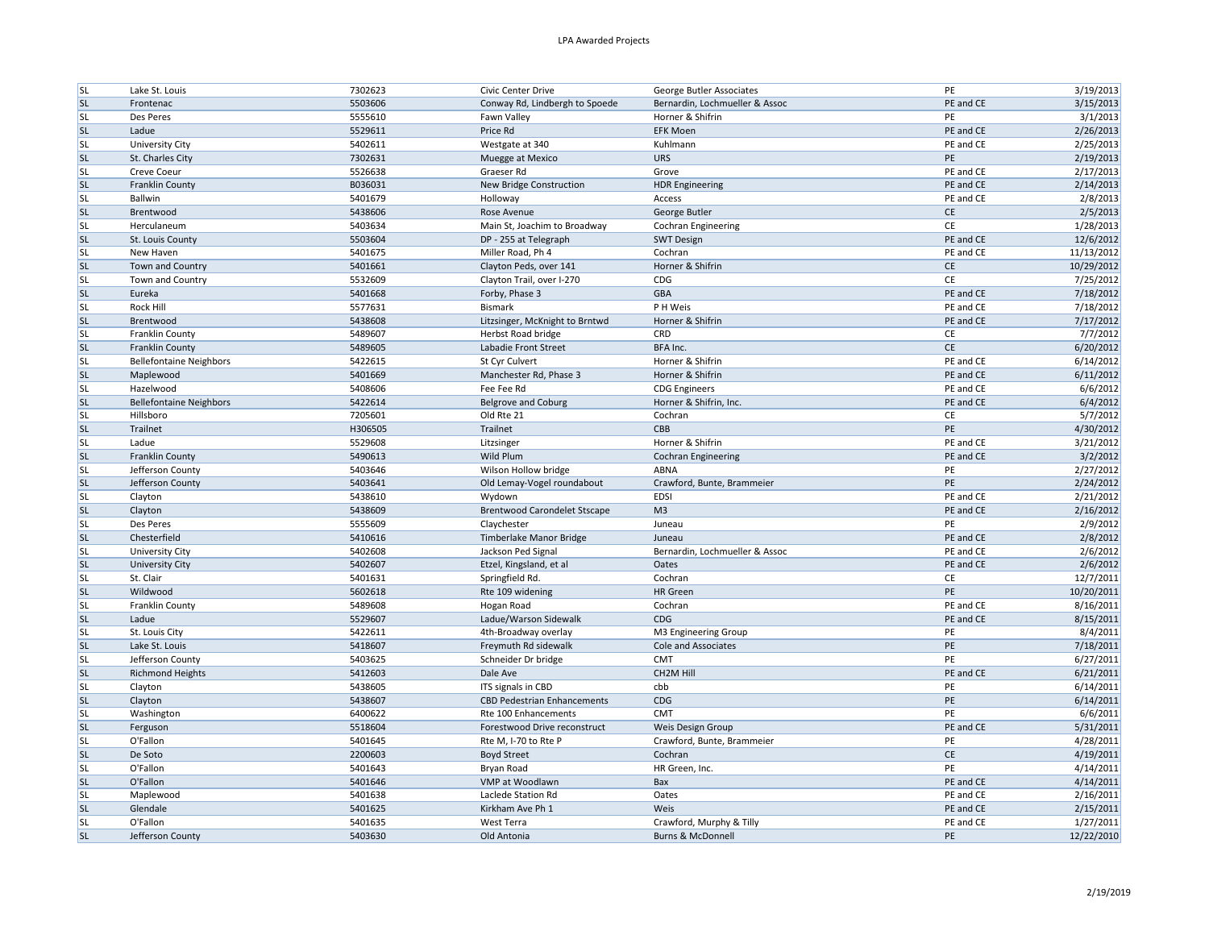| <b>SL</b> | Lake St. Louis                 | 7302623 | Civic Center Drive                  | George Butler Associates       | PE        | 3/19/2013  |
|-----------|--------------------------------|---------|-------------------------------------|--------------------------------|-----------|------------|
| <b>SL</b> | Frontenac                      | 5503606 | Conway Rd, Lindbergh to Spoede      | Bernardin, Lochmueller & Assoc | PE and CE | 3/15/2013  |
| <b>SL</b> | Des Peres                      | 5555610 | Fawn Valley                         | Horner & Shifrin               | PE        | 3/1/2013   |
| <b>SL</b> | Ladue                          | 5529611 | Price Rd                            | <b>EFK Moen</b>                | PE and CE | 2/26/2013  |
| <b>SL</b> | University City                | 5402611 | Westgate at 340                     | Kuhlmann                       | PE and CE | 2/25/2013  |
| <b>SL</b> | St. Charles City               | 7302631 | Muegge at Mexico                    | <b>URS</b>                     | PE        | 2/19/2013  |
| <b>SL</b> | Creve Coeur                    | 5526638 | Graeser Rd                          | Grove                          | PE and CE | 2/17/2013  |
| <b>SL</b> | <b>Franklin County</b>         | B036031 | New Bridge Construction             | <b>HDR Engineering</b>         | PE and CE | 2/14/2013  |
| <b>SL</b> | Ballwin                        | 5401679 | Holloway                            | Access                         | PE and CE | 2/8/2013   |
| <b>SL</b> | Brentwood                      | 5438606 | Rose Avenue                         | George Butler                  | CE        | 2/5/2013   |
| <b>SL</b> | Herculaneum                    | 5403634 | Main St, Joachim to Broadway        | <b>Cochran Engineering</b>     | CE        | 1/28/2013  |
| <b>SL</b> | St. Louis County               | 5503604 | DP - 255 at Telegraph               | <b>SWT Design</b>              | PE and CE | 12/6/2012  |
| <b>SL</b> | New Haven                      | 5401675 | Miller Road, Ph 4                   | Cochran                        | PE and CE | 11/13/2012 |
| <b>SL</b> | Town and Country               | 5401661 | Clayton Peds, over 141              | Horner & Shifrin               | <b>CE</b> | 10/29/2012 |
| <b>SL</b> | Town and Country               | 5532609 | Clayton Trail, over I-270           | CDG                            | CE        | 7/25/2012  |
| <b>SL</b> | Eureka                         | 5401668 | Forby, Phase 3                      | GBA                            | PE and CE | 7/18/2012  |
| <b>SL</b> | Rock Hill                      | 5577631 | Bismark                             | P H Weis                       | PE and CE | 7/18/2012  |
| <b>SL</b> | Brentwood                      | 5438608 | Litzsinger, McKnight to Brntwd      | Horner & Shifrin               | PE and CE | 7/17/2012  |
| <b>SL</b> | Franklin County                | 5489607 | <b>Herbst Road bridge</b>           | CRD                            | CE        | 7/7/2012   |
| <b>SL</b> | <b>Franklin County</b>         | 5489605 | Labadie Front Street                | BFA Inc.                       | CE        | 6/20/2012  |
| <b>SL</b> | <b>Bellefontaine Neighbors</b> | 5422615 | St Cyr Culvert                      | Horner & Shifrin               | PE and CE | 6/14/2012  |
| <b>SL</b> | Maplewood                      | 5401669 | Manchester Rd, Phase 3              | Horner & Shifrin               | PE and CE | 6/11/2012  |
|           |                                |         | Fee Fee Rd                          |                                | PE and CE |            |
| <b>SL</b> | Hazelwood                      | 5408606 |                                     | <b>CDG Engineers</b>           |           | 6/6/2012   |
| <b>SL</b> | <b>Bellefontaine Neighbors</b> | 5422614 | <b>Belgrove and Coburg</b>          | Horner & Shifrin, Inc.         | PE and CE | 6/4/2012   |
| <b>SL</b> | Hillsboro                      | 7205601 | Old Rte 21                          | Cochran                        | CE        | 5/7/2012   |
| <b>SL</b> | Trailnet                       | H306505 | Trailnet                            | CBB                            | PE        | 4/30/2012  |
| <b>SL</b> | Ladue                          | 5529608 | Litzsinger                          | Horner & Shifrin               | PE and CE | 3/21/2012  |
| <b>SL</b> | <b>Franklin County</b>         | 5490613 | Wild Plum                           | <b>Cochran Engineering</b>     | PE and CE | 3/2/2012   |
| <b>SL</b> | Jefferson County               | 5403646 | Wilson Hollow bridge                | ABNA                           | PE        | 2/27/2012  |
| <b>SL</b> | Jefferson County               | 5403641 | Old Lemay-Vogel roundabout          | Crawford, Bunte, Brammeier     | PE        | 2/24/2012  |
| <b>SL</b> | Clayton                        | 5438610 | Wydown                              | <b>EDSI</b>                    | PE and CE | 2/21/2012  |
| <b>SL</b> | Clayton                        | 5438609 | <b>Brentwood Carondelet Stscape</b> | M <sub>3</sub>                 | PE and CE | 2/16/2012  |
| <b>SL</b> | Des Peres                      | 5555609 | Claychester                         | Juneau                         | PE        | 2/9/2012   |
| <b>SL</b> | Chesterfield                   | 5410616 | Timberlake Manor Bridge             | Juneau                         | PE and CE | 2/8/2012   |
| <b>SL</b> | <b>University City</b>         | 5402608 | Jackson Ped Signal                  | Bernardin, Lochmueller & Assoc | PE and CE | 2/6/2012   |
| <b>SL</b> | <b>University City</b>         | 5402607 | Etzel, Kingsland, et al             | Oates                          | PE and CE | 2/6/2012   |
| <b>SL</b> | St. Clair                      | 5401631 | Springfield Rd.                     | Cochran                        | CE        | 12/7/2011  |
| <b>SL</b> | Wildwood                       | 5602618 | Rte 109 widening                    | HR Green                       | PE        | 10/20/2011 |
| <b>SL</b> | Franklin County                | 5489608 | Hogan Road                          | Cochran                        | PE and CE | 8/16/2011  |
| <b>SL</b> | Ladue                          | 5529607 | Ladue/Warson Sidewalk               | CDG                            | PE and CE | 8/15/2011  |
| <b>SL</b> | St. Louis City                 | 5422611 | 4th-Broadway overlay                | M3 Engineering Group           | PE        | 8/4/2011   |
| <b>SL</b> | Lake St. Louis                 | 5418607 | Freymuth Rd sidewalk                | Cole and Associates            | PE        | 7/18/2011  |
| <b>SL</b> | Jefferson County               | 5403625 | Schneider Dr bridge                 | CMT                            | PE        | 6/27/2011  |
| <b>SL</b> | <b>Richmond Heights</b>        | 5412603 | Dale Ave                            | CH <sub>2</sub> M Hill         | PE and CE | 6/21/2011  |
| <b>SL</b> | Clayton                        | 5438605 | ITS signals in CBD                  | cbb                            | PE        | 6/14/2011  |
| <b>SL</b> | Clayton                        | 5438607 | <b>CBD Pedestrian Enhancements</b>  | CDG                            | PE        | 6/14/2011  |
| <b>SL</b> | Washington                     | 6400622 | Rte 100 Enhancements                | CMT                            | PE        | 6/6/2011   |
| <b>SL</b> | Ferguson                       | 5518604 | Forestwood Drive reconstruct        | Weis Design Group              | PE and CE | 5/31/2011  |
| <b>SL</b> | O'Fallon                       | 5401645 | Rte M, I-70 to Rte P                | Crawford, Bunte, Brammeier     | PE        | 4/28/2011  |
| <b>SL</b> | De Soto                        | 2200603 | <b>Boyd Street</b>                  | Cochran                        | CE        | 4/19/2011  |
| <b>SL</b> | O'Fallon                       | 5401643 | Bryan Road                          | HR Green, Inc.                 | PE        | 4/14/2011  |
| <b>SL</b> | O'Fallon                       | 5401646 | VMP at Woodlawn                     | Bax                            | PE and CE | 4/14/2011  |
| <b>SL</b> | Maplewood                      | 5401638 | Laclede Station Rd                  | Oates                          | PE and CE | 2/16/2011  |
| <b>SL</b> | Glendale                       | 5401625 | Kirkham Ave Ph 1                    | Weis                           | PE and CE | 2/15/2011  |
| <b>SL</b> | O'Fallon                       | 5401635 | West Terra                          | Crawford, Murphy & Tilly       | PE and CE | 1/27/2011  |
| <b>SL</b> | Jefferson County               | 5403630 | Old Antonia                         | <b>Burns &amp; McDonnell</b>   | PE        | 12/22/2010 |
|           |                                |         |                                     |                                |           |            |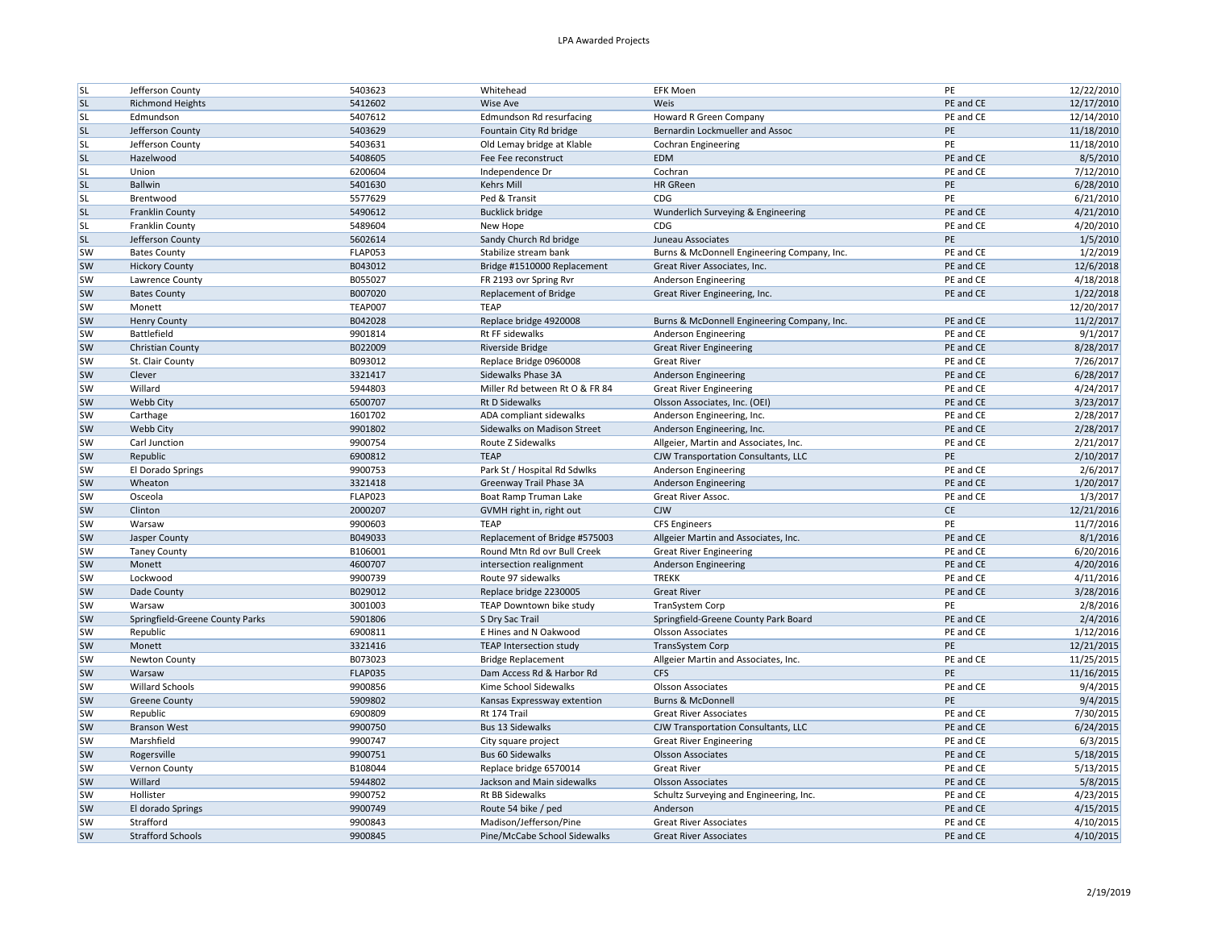| <b>SL</b>              | Jefferson County                | 5403623            | Whitehead                                   | <b>EFK Moen</b>                                          | PE        | 12/22/2010 |
|------------------------|---------------------------------|--------------------|---------------------------------------------|----------------------------------------------------------|-----------|------------|
| <b>SL</b>              | <b>Richmond Heights</b>         | 5412602            | <b>Wise Ave</b>                             | Weis                                                     | PE and CE | 12/17/2010 |
| <b>SL</b>              | Edmundson                       | 5407612            | Edmundson Rd resurfacing                    | Howard R Green Company                                   | PE and CE | 12/14/2010 |
| <b>SL</b>              | Jefferson County                | 5403629            | Fountain City Rd bridge                     | Bernardin Lockmueller and Assoc                          | PE        | 11/18/2010 |
| <b>SL</b>              | Jefferson County                | 5403631            | Old Lemay bridge at Klable                  | <b>Cochran Engineering</b>                               | PE        | 11/18/2010 |
| <b>SL</b>              | Hazelwood                       | 5408605            | Fee Fee reconstruct                         | EDM                                                      | PE and CE | 8/5/2010   |
| <b>SL</b>              | Union                           | 6200604            | Independence Dr                             | Cochran                                                  | PE and CE | 7/12/2010  |
| <b>SL</b>              | <b>Ballwin</b>                  | 5401630            | <b>Kehrs Mill</b>                           | <b>HR</b> GReen                                          | PE        | 6/28/2010  |
| <b>SL</b>              | Brentwood                       | 5577629            | Ped & Transit                               | CDG                                                      | PE        | 6/21/2010  |
| <b>SL</b>              | <b>Franklin County</b>          | 5490612            | <b>Bucklick bridge</b>                      | Wunderlich Surveying & Engineering                       | PE and CE | 4/21/2010  |
| <b>SL</b>              | Franklin County                 | 5489604            | New Hope                                    | CDG                                                      | PE and CE | 4/20/2010  |
| <b>SL</b>              | Jefferson County                | 5602614            | Sandy Church Rd bridge                      | Juneau Associates                                        | PE        | 1/5/2010   |
| <b>SW</b>              | <b>Bates County</b>             | <b>FLAP053</b>     | Stabilize stream bank                       | Burns & McDonnell Engineering Company, Inc.              | PE and CE | 1/2/2019   |
| <b>SW</b>              | <b>Hickory County</b>           | B043012            | Bridge #1510000 Replacement                 | Great River Associates, Inc.                             | PE and CE | 12/6/2018  |
| <b>SW</b>              |                                 | B055027            |                                             |                                                          | PE and CE | 4/18/2018  |
|                        | Lawrence County                 |                    | FR 2193 ovr Spring Rvr                      | Anderson Engineering                                     | PE and CE |            |
| <b>SW</b><br><b>SW</b> | <b>Bates County</b>             | B007020            | <b>Replacement of Bridge</b><br><b>TEAP</b> | Great River Engineering, Inc.                            |           | 1/22/2018  |
|                        | Monett                          | <b>TEAP007</b>     |                                             |                                                          |           | 12/20/2017 |
| <b>SW</b>              | <b>Henry County</b>             | B042028            | Replace bridge 4920008                      | Burns & McDonnell Engineering Company, Inc.              | PE and CE | 11/2/2017  |
| <b>SW</b>              | Battlefield                     | 9901814            | Rt FF sidewalks                             | Anderson Engineering                                     | PE and CE | 9/1/2017   |
| <b>SW</b>              | Christian County                | B022009            | Riverside Bridge                            | <b>Great River Engineering</b>                           | PE and CE | 8/28/2017  |
| <b>SW</b>              | St. Clair County                | B093012            | Replace Bridge 0960008                      | <b>Great River</b>                                       | PE and CE | 7/26/2017  |
| <b>SW</b>              | Clever                          | 3321417            | Sidewalks Phase 3A                          | Anderson Engineering                                     | PE and CE | 6/28/2017  |
| <b>SW</b>              | Willard                         | 5944803            | Miller Rd between Rt O & FR 84              | <b>Great River Engineering</b>                           | PE and CE | 4/24/2017  |
| <b>SW</b>              | <b>Webb City</b>                | 6500707            | Rt D Sidewalks                              | Olsson Associates, Inc. (OEI)                            | PE and CE | 3/23/2017  |
| <b>SW</b>              | Carthage                        | 1601702            | ADA compliant sidewalks                     | Anderson Engineering, Inc.                               | PE and CE | 2/28/2017  |
| <b>SW</b>              | Webb City                       | 9901802            | Sidewalks on Madison Street                 | Anderson Engineering, Inc.                               | PE and CE | 2/28/2017  |
| <b>SW</b>              | Carl Junction                   | 9900754            | Route Z Sidewalks                           | Allgeier, Martin and Associates, Inc.                    | PE and CE | 2/21/2017  |
| <b>SW</b>              | Republic                        | 6900812            | <b>TEAP</b>                                 | CJW Transportation Consultants, LLC                      | PE        | 2/10/2017  |
| sw                     | El Dorado Springs               | 9900753            | Park St / Hospital Rd Sdwlks                | Anderson Engineering                                     | PE and CE | 2/6/2017   |
| <b>SW</b>              | Wheaton                         | 3321418            | Greenway Trail Phase 3A                     | Anderson Engineering                                     | PE and CE | 1/20/2017  |
| <b>SW</b>              | Osceola                         | FLAP023            | Boat Ramp Truman Lake                       | Great River Assoc.                                       | PE and CE | 1/3/2017   |
| <b>SW</b>              | Clinton                         | 2000207            | GVMH right in, right out                    | <b>CJW</b>                                               | CE        | 12/21/2016 |
| <b>SW</b>              | Warsaw                          | 9900603            | <b>TEAP</b>                                 | <b>CFS Engineers</b>                                     | PE        | 11/7/2016  |
| <b>SW</b>              | Jasper County                   | B049033            | Replacement of Bridge #575003               | Allgeier Martin and Associates, Inc.                     | PE and CE | 8/1/2016   |
| <b>SW</b>              | <b>Taney County</b>             | B106001            | Round Mtn Rd ovr Bull Creek                 | <b>Great River Engineering</b>                           | PE and CE | 6/20/2016  |
| <b>SW</b>              | Monett                          | 4600707            | intersection realignment                    | Anderson Engineering                                     | PE and CE | 4/20/2016  |
| <b>SW</b>              | Lockwood                        | 9900739            | Route 97 sidewalks                          | <b>TREKK</b>                                             | PE and CE | 4/11/2016  |
| <b>SW</b>              | Dade County                     | B029012            | Replace bridge 2230005                      | <b>Great River</b>                                       | PE and CE | 3/28/2016  |
| <b>SW</b>              | Warsaw                          | 3001003            | TEAP Downtown bike study                    | TranSystem Corp                                          | PE        | 2/8/2016   |
| <b>SW</b>              | Springfield-Greene County Parks | 5901806            | S Dry Sac Trail                             | Springfield-Greene County Park Board                     | PE and CE | 2/4/2016   |
| <b>SW</b>              | Republic                        | 6900811            | E Hines and N Oakwood                       | <b>Olsson Associates</b>                                 | PE and CE | 1/12/2016  |
| <b>SW</b>              | Monett                          | 3321416            | <b>TEAP Intersection study</b>              | TransSystem Corp                                         | PE        | 12/21/2015 |
| <b>SW</b>              | Newton County                   | B073023            | <b>Bridge Replacement</b>                   | Allgeier Martin and Associates, Inc.                     | PE and CE | 11/25/2015 |
| <b>SW</b>              | Warsaw                          | <b>FLAP035</b>     | Dam Access Rd & Harbor Rd                   | <b>CFS</b>                                               | PE        | 11/16/2015 |
| <b>SW</b>              | Willard Schools                 |                    | Kime School Sidewalks                       |                                                          | PE and CE | 9/4/2015   |
| <b>SW</b>              | <b>Greene County</b>            | 9900856<br>5909802 |                                             | <b>Olsson Associates</b><br><b>Burns &amp; McDonnell</b> | PE        | 9/4/2015   |
|                        |                                 |                    | Kansas Expressway extention                 |                                                          |           |            |
| <b>SW</b>              | Republic                        | 6900809            | Rt 174 Trail                                | <b>Great River Associates</b>                            | PE and CE | 7/30/2015  |
| <b>SW</b>              | <b>Branson West</b>             | 9900750            | <b>Bus 13 Sidewalks</b>                     | CJW Transportation Consultants, LLC                      | PE and CE | 6/24/2015  |
| <b>SW</b>              | Marshfield                      | 9900747            | City square project                         | <b>Great River Engineering</b>                           | PE and CE | 6/3/2015   |
| <b>SW</b>              | Rogersville                     | 9900751            | <b>Bus 60 Sidewalks</b>                     | <b>Olsson Associates</b>                                 | PE and CE | 5/18/2015  |
| <b>SW</b>              | Vernon County                   | B108044            | Replace bridge 6570014                      | <b>Great River</b>                                       | PE and CE | 5/13/2015  |
| <b>SW</b>              | Willard                         | 5944802            | Jackson and Main sidewalks                  | Olsson Associates                                        | PE and CE | 5/8/2015   |
| <b>SW</b>              | Hollister                       | 9900752            | Rt BB Sidewalks                             | Schultz Surveying and Engineering, Inc.                  | PE and CE | 4/23/2015  |
| <b>SW</b>              | El dorado Springs               | 9900749            | Route 54 bike / ped                         | Anderson                                                 | PE and CE | 4/15/2015  |
| <b>SW</b>              | Strafford                       | 9900843            | Madison/Jefferson/Pine                      | <b>Great River Associates</b>                            | PE and CE | 4/10/2015  |
| <b>SW</b>              | <b>Strafford Schools</b>        | 9900845            | Pine/McCabe School Sidewalks                | <b>Great River Associates</b>                            | PE and CE | 4/10/2015  |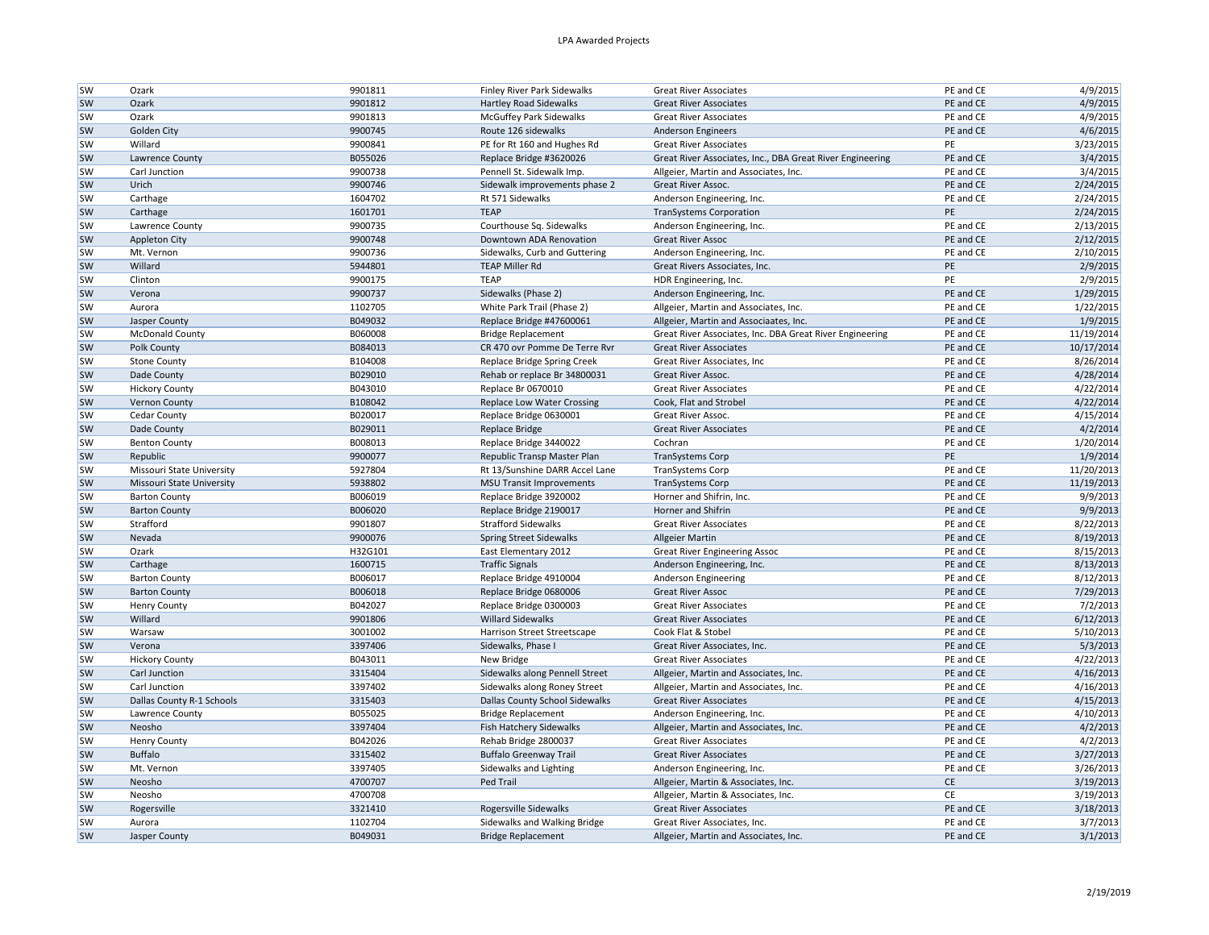| <b>SW</b> | Ozark                     | 9901811            | Finley River Park Sidewalks     | <b>Great River Associates</b>                             | PE and CE       | 4/9/2015               |
|-----------|---------------------------|--------------------|---------------------------------|-----------------------------------------------------------|-----------------|------------------------|
| <b>SW</b> | Ozark                     | 9901812            | <b>Hartley Road Sidewalks</b>   | <b>Great River Associates</b>                             | PE and CE       | 4/9/2015               |
| <b>SW</b> | Ozark                     | 9901813            | <b>McGuffey Park Sidewalks</b>  | <b>Great River Associates</b>                             | PE and CE       | 4/9/2015               |
| <b>SW</b> | Golden City               | 9900745            | Route 126 sidewalks             | Anderson Engineers                                        | PE and CE       | 4/6/2015               |
| <b>SW</b> | Willard                   | 9900841            | PE for Rt 160 and Hughes Rd     | <b>Great River Associates</b>                             | PE              | 3/23/2015              |
| <b>SW</b> | Lawrence County           | B055026            | Replace Bridge #3620026         | Great River Associates, Inc., DBA Great River Engineering | PE and CE       | 3/4/2015               |
| <b>SW</b> | Carl Junction             | 9900738            | Pennell St. Sidewalk Imp.       | Allgeier, Martin and Associates, Inc.                     | PE and CE       | 3/4/2015               |
| <b>SW</b> | Urich                     | 9900746            | Sidewalk improvements phase 2   | Great River Assoc.                                        | PE and CE       | 2/24/2015              |
| sw        | Carthage                  | 1604702            | Rt 571 Sidewalks                | Anderson Engineering, Inc.                                | PE and CE       | 2/24/2015              |
| <b>SW</b> | Carthage                  | 1601701            | <b>TEAP</b>                     | <b>TranSystems Corporation</b>                            | PE              | 2/24/2015              |
| <b>SW</b> | Lawrence County           | 9900735            | Courthouse Sq. Sidewalks        | Anderson Engineering, Inc.                                | PE and CE       | 2/13/2015              |
| <b>SW</b> | <b>Appleton City</b>      | 9900748            | Downtown ADA Renovation         | <b>Great River Assoc</b>                                  | PE and CE       | 2/12/2015              |
| <b>SW</b> | Mt. Vernon                | 9900736            | Sidewalks, Curb and Guttering   | Anderson Engineering, Inc.                                | PE and CE       | 2/10/2015              |
| <b>SW</b> | Willard                   | 5944801            | <b>TEAP Miller Rd</b>           | Great Rivers Associates, Inc.                             | PE              | 2/9/2015               |
| <b>SW</b> | Clinton                   | 9900175            | <b>TEAP</b>                     | HDR Engineering, Inc.                                     | PE              | 2/9/2015               |
| <b>SW</b> | Verona                    | 9900737            | Sidewalks (Phase 2)             | Anderson Engineering, Inc.                                | PE and CE       | 1/29/2015              |
| <b>SW</b> | Aurora                    | 1102705            | White Park Trail (Phase 2)      | Allgeier, Martin and Associates, Inc.                     | PE and CE       | 1/22/2015              |
| <b>SW</b> | Jasper County             | B049032            | Replace Bridge #47600061        | Allgeier, Martin and Associaates, Inc.                    | PE and CE       | 1/9/2015               |
| <b>SW</b> | <b>McDonald County</b>    | B060008            | <b>Bridge Replacement</b>       | Great River Associates, Inc. DBA Great River Engineering  | PE and CE       | 11/19/2014             |
| <b>SW</b> | Polk County               | B084013            | CR 470 ovr Pomme De Terre Rvr   | <b>Great River Associates</b>                             | PE and CE       | 10/17/2014             |
| <b>SW</b> | <b>Stone County</b>       | B104008            | Replace Bridge Spring Creek     | Great River Associates, Inc.                              | PE and CE       | 8/26/2014              |
| <b>SW</b> | Dade County               | B029010            | Rehab or replace Br 34800031    | Great River Assoc.                                        | PE and CE       | 4/28/2014              |
| <b>SW</b> | <b>Hickory County</b>     | B043010            | Replace Br 0670010              | <b>Great River Associates</b>                             | PE and CE       | 4/22/2014              |
| <b>SW</b> | <b>Vernon County</b>      | B108042            | Replace Low Water Crossing      | Cook, Flat and Strobel                                    | PE and CE       | 4/22/2014              |
| <b>SW</b> | Cedar County              | B020017            | Replace Bridge 0630001          | Great River Assoc.                                        | PE and CE       | 4/15/2014              |
| <b>SW</b> | Dade County               | B029011            | Replace Bridge                  | <b>Great River Associates</b>                             | PE and CE       | 4/2/2014               |
| <b>SW</b> | <b>Benton County</b>      | B008013            | Replace Bridge 3440022          | Cochran                                                   | PE and CE       | 1/20/2014              |
| <b>SW</b> | Republic                  | 9900077            | Republic Transp Master Plan     | <b>TranSystems Corp</b>                                   | PE              | 1/9/2014               |
| <b>SW</b> | Missouri State University | 5927804            | Rt 13/Sunshine DARR Accel Lane  | <b>TranSystems Corp</b>                                   | PE and CE       | 11/20/2013             |
| <b>SW</b> | Missouri State University | 5938802            | <b>MSU Transit Improvements</b> | <b>TranSystems Corp</b>                                   | PE and CE       | 11/19/2013             |
| sw        | <b>Barton County</b>      | B006019            | Replace Bridge 3920002          | Horner and Shifrin, Inc.                                  | PE and CE       | 9/9/2013               |
| <b>SW</b> | <b>Barton County</b>      | B006020            | Replace Bridge 2190017          | Horner and Shifrin                                        | PE and CE       | 9/9/2013               |
| <b>SW</b> | Strafford                 | 9901807            | <b>Strafford Sidewalks</b>      | <b>Great River Associates</b>                             | PE and CE       | 8/22/2013              |
| <b>SW</b> | Nevada                    | 9900076            | Spring Street Sidewalks         | <b>Allgeier Martin</b>                                    | PE and CE       | 8/19/2013              |
| <b>SW</b> | Ozark                     | H32G101            | East Elementary 2012            | <b>Great River Engineering Assoc</b>                      | PE and CE       | 8/15/2013              |
| <b>SW</b> | Carthage                  | 1600715            | <b>Traffic Signals</b>          | Anderson Engineering, Inc.                                | PE and CE       | 8/13/2013              |
| <b>SW</b> | <b>Barton County</b>      | B006017            | Replace Bridge 4910004          | Anderson Engineering                                      | PE and CE       | 8/12/2013              |
| <b>SW</b> | <b>Barton County</b>      | B006018            | Replace Bridge 0680006          | <b>Great River Assoc</b>                                  | PE and CE       | 7/29/2013              |
| <b>SW</b> | <b>Henry County</b>       | B042027            | Replace Bridge 0300003          | <b>Great River Associates</b>                             | PE and CE       | 7/2/2013               |
| <b>SW</b> | Willard                   | 9901806            | <b>Willard Sidewalks</b>        | <b>Great River Associates</b>                             | PE and CE       | 6/12/2013              |
| <b>SW</b> | Warsaw                    | 3001002            | Harrison Street Streetscape     | Cook Flat & Stobel                                        | PE and CE       | 5/10/2013              |
| <b>SW</b> | Verona                    | 3397406            | Sidewalks, Phase I              | Great River Associates, Inc.                              | PE and CE       | 5/3/2013               |
| <b>SW</b> | <b>Hickory County</b>     | B043011            | New Bridge                      | <b>Great River Associates</b>                             | PE and CE       | 4/22/2013              |
| <b>SW</b> | Carl Junction             | 3315404            |                                 |                                                           | PE and CE       | 4/16/2013              |
|           | Carl Junction             |                    | Sidewalks along Pennell Street  | Allgeier, Martin and Associates, Inc.                     |                 |                        |
| <b>SW</b> |                           | 3397402<br>3315403 | Sidewalks along Roney Street    | Allgeier, Martin and Associates, Inc.                     | PE and CE       | 4/16/2013<br>4/15/2013 |
| <b>SW</b> | Dallas County R-1 Schools |                    | Dallas County School Sidewalks  | <b>Great River Associates</b>                             | PE and CE       |                        |
| <b>SW</b> | Lawrence County           | B055025            | <b>Bridge Replacement</b>       | Anderson Engineering, Inc.                                | PE and CE       | 4/10/2013              |
| <b>SW</b> | Neosho                    | 3397404            | Fish Hatchery Sidewalks         | Allgeier, Martin and Associates, Inc.                     | PE and CE       | 4/2/2013               |
| <b>SW</b> | <b>Henry County</b>       | B042026            | Rehab Bridge 2800037            | <b>Great River Associates</b>                             | PE and CE       | 4/2/2013               |
| <b>SW</b> | <b>Buffalo</b>            | 3315402            | <b>Buffalo Greenway Trail</b>   | <b>Great River Associates</b>                             | PE and CE       | 3/27/2013              |
| <b>SW</b> | Mt. Vernon                | 3397405            | Sidewalks and Lighting          | Anderson Engineering, Inc.                                | PE and CE       | 3/26/2013              |
| <b>SW</b> | Neosho                    | 4700707            | Ped Trail                       | Allgeier, Martin & Associates, Inc.                       | $\mathsf{CE}\,$ | 3/19/2013              |
| <b>SW</b> | Neosho                    | 4700708            |                                 | Allgeier, Martin & Associates, Inc.                       | CE              | 3/19/2013              |
| <b>SW</b> | Rogersville               | 3321410            | Rogersville Sidewalks           | <b>Great River Associates</b>                             | PE and CE       | 3/18/2013              |
| <b>SW</b> | Aurora                    | 1102704            | Sidewalks and Walking Bridge    | Great River Associates, Inc.                              | PE and CE       | 3/7/2013               |
| sw        | Jasper County             | B049031            | <b>Bridge Replacement</b>       | Allgeier, Martin and Associates, Inc.                     | PE and CE       | 3/1/2013               |